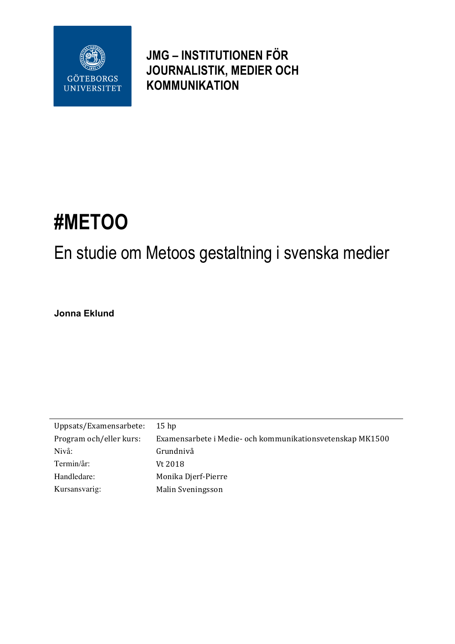

**JMG – INSTITUTIONEN FÖR JOURNALISTIK, MEDIER OCH KOMMUNIKATION**

# **#METOO**

# En studie om Metoos gestaltning i svenska medier

**Jonna Eklund** 

| Uppsats/Examensarbete:  | $15$ hp                                                   |
|-------------------------|-----------------------------------------------------------|
| Program och/eller kurs: | Examensarbete i Medie- och kommunikationsvetenskap MK1500 |
| Nivå:                   | Grundnivå                                                 |
| Termin/år:              | Vt 2018                                                   |
| Handledare:             | Monika Djerf-Pierre                                       |
| Kursansvarig:           | Malin Sveningsson                                         |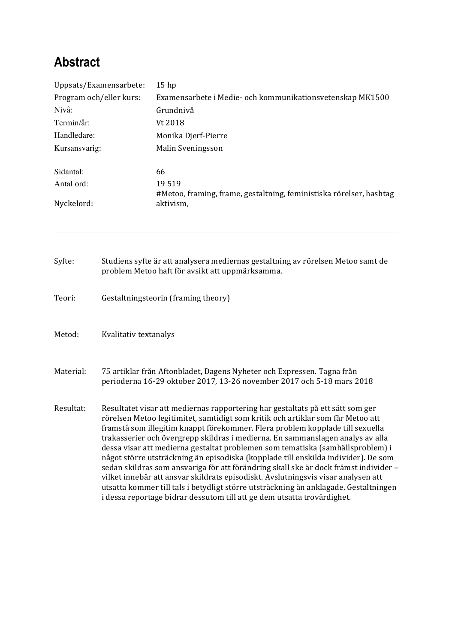# **Abstract**

| Uppsats/Examensarbete:<br>Program och/eller kurs:<br>Nivå:<br>Termin/år:<br>Handledare:<br>Kursansvarig: |                                                                                                                                                 | 15 <sub>hp</sub>                                                                                                                                                                                                                                                                                                                                                                                                                                                                                                                                                                                                                                                                                                                                                                                                                                             |  |                                                                                  |                                          |  |
|----------------------------------------------------------------------------------------------------------|-------------------------------------------------------------------------------------------------------------------------------------------------|--------------------------------------------------------------------------------------------------------------------------------------------------------------------------------------------------------------------------------------------------------------------------------------------------------------------------------------------------------------------------------------------------------------------------------------------------------------------------------------------------------------------------------------------------------------------------------------------------------------------------------------------------------------------------------------------------------------------------------------------------------------------------------------------------------------------------------------------------------------|--|----------------------------------------------------------------------------------|------------------------------------------|--|
|                                                                                                          |                                                                                                                                                 | Examensarbete i Medie- och kommunikationsvetenskap MK1500<br>Grundnivå<br>Vt 2018                                                                                                                                                                                                                                                                                                                                                                                                                                                                                                                                                                                                                                                                                                                                                                            |  |                                                                                  |                                          |  |
|                                                                                                          |                                                                                                                                                 |                                                                                                                                                                                                                                                                                                                                                                                                                                                                                                                                                                                                                                                                                                                                                                                                                                                              |  |                                                                                  | Monika Djerf-Pierre<br>Malin Sveningsson |  |
|                                                                                                          |                                                                                                                                                 |                                                                                                                                                                                                                                                                                                                                                                                                                                                                                                                                                                                                                                                                                                                                                                                                                                                              |  |                                                                                  |                                          |  |
|                                                                                                          |                                                                                                                                                 | Antal ord:<br>Nyckelord:                                                                                                                                                                                                                                                                                                                                                                                                                                                                                                                                                                                                                                                                                                                                                                                                                                     |  | 19519                                                                            |                                          |  |
|                                                                                                          |                                                                                                                                                 |                                                                                                                                                                                                                                                                                                                                                                                                                                                                                                                                                                                                                                                                                                                                                                                                                                                              |  | #Metoo, framing, frame, gestaltning, feministiska rörelser, hashtag<br>aktivism, |                                          |  |
| Syfte:                                                                                                   |                                                                                                                                                 | Studiens syfte är att analysera mediernas gestaltning av rörelsen Metoo samt de<br>problem Metoo haft för avsikt att uppmärksamma.                                                                                                                                                                                                                                                                                                                                                                                                                                                                                                                                                                                                                                                                                                                           |  |                                                                                  |                                          |  |
|                                                                                                          |                                                                                                                                                 |                                                                                                                                                                                                                                                                                                                                                                                                                                                                                                                                                                                                                                                                                                                                                                                                                                                              |  |                                                                                  |                                          |  |
| Teori:                                                                                                   |                                                                                                                                                 | Gestaltningsteorin (framing theory)                                                                                                                                                                                                                                                                                                                                                                                                                                                                                                                                                                                                                                                                                                                                                                                                                          |  |                                                                                  |                                          |  |
| Metod:                                                                                                   | Kvalitativ textanalys                                                                                                                           |                                                                                                                                                                                                                                                                                                                                                                                                                                                                                                                                                                                                                                                                                                                                                                                                                                                              |  |                                                                                  |                                          |  |
| Material:                                                                                                | 75 artiklar från Aftonbladet, Dagens Nyheter och Expressen. Tagna från<br>perioderna 16-29 oktober 2017, 13-26 november 2017 och 5-18 mars 2018 |                                                                                                                                                                                                                                                                                                                                                                                                                                                                                                                                                                                                                                                                                                                                                                                                                                                              |  |                                                                                  |                                          |  |
| Resultat:                                                                                                |                                                                                                                                                 | Resultatet visar att mediernas rapportering har gestaltats på ett sätt som ger<br>rörelsen Metoo legitimitet, samtidigt som kritik och artiklar som får Metoo att<br>framstå som illegitim knappt förekommer. Flera problem kopplade till sexuella<br>trakasserier och övergrepp skildras i medierna. En sammanslagen analys av alla<br>dessa visar att medierna gestaltat problemen som tematiska (samhällsproblem) i<br>något större utsträckning än episodiska (kopplade till enskilda individer). De som<br>sedan skildras som ansvariga för att förändring skall ske är dock främst individer -<br>vilket innebär att ansvar skildrats episodiskt. Avslutningsvis visar analysen att<br>utsatta kommer till tals i betydligt större utsträckning än anklagade. Gestaltningen<br>i dessa reportage bidrar dessutom till att ge dem utsatta trovärdighet. |  |                                                                                  |                                          |  |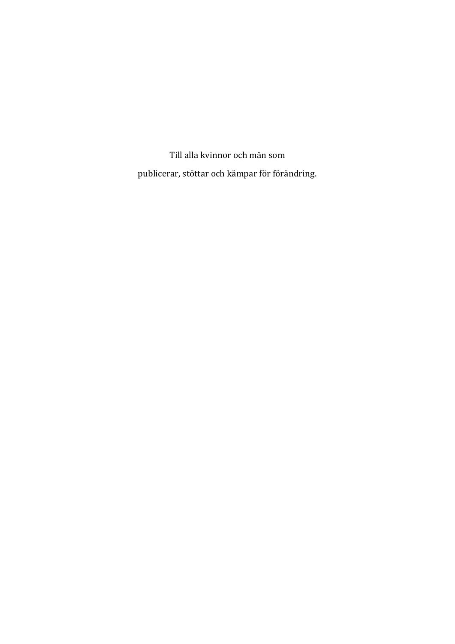Till alla kvinnor och män som publicerar, stöttar och kämpar för förändring.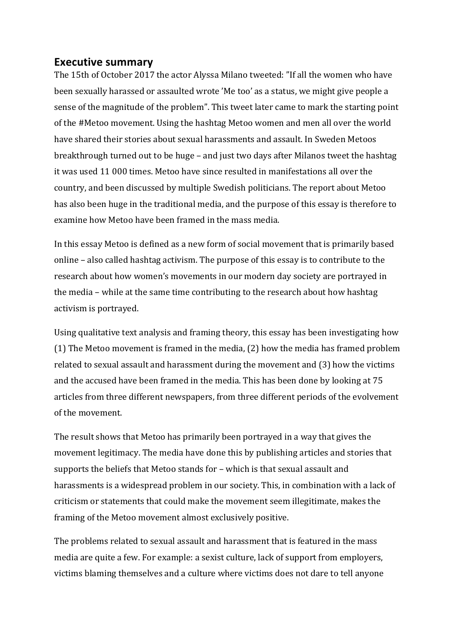#### **Executive summary**

The 15th of October 2017 the actor Alyssa Milano tweeted: "If all the women who have been sexually harassed or assaulted wrote 'Me too' as a status, we might give people a sense of the magnitude of the problem". This tweet later came to mark the starting point of the #Metoo movement. Using the hashtag Metoo women and men all over the world have shared their stories about sexual harassments and assault. In Sweden Metoos breakthrough turned out to be huge – and just two days after Milanos tweet the hashtag it was used 11 000 times. Metoo have since resulted in manifestations all over the country, and been discussed by multiple Swedish politicians. The report about Metoo has also been huge in the traditional media, and the purpose of this essay is therefore to examine how Metoo have been framed in the mass media.

In this essay Metoo is defined as a new form of social movement that is primarily based online - also called hashtag activism. The purpose of this essay is to contribute to the research about how women's movements in our modern day society are portrayed in the media – while at the same time contributing to the research about how hashtag activism is portrayed.

Using qualitative text analysis and framing theory, this essay has been investigating how (1) The Metoo movement is framed in the media,  $(2)$  how the media has framed problem related to sexual assault and harassment during the movement and (3) how the victims and the accused have been framed in the media. This has been done by looking at 75 articles from three different newspapers, from three different periods of the evolvement of the movement.

The result shows that Metoo has primarily been portrayed in a way that gives the movement legitimacy. The media have done this by publishing articles and stories that supports the beliefs that Metoo stands for - which is that sexual assault and harassments is a widespread problem in our society. This, in combination with a lack of criticism or statements that could make the movement seem illegitimate, makes the framing of the Metoo movement almost exclusively positive.

The problems related to sexual assault and harassment that is featured in the mass media are quite a few. For example: a sexist culture, lack of support from employers, victims blaming themselves and a culture where victims does not dare to tell anyone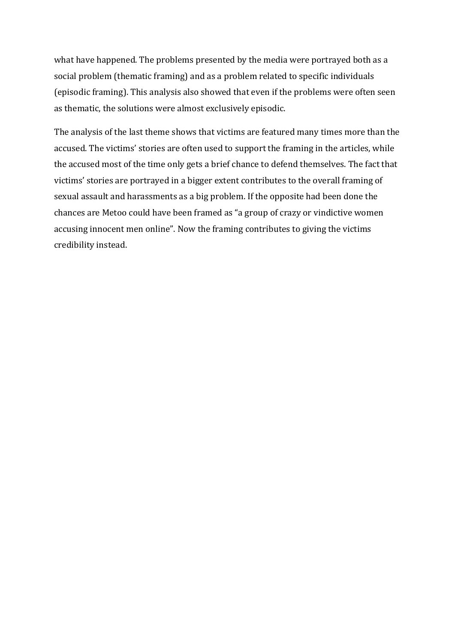what have happened. The problems presented by the media were portrayed both as a social problem (thematic framing) and as a problem related to specific individuals (episodic framing). This analysis also showed that even if the problems were often seen as thematic, the solutions were almost exclusively episodic.

The analysis of the last theme shows that victims are featured many times more than the accused. The victims' stories are often used to support the framing in the articles, while the accused most of the time only gets a brief chance to defend themselves. The fact that victims' stories are portrayed in a bigger extent contributes to the overall framing of sexual assault and harassments as a big problem. If the opposite had been done the chances are Metoo could have been framed as "a group of crazy or vindictive women accusing innocent men online". Now the framing contributes to giving the victims credibility instead.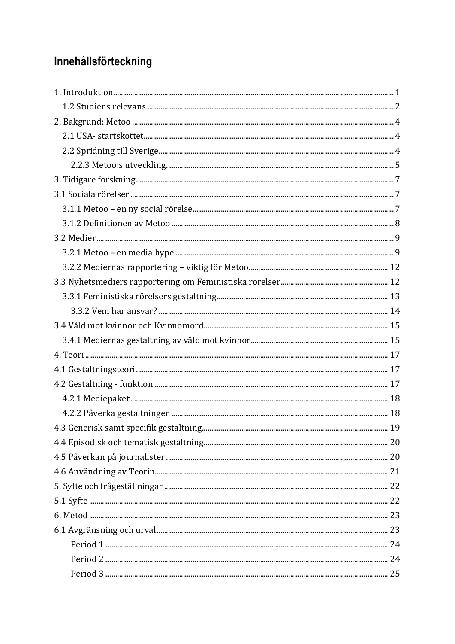## Innehållsförteckning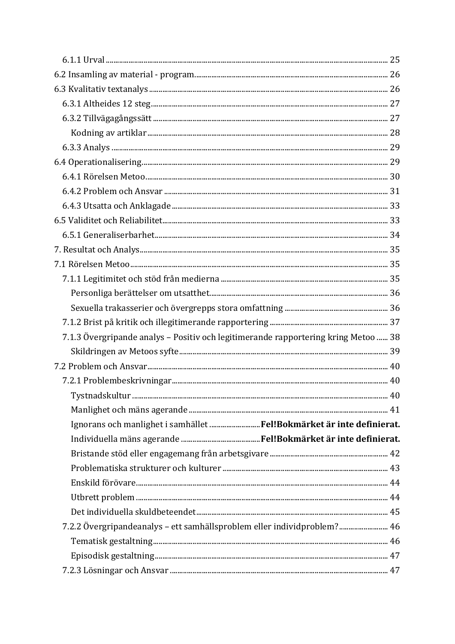| 7.1.3 Övergripande analys - Positiv och legitimerande rapportering kring Metoo  38 |  |
|------------------------------------------------------------------------------------|--|
|                                                                                    |  |
|                                                                                    |  |
|                                                                                    |  |
|                                                                                    |  |
|                                                                                    |  |
| Ignorans och manlighet i samhället Fel!Bokmärket är inte definierat.               |  |
|                                                                                    |  |
|                                                                                    |  |
|                                                                                    |  |
|                                                                                    |  |
|                                                                                    |  |
|                                                                                    |  |
| 7.2.2 Övergripandeanalys - ett samhällsproblem eller individproblem? 46            |  |
|                                                                                    |  |
|                                                                                    |  |
|                                                                                    |  |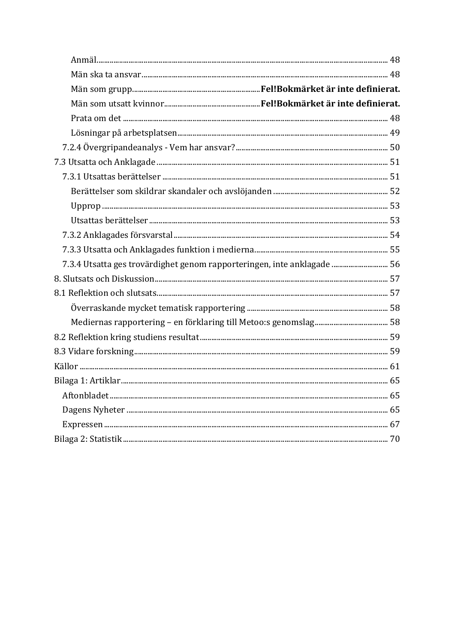| 7.3.4 Utsatta ges trovärdighet genom rapporteringen, inte anklagade  56 |  |
|-------------------------------------------------------------------------|--|
|                                                                         |  |
|                                                                         |  |
|                                                                         |  |
|                                                                         |  |
|                                                                         |  |
|                                                                         |  |
|                                                                         |  |
|                                                                         |  |
|                                                                         |  |
|                                                                         |  |
|                                                                         |  |
|                                                                         |  |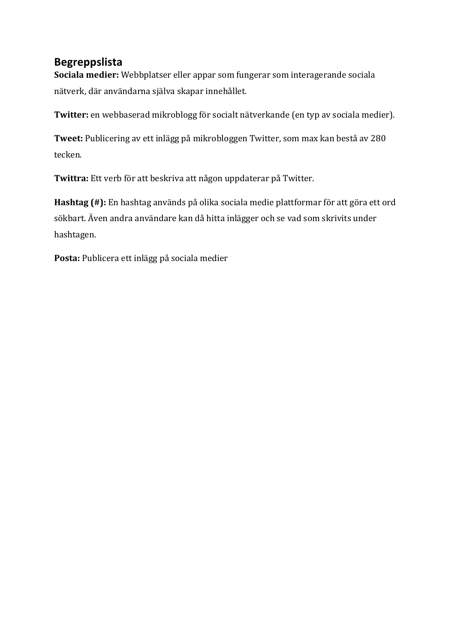### **Begreppslista**

**Sociala medier:** Webbplatser eller appar som fungerar som interagerande sociala nätverk, där användarna själva skapar innehållet.

**Twitter:** en webbaserad mikroblogg för socialt nätverkande (en typ av sociala medier).

**Tweet:** Publicering av ett inlägg på mikrobloggen Twitter, som max kan bestå av 280 tecken. 

Twittra: Ett verb för att beskriva att någon uppdaterar på Twitter.

Hashtag (#): En hashtag används på olika sociala medie plattformar för att göra ett ord sökbart. Även andra användare kan då hitta inlägger och se vad som skrivits under hashtagen. 

Posta: Publicera ett inlägg på sociala medier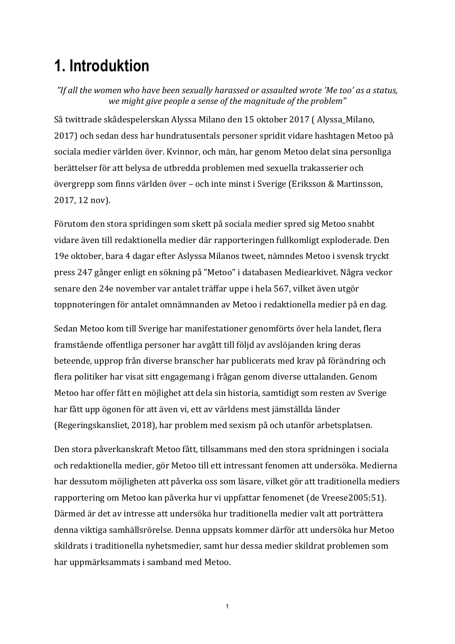# **1. Introduktion**

"If all the women who have been sexually harassed or assaulted wrote 'Me too' as a status, we might give people a sense of the magnitude of the problem"

Så twittrade skådespelerskan Alyssa Milano den 15 oktober 2017 (Alyssa\_Milano, 2017) och sedan dess har hundratusentals personer spridit vidare hashtagen Metoo på sociala medier världen över. Kvinnor, och män, har genom Metoo delat sina personliga berättelser för att belysa de utbredda problemen med sexuella trakasserier och övergrepp som finns världen över – och inte minst i Sverige (Eriksson & Martinsson, 2017, 12 nov).

Förutom den stora spridingen som skett på sociala medier spred sig Metoo snabbt vidare även till redaktionella medier där rapporteringen fullkomligt exploderade. Den 19e oktober, bara 4 dagar efter Aslyssa Milanos tweet, nämndes Metoo i svensk tryckt press 247 gånger enligt en sökning på "Metoo" i databasen Mediearkivet. Några veckor senare den 24e november var antalet träffar uppe i hela 567, vilket även utgör toppnoteringen för antalet omnämnanden av Metoo i redaktionella medier på en dag.

Sedan Metoo kom till Sverige har manifestationer genomförts över hela landet, flera framstående offentliga personer har avgått till följd av avslöjanden kring deras beteende, upprop från diverse branscher har publicerats med krav på förändring och flera politiker har visat sitt engagemang i frågan genom diverse uttalanden. Genom Metoo har offer fått en möjlighet att dela sin historia, samtidigt som resten av Sverige har fått upp ögonen för att även vi, ett av världens mest jämställda länder (Regeringskansliet, 2018), har problem med sexism på och utanför arbetsplatsen.

Den stora påverkanskraft Metoo fått, tillsammans med den stora spridningen i sociala och redaktionella medier, gör Metoo till ett intressant fenomen att undersöka. Medierna har dessutom möjligheten att påverka oss som läsare, vilket gör att traditionella mediers rapportering om Metoo kan påverka hur vi uppfattar fenomenet (de Vreese2005:51). Därmed är det av intresse att undersöka hur traditionella medier valt att porträttera denna viktiga samhällsrörelse. Denna uppsats kommer därför att undersöka hur Metoo skildrats i traditionella nyhetsmedier, samt hur dessa medier skildrat problemen som har uppmärksammats i samband med Metoo.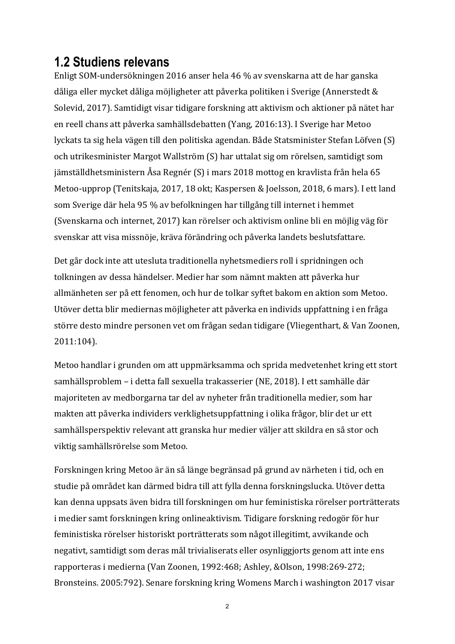### **1.2 Studiens relevans**

Enligt SOM-undersökningen 2016 anser hela 46 % av svenskarna att de har ganska dåliga eller mycket dåliga möjligheter att påverka politiken i Sverige (Annerstedt & Solevid, 2017). Samtidigt visar tidigare forskning att aktivism och aktioner på nätet har en reell chans att påverka samhällsdebatten (Yang, 2016:13). I Sverige har Metoo lyckats ta sig hela vägen till den politiska agendan. Både Statsminister Stefan Löfven (S) och utrikesminister Margot Wallström (S) har uttalat sig om rörelsen, samtidigt som jämställdhetsministern Åsa Regnér (S) i mars 2018 mottog en kravlista från hela 65 Metoo-upprop (Tenitskaja, 2017, 18 okt; Kaspersen & Joelsson, 2018, 6 mars). I ett land som Sverige där hela 95 % av befolkningen har tillgång till internet i hemmet (Svenskarna och internet, 2017) kan rörelser och aktivism online bli en möjlig väg för svenskar att visa missnöje, kräva förändring och påverka landets beslutsfattare.

Det går dock inte att utesluta traditionella nyhetsmediers roll i spridningen och tolkningen av dessa händelser. Medier har som nämnt makten att påverka hur allmänheten ser på ett fenomen, och hur de tolkar syftet bakom en aktion som Metoo. Utöver detta blir mediernas möjligheter att påverka en individs uppfattning i en fråga större desto mindre personen vet om frågan sedan tidigare (Vliegenthart, & Van Zoonen, 2011:104).

Metoo handlar i grunden om att uppmärksamma och sprida medvetenhet kring ett stort samhällsproblem – i detta fall sexuella trakasserier (NE, 2018). I ett samhälle där majoriteten av medborgarna tar del av nyheter från traditionella medier, som har makten att påverka individers verklighetsuppfattning i olika frågor, blir det ur ett samhällsperspektiv relevant att granska hur medier väljer att skildra en så stor och viktig samhällsrörelse som Metoo.

Forskningen kring Metoo är än så länge begränsad på grund av närheten i tid, och en studie på området kan därmed bidra till att fylla denna forskningslucka. Utöver detta kan denna uppsats även bidra till forskningen om hur feministiska rörelser porträtterats i medier samt forskningen kring onlineaktivism. Tidigare forskning redogör för hur feministiska rörelser historiskt porträtterats som något illegitimt, avvikande och negativt, samtidigt som deras mål trivialiserats eller osynliggjorts genom att inte ens rapporteras i medierna (Van Zoonen, 1992:468; Ashley, &Olson, 1998:269-272; Bronsteins. 2005:792). Senare forskning kring Womens March i washington 2017 visar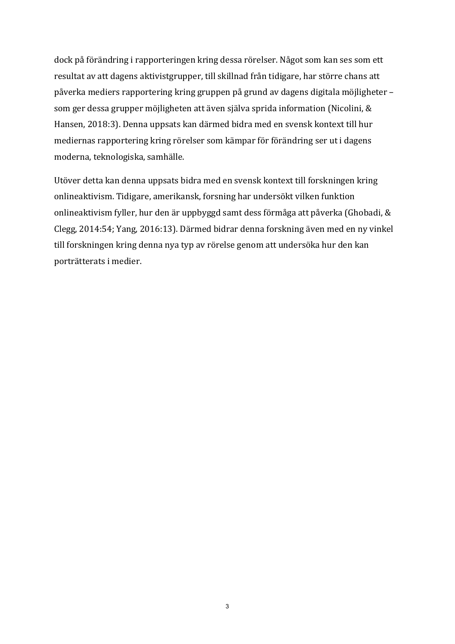dock på förändring i rapporteringen kring dessa rörelser. Något som kan ses som ett resultat av att dagens aktivistgrupper, till skillnad från tidigare, har större chans att påverka mediers rapportering kring gruppen på grund av dagens digitala möjligheter – som ger dessa grupper möjligheten att även själva sprida information (Nicolini, & Hansen, 2018:3). Denna uppsats kan därmed bidra med en svensk kontext till hur mediernas rapportering kring rörelser som kämpar för förändring ser ut i dagens moderna, teknologiska, samhälle.

Utöver detta kan denna uppsats bidra med en svensk kontext till forskningen kring onlineaktivism. Tidigare, amerikansk, forsning har undersökt vilken funktion onlineaktivism fyller, hur den är uppbyggd samt dess förmåga att påverka (Ghobadi, & Clegg, 2014:54; Yang, 2016:13). Därmed bidrar denna forskning även med en ny vinkel till forskningen kring denna nya typ av rörelse genom att undersöka hur den kan porträtterats i medier.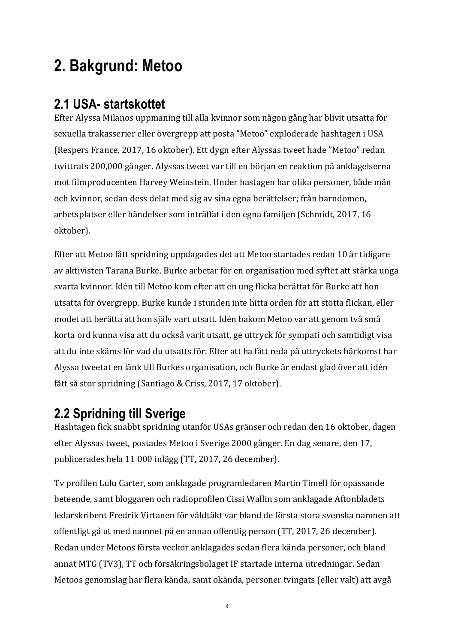# **2. Bakgrund: Metoo**

### **2.1 USA- startskottet**

Efter Alyssa Milanos uppmaning till alla kvinnor som någon gång har blivit utsatta för sexuella trakasserier eller övergrepp att posta "Metoo" exploderade hashtagen i USA (Respers France, 2017, 16 oktober). Ett dygn efter Alyssas tweet hade "Metoo" redan twittrats 200,000 gånger. Alyssas tweet var till en början en reaktion på anklagelserna mot filmproducenten Harvey Weinstein. Under hastagen har olika personer, både män och kvinnor, sedan dess delat med sig av sina egna berättelser; från barndomen, arbetsplatser eller händelser som inträffat i den egna familien (Schmidt, 2017, 16 oktober). 

Efter att Metoo fått spridning uppdagades det att Metoo startades redan 10 år tidigare av aktivisten Tarana Burke. Burke arbetar för en organisation med syftet att stärka unga svarta kvinnor. Idén till Metoo kom efter att en ung flicka berättat för Burke att hon utsatta för övergrepp. Burke kunde i stunden inte hitta orden för att stötta flickan, eller modet att berätta att hon själv vart utsatt. Idén bakom Metoo var att genom två små korta ord kunna visa att du också varit utsatt, ge uttryck för sympati och samtidigt visa att du inte skäms för vad du utsatts för. Efter att ha fått reda på uttryckets härkomst har Alyssa tweetat en länk till Burkes organisation, och Burke är endast glad över att idén fått så stor spridning (Santiago & Criss, 2017, 17 oktober).

### **2.2 Spridning till Sverige**

Hashtagen fick snabbt spridning utanför USAs gränser och redan den 16 oktober, dagen efter Alyssas tweet, postades Metoo i Sverige 2000 gånger. En dag senare, den 17, publicerades hela 11 000 inlägg (TT, 2017, 26 december).

Ty profilen Lulu Carter, som anklagade programledaren Martin Timell för opassande beteende, samt bloggaren och radioprofilen Cissi Wallin som anklagade Aftonbladets ledarskribent Fredrik Virtanen för våldtäkt var bland de första stora svenska namnen att offentligt gå ut med namnet på en annan offentlig person (TT, 2017, 26 december). Redan under Metoos första veckor anklagades sedan flera kända personer, och bland annat MTG (TV3), TT och försäkringsbolaget IF startade interna utredningar. Sedan Metoos genomslag har flera kända, samt okända, personer tvingats (eller valt) att avgå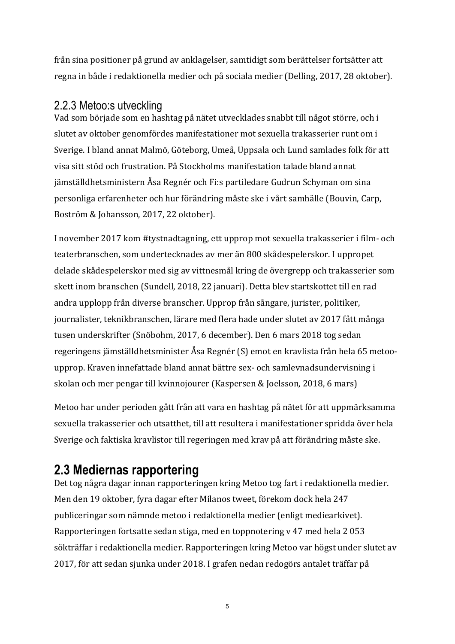från sina positioner på grund av anklagelser, samtidigt som berättelser fortsätter att regna in både i redaktionella medier och på sociala medier (Delling, 2017, 28 oktober).

#### 2.2.3 Metoo:s utveckling

Vad som började som en hashtag på nätet utvecklades snabbt till något större, och i slutet av oktober genomfördes manifestationer mot sexuella trakasserier runt om i Sverige. I bland annat Malmö, Göteborg, Umeå, Uppsala och Lund samlades folk för att visa sitt stöd och frustration. På Stockholms manifestation talade bland annat jämställdhetsministern Åsa Regnér och Fi:s partiledare Gudrun Schyman om sina personliga erfarenheter och hur förändring måste ske i vårt samhälle (Bouvin, Carp, Boström & Johansson, 2017, 22 oktober).

I november 2017 kom #tystnadtagning, ett upprop mot sexuella trakasserier i film- och teaterbranschen, som undertecknades av mer än 800 skådespelerskor. I uppropet delade skådespelerskor med sig av vittnesmål kring de övergrepp och trakasserier som skett inom branschen (Sundell, 2018, 22 januari). Detta blev startskottet till en rad andra upplopp från diverse branscher. Upprop från sångare, jurister, politiker, journalister, teknikbranschen, lärare med flera hade under slutet av 2017 fått många tusen underskrifter (Snöbohm, 2017, 6 december). Den 6 mars 2018 tog sedan regeringens jämställdhetsminister Åsa Regnér (S) emot en kravlista från hela 65 metooupprop. Kraven innefattade bland annat bättre sex- och samlevnadsundervisning i skolan och mer pengar till kvinnojourer (Kaspersen & Joelsson, 2018, 6 mars)

Metoo har under perioden gått från att vara en hashtag på nätet för att uppmärksamma sexuella trakasserier och utsatthet, till att resultera i manifestationer spridda över hela Sverige och faktiska kravlistor till regeringen med krav på att förändring måste ske.

### **2.3 Mediernas rapportering**

Det tog några dagar innan rapporteringen kring Metoo tog fart i redaktionella medier. Men den 19 oktober, fyra dagar efter Milanos tweet, förekom dock hela 247 publiceringar som nämnde metoo i redaktionella medier (enligt mediearkivet). Rapporteringen fortsatte sedan stiga, med en toppnotering v 47 med hela 2 053 sökträffar i redaktionella medier. Rapporteringen kring Metoo var högst under slutet av 2017, för att sedan sjunka under 2018. I grafen nedan redogörs antalet träffar på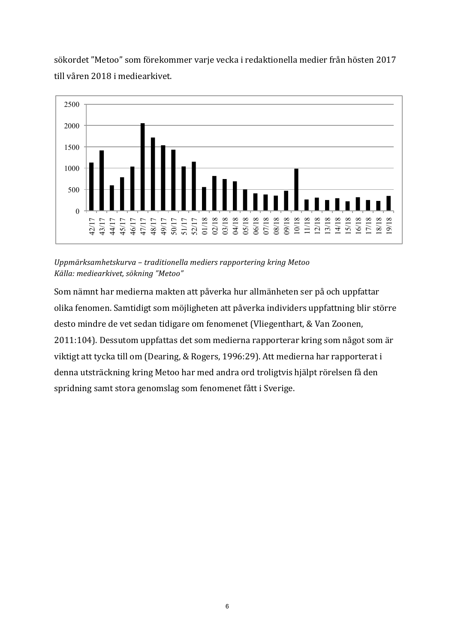sökordet "Metoo" som förekommer varje vecka i redaktionella medier från hösten 2017 till våren 2018 i mediearkivet.



*Uppmärksamhetskurva – traditionella mediers rapportering kring Metoo Källa: mediearkivet, sökning "Metoo"*

Som nämnt har medierna makten att påverka hur allmänheten ser på och uppfattar olika fenomen. Samtidigt som möjligheten att påverka individers uppfattning blir större desto mindre de vet sedan tidigare om fenomenet (Vliegenthart, & Van Zoonen, 2011:104). Dessutom uppfattas det som medierna rapporterar kring som något som är viktigt att tycka till om (Dearing, & Rogers, 1996:29). Att medierna har rapporterat i denna utsträckning kring Metoo har med andra ord troligtvis hjälpt rörelsen få den spridning samt stora genomslag som fenomenet fått i Sverige.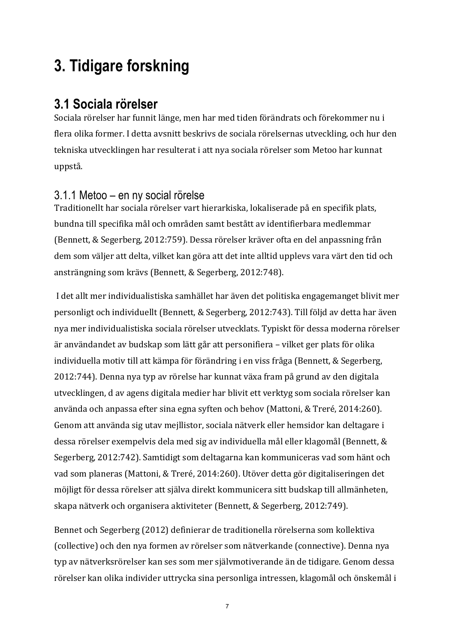# **3. Tidigare forskning**

### **3.1 Sociala rörelser**

Sociala rörelser har funnit länge, men har med tiden förändrats och förekommer nu i flera olika former. I detta avsnitt beskrivs de sociala rörelsernas utveckling, och hur den tekniska utvecklingen har resulterat i att nya sociala rörelser som Metoo har kunnat uppstå. 

### 3.1.1 Metoo – en ny social rörelse

Traditionellt har sociala rörelser vart hierarkiska, lokaliserade på en specifik plats, bundna till specifika mål och områden samt bestått av identifierbara medlemmar (Bennett, & Segerberg, 2012:759). Dessa rörelser kräver ofta en del anpassning från dem som väljer att delta, vilket kan göra att det inte alltid upplevs vara värt den tid och ansträngning som krävs (Bennett, & Segerberg, 2012:748).

I det allt mer individualistiska samhället har även det politiska engagemanget blivit mer personligt och individuellt (Bennett, & Segerberg, 2012:743). Till följd av detta har även nya mer individualistiska sociala rörelser utvecklats. Typiskt för dessa moderna rörelser är användandet av budskap som lätt går att personifiera – vilket ger plats för olika individuella motiv till att kämpa för förändring i en viss fråga (Bennett, & Segerberg, 2012:744). Denna nya typ av rörelse har kunnat växa fram på grund av den digitala utvecklingen, d av agens digitala medier har blivit ett verktyg som sociala rörelser kan använda och anpassa efter sina egna syften och behov (Mattoni, & Treré, 2014:260). Genom att använda sig utav mejllistor, sociala nätverk eller hemsidor kan deltagare i dessa rörelser exempelvis dela med sig av individuella mål eller klagomål (Bennett, & Segerberg, 2012:742). Samtidigt som deltagarna kan kommuniceras vad som hänt och vad som planeras (Mattoni, & Treré, 2014:260). Utöver detta gör digitaliseringen det möjligt för dessa rörelser att själva direkt kommunicera sitt budskap till allmänheten, skapa nätverk och organisera aktiviteter (Bennett, & Segerberg, 2012:749).

Bennet och Segerberg (2012) definierar de traditionella rörelserna som kollektiva (collective) och den nya formen av rörelser som nätverkande (connective). Denna nya typ av nätverksrörelser kan ses som mer självmotiverande än de tidigare. Genom dessa rörelser kan olika individer uttrycka sina personliga intressen, klagomål och önskemål i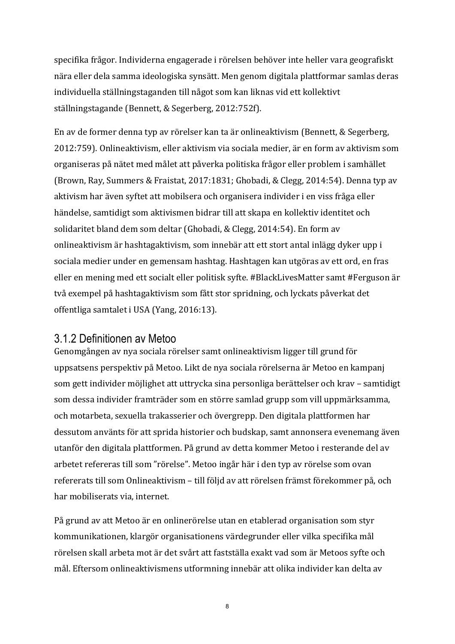specifika frågor. Individerna engagerade i rörelsen behöver inte heller vara geografiskt nära eller dela samma ideologiska synsätt. Men genom digitala plattformar samlas deras individuella ställningstaganden till något som kan liknas vid ett kollektivt ställningstagande (Bennett, & Segerberg, 2012:752f).

En av de former denna typ av rörelser kan ta är onlineaktivism (Bennett, & Segerberg, 2012:759). Onlineaktivism, eller aktivism via sociala medier, är en form av aktivism som organiseras på nätet med målet att påverka politiska frågor eller problem i samhället (Brown, Ray, Summers & Fraistat, 2017:1831; Ghobadi, & Clegg, 2014:54). Denna typ av aktivism har även syftet att mobilsera och organisera individer i en viss fråga eller händelse, samtidigt som aktivismen bidrar till att skapa en kollektiv identitet och solidaritet bland dem som deltar (Ghobadi, & Clegg, 2014:54). En form av onlineaktivism är hashtagaktivism, som innebär att ett stort antal inlägg dyker upp i sociala medier under en gemensam hashtag. Hashtagen kan utgöras av ett ord, en fras eller en mening med ett socialt eller politisk syfte. #BlackLivesMatter samt #Ferguson är två exempel på hashtagaktivism som fått stor spridning, och lyckats påverkat det offentliga samtalet i USA (Yang, 2016:13).

#### 3.1.2 Definitionen av Metoo

Genomgången av nya sociala rörelser samt onlineaktivism ligger till grund för uppsatsens perspektiv på Metoo. Likt de nya sociala rörelserna är Metoo en kampanj som gett individer möjlighet att uttrycka sina personliga berättelser och krav – samtidigt som dessa individer framträder som en större samlad grupp som vill uppmärksamma, och motarbeta, sexuella trakasserier och övergrepp. Den digitala plattformen har dessutom använts för att sprida historier och budskap, samt annonsera evenemang även utanför den digitala plattformen. På grund av detta kommer Metoo i resterande del av arbetet refereras till som "rörelse". Metoo ingår här i den typ av rörelse som ovan refererats till som Onlineaktivism – till följd av att rörelsen främst förekommer på, och har mobiliserats via, internet.

På grund av att Metoo är en onlinerörelse utan en etablerad organisation som styr kommunikationen, klargör organisationens värdegrunder eller vilka specifika mål rörelsen skall arbeta mot är det svårt att fastställa exakt vad som är Metoos syfte och mål. Eftersom onlineaktivismens utformning innebär att olika individer kan delta av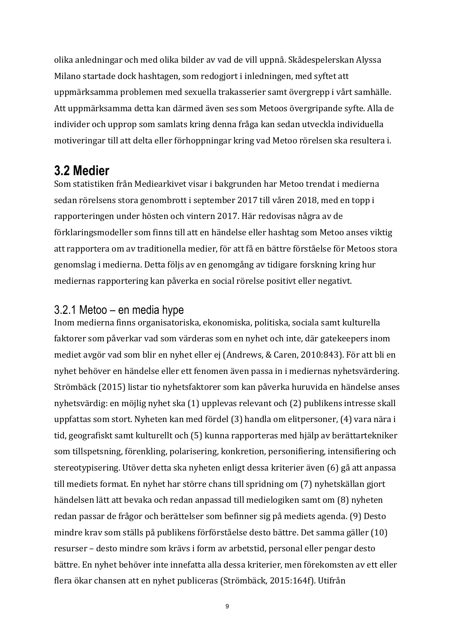olika anledningar och med olika bilder av vad de vill uppnå. Skådespelerskan Alyssa Milano startade dock hashtagen, som redogjort i inledningen, med syftet att uppmärksamma problemen med sexuella trakasserier samt övergrepp i vårt samhälle. Att uppmärksamma detta kan därmed även ses som Metoos övergripande syfte. Alla de individer och upprop som samlats kring denna fråga kan sedan utveckla individuella motiveringar till att delta eller förhoppningar kring vad Metoo rörelsen ska resultera i.

### **3.2 Medier**

Som statistiken från Mediearkivet visar i bakgrunden har Metoo trendat i medierna sedan rörelsens stora genombrott i september 2017 till våren 2018, med en topp i rapporteringen under hösten och vintern 2017. Här redovisas några av de förklaringsmodeller som finns till att en händelse eller hashtag som Metoo anses viktig att rapportera om av traditionella medier, för att få en bättre förståelse för Metoos stora genomslag i medierna. Detta följs av en genomgång av tidigare forskning kring hur mediernas rapportering kan påverka en social rörelse positivt eller negativt.

#### 3.2.1 Metoo – en media hype

Inom medierna finns organisatoriska, ekonomiska, politiska, sociala samt kulturella faktorer som påverkar vad som värderas som en nyhet och inte, där gatekeepers inom mediet avgör vad som blir en nyhet eller ej (Andrews, & Caren, 2010:843). För att bli en nyhet behöver en händelse eller ett fenomen även passa in i mediernas nyhetsvärdering. Strömbäck (2015) listar tio nyhetsfaktorer som kan påverka huruvida en händelse anses nyhetsvärdig: en möjlig nyhet ska (1) upplevas relevant och (2) publikens intresse skall uppfattas som stort. Nyheten kan med fördel (3) handla om elitpersoner, (4) vara nära i tid, geografiskt samt kulturellt och (5) kunna rapporteras med hjälp av berättartekniker som tillspetsning, förenkling, polarisering, konkretion, personifiering, intensifiering och stereotypisering. Utöver detta ska nyheten enligt dessa kriterier även (6) gå att anpassa till mediets format. En nyhet har större chans till spridning om (7) nyhetskällan gjort händelsen lätt att bevaka och redan anpassad till medielogiken samt om (8) nyheten redan passar de frågor och berättelser som befinner sig på mediets agenda. (9) Desto mindre krav som ställs på publikens förförståelse desto bättre. Det samma gäller (10) resurser – desto mindre som krävs i form av arbetstid, personal eller pengar desto bättre. En nyhet behöver inte innefatta alla dessa kriterier, men förekomsten av ett eller flera ökar chansen att en nyhet publiceras (Strömbäck, 2015:164f). Utifrån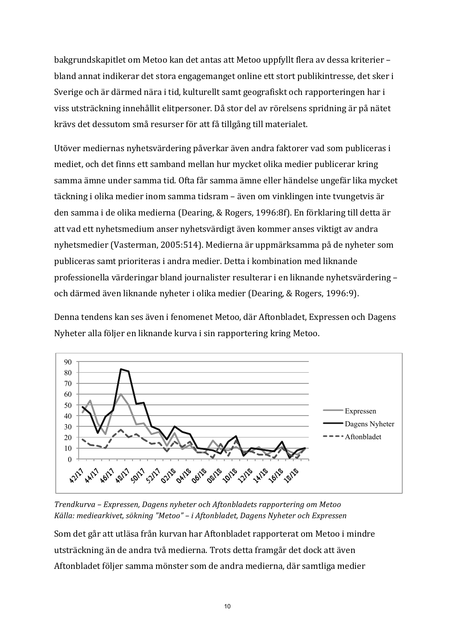bakgrundskapitlet om Metoo kan det antas att Metoo uppfyllt flera av dessa kriterier – bland annat indikerar det stora engagemanget online ett stort publikintresse, det sker i Sverige och är därmed nära i tid, kulturellt samt geografiskt och rapporteringen har i viss utsträckning innehållit elitpersoner. Då stor del av rörelsens spridning är på nätet krävs det dessutom små resurser för att få tillgång till materialet.

Utöver mediernas nyhetsvärdering påverkar även andra faktorer vad som publiceras i mediet, och det finns ett samband mellan hur mycket olika medier publicerar kring samma ämne under samma tid. Ofta får samma ämne eller händelse ungefär lika mycket täckning i olika medier inom samma tidsram – även om vinklingen inte tvungetvis är den samma i de olika medierna (Dearing, & Rogers, 1996:8f). En förklaring till detta är att vad ett nyhetsmedium anser nyhetsvärdigt även kommer anses viktigt av andra nyhetsmedier (Vasterman, 2005:514). Medierna är uppmärksamma på de nyheter som publiceras samt prioriteras i andra medier. Detta i kombination med liknande professionella värderingar bland journalister resulterar i en liknande nyhetsvärdering – och därmed även liknande nyheter i olika medier (Dearing, & Rogers, 1996:9).

Denna tendens kan ses även i fenomenet Metoo, där Aftonbladet, Expressen och Dagens Nyheter alla följer en liknande kurva i sin rapportering kring Metoo.



*Trendkurva – Expressen, Dagens nyheter och Aftonbladets rapportering om Metoo* Källa: mediearkivet, sökning "Metoo" - i Aftonbladet, Dagens Nyheter och Expressen

Som det går att utläsa från kurvan har Aftonbladet rapporterat om Metoo i mindre utsträckning än de andra två medierna. Trots detta framgår det dock att även Aftonbladet följer samma mönster som de andra medierna, där samtliga medier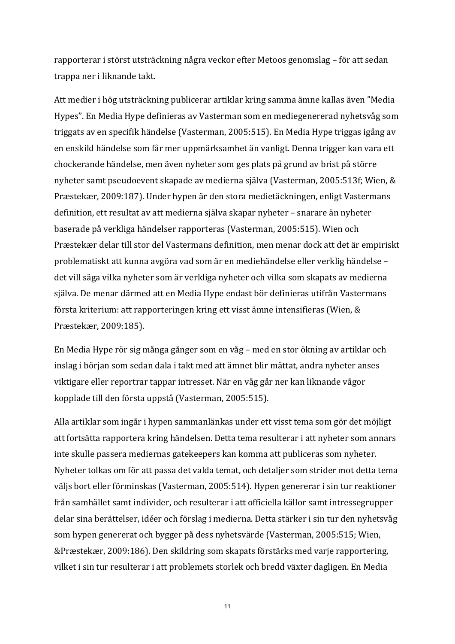rapporterar i störst utsträckning några veckor efter Metoos genomslag – för att sedan trappa ner i liknande takt.

Att medier i hög utsträckning publicerar artiklar kring samma ämne kallas även "Media Hypes". En Media Hype definieras av Vasterman som en mediegenererad nyhetsvåg som triggats av en specifik händelse (Vasterman, 2005:515). En Media Hype triggas igång av en enskild händelse som får mer uppmärksamhet än vanligt. Denna trigger kan vara ett chockerande händelse, men även nyheter som ges plats på grund av brist på större nyheter samt pseudoevent skapade av medierna själva (Vasterman, 2005:513f; Wien, & Præstekær, 2009:187). Under hypen är den stora medietäckningen, enligt Vastermans definition, ett resultat av att medierna själva skapar nyheter – snarare än nyheter baserade på verkliga händelser rapporteras (Vasterman, 2005:515). Wien och Præstekær delar till stor del Vastermans definition, men menar dock att det är empiriskt problematiskt att kunna avgöra vad som är en mediehändelse eller verklig händelse det vill säga vilka nyheter som är verkliga nyheter och vilka som skapats av medierna själva. De menar därmed att en Media Hype endast bör definieras utifrån Vastermans första kriterium: att rapporteringen kring ett visst ämne intensifieras (Wien,  $&$ Præstekær, 2009:185).

En Media Hype rör sig många gånger som en våg – med en stor ökning av artiklar och inslag i början som sedan dala i takt med att ämnet blir mättat, andra nyheter anses viktigare eller reportrar tappar intresset. När en våg går ner kan liknande vågor kopplade till den första uppstå (Vasterman, 2005:515).

Alla artiklar som ingår i hypen sammanlänkas under ett visst tema som gör det möjligt att fortsätta rapportera kring händelsen. Detta tema resulterar i att nyheter som annars inte skulle passera mediernas gatekeepers kan komma att publiceras som nyheter. Nyheter tolkas om för att passa det valda temat, och detaljer som strider mot detta tema väljs bort eller förminskas (Vasterman, 2005:514). Hypen genererar i sin tur reaktioner från samhället samt individer, och resulterar i att officiella källor samt intressegrupper delar sina berättelser, idéer och förslag i medierna. Detta stärker i sin tur den nyhetsvåg som hypen genererat och bygger på dess nyhetsvärde (Vasterman, 2005:515; Wien, &Præstekær, 2009:186). Den skildring som skapats förstärks med varje rapportering, vilket i sin tur resulterar i att problemets storlek och bredd växter dagligen. En Media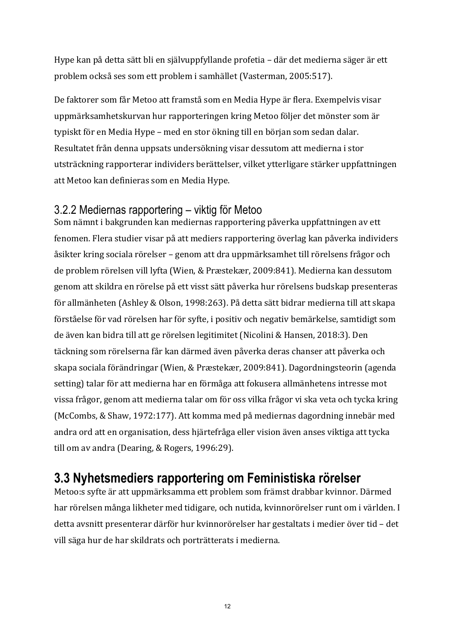Hype kan på detta sätt bli en självuppfyllande profetia – där det medierna säger är ett problem också ses som ett problem i samhället (Vasterman, 2005:517).

De faktorer som får Metoo att framstå som en Media Hype är flera. Exempelvis visar uppmärksamhetskurvan hur rapporteringen kring Metoo följer det mönster som är typiskt för en Media Hype – med en stor ökning till en början som sedan dalar. Resultatet från denna uppsats undersökning visar dessutom att medierna i stor utsträckning rapporterar individers berättelser, vilket ytterligare stärker uppfattningen att Metoo kan definieras som en Media Hype.

### 3.2.2 Mediernas rapportering – viktig för Metoo

Som nämnt i bakgrunden kan mediernas rapportering påverka uppfattningen av ett fenomen. Flera studier visar på att mediers rapportering överlag kan påverka individers åsikter kring sociala rörelser – genom att dra uppmärksamhet till rörelsens frågor och de problem rörelsen vill lyfta (Wien, & Præstekær, 2009:841). Medierna kan dessutom genom att skildra en rörelse på ett visst sätt påverka hur rörelsens budskap presenteras för allmänheten (Ashley & Olson, 1998:263). På detta sätt bidrar medierna till att skapa förståelse för vad rörelsen har för syfte, i positiv och negativ bemärkelse, samtidigt som de även kan bidra till att ge rörelsen legitimitet (Nicolini & Hansen, 2018:3). Den täckning som rörelserna får kan därmed även påverka deras chanser att påverka och skapa sociala förändringar (Wien, & Præstekær, 2009:841). Dagordningsteorin (agenda setting) talar för att medierna har en förmåga att fokusera allmänhetens intresse mot vissa frågor, genom att medierna talar om för oss vilka frågor vi ska veta och tycka kring (McCombs, & Shaw, 1972:177). Att komma med på mediernas dagordning innebär med andra ord att en organisation, dess hjärtefråga eller vision även anses viktiga att tycka till om av andra (Dearing,  $& Rogers, 1996:29$ ).

## **3.3 Nyhetsmediers rapportering om Feministiska rörelser**

Metoo:s syfte är att uppmärksamma ett problem som främst drabbar kvinnor. Därmed har rörelsen många likheter med tidigare, och nutida, kvinnorörelser runt om i världen. I detta avsnitt presenterar därför hur kvinnorörelser har gestaltats i medier över tid – det vill säga hur de har skildrats och porträtterats i medierna.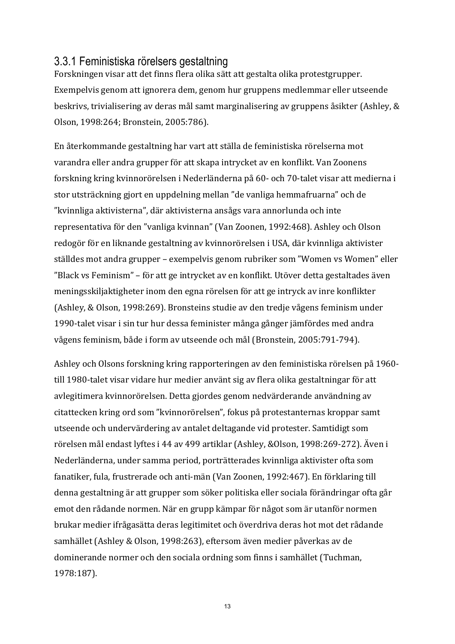#### 3.3.1 Feministiska rörelsers gestaltning

Forskningen visar att det finns flera olika sätt att gestalta olika protestgrupper. Exempelvis genom att ignorera dem, genom hur gruppens medlemmar eller utseende beskrivs, trivialisering av deras mål samt marginalisering av gruppens åsikter (Ashley, & Olson, 1998:264; Bronstein, 2005:786).

En återkommande gestaltning har vart att ställa de feministiska rörelserna mot varandra eller andra grupper för att skapa intrycket av en konflikt. Van Zoonens forskning kring kvinnorörelsen i Nederländerna på 60- och 70-talet visar att medierna i stor utsträckning gjort en uppdelning mellan "de vanliga hemmafruarna" och de "kvinnliga aktivisterna", där aktivisterna ansågs vara annorlunda och inte representativa för den "vanliga kvinnan" (Van Zoonen, 1992:468). Ashley och Olson redogör för en liknande gestaltning av kvinnorörelsen i USA, där kvinnliga aktivister ställdes mot andra grupper – exempelvis genom rubriker som "Women vs Women" eller "Black vs Feminism" – för att ge intrycket av en konflikt. Utöver detta gestaltades även meningsskiljaktigheter inom den egna rörelsen för att ge intryck av inre konflikter (Ashley, & Olson, 1998:269). Bronsteins studie av den tredje vågens feminism under 1990-talet visar i sin tur hur dessa feminister många gånger jämfördes med andra vågens feminism, både i form av utseende och mål (Bronstein, 2005:791-794).

Ashley och Olsons forskning kring rapporteringen av den feministiska rörelsen på 1960till 1980-talet visar vidare hur medier använt sig av flera olika gestaltningar för att avlegitimera kvinnorörelsen. Detta gjordes genom nedvärderande användning av citattecken kring ord som "kvinnorörelsen", fokus på protestanternas kroppar samt utseende och undervärdering av antalet deltagande vid protester. Samtidigt som rörelsen mål endast lyftes i 44 av 499 artiklar (Ashley, &Olson, 1998:269-272). Även i Nederländerna, under samma period, porträtterades kvinnliga aktivister ofta som fanatiker, fula, frustrerade och anti-män (Van Zoonen, 1992:467). En förklaring till denna gestaltning är att grupper som söker politiska eller sociala förändringar ofta går emot den rådande normen. När en grupp kämpar för något som är utanför normen brukar medier ifrågasätta deras legitimitet och överdriva deras hot mot det rådande samhället (Ashley & Olson, 1998:263), eftersom även medier påverkas av de dominerande normer och den sociala ordning som finns i samhället (Tuchman, 1978:187).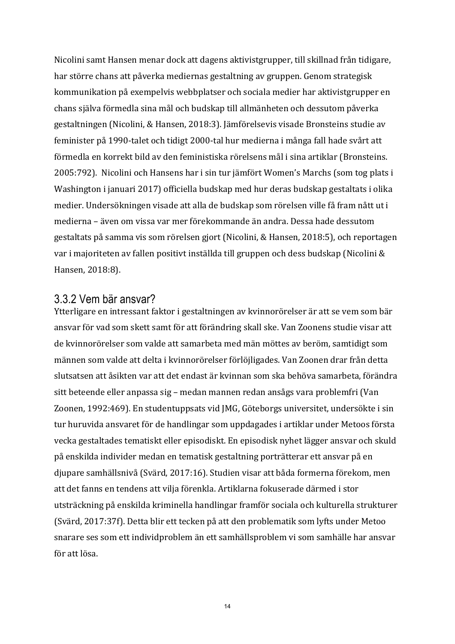Nicolini samt Hansen menar dock att dagens aktivistgrupper, till skillnad från tidigare, har större chans att påverka mediernas gestaltning av gruppen. Genom strategisk kommunikation på exempelvis webbplatser och sociala medier har aktivistgrupper en chans själva förmedla sina mål och budskap till allmänheten och dessutom påverka gestaltningen (Nicolini, & Hansen, 2018:3). Jämförelsevis visade Bronsteins studie av feminister på 1990-talet och tidigt 2000-tal hur medierna i många fall hade svårt att förmedla en korrekt bild av den feministiska rörelsens mål i sina artiklar (Bronsteins. 2005:792). Nicolini och Hansens har i sin tur jämfört Women's Marchs (som tog plats i Washington i januari 2017) officiella budskap med hur deras budskap gestaltats i olika medier. Undersökningen visade att alla de budskap som rörelsen ville få fram nått ut i medierna – även om vissa var mer förekommande än andra. Dessa hade dessutom gestaltats på samma vis som rörelsen gjort (Nicolini, & Hansen, 2018:5), och reportagen var i majoriteten av fallen positivt inställda till gruppen och dess budskap (Nicolini & Hansen, 2018:8).

#### 3.3.2 Vem bär ansvar?

Ytterligare en intressant faktor i gestaltningen av kvinnorörelser är att se vem som bär ansvar för vad som skett samt för att förändring skall ske. Van Zoonens studie visar att de kvinnorörelser som valde att samarbeta med män möttes av beröm, samtidigt som männen som valde att delta i kvinnorörelser förlöjligades. Van Zoonen drar från detta slutsatsen att åsikten var att det endast är kvinnan som ska behöva samarbeta, förändra sitt beteende eller anpassa sig – medan mannen redan ansågs vara problemfri (Van Zoonen, 1992:469). En studentuppsats vid JMG, Göteborgs universitet, undersökte i sin tur huruvida ansvaret för de handlingar som uppdagades i artiklar under Metoos första vecka gestaltades tematiskt eller episodiskt. En episodisk nyhet lägger ansvar och skuld på enskilda individer medan en tematisk gestaltning porträtterar ett ansvar på en djupare samhällsnivå (Svärd, 2017:16). Studien visar att båda formerna förekom, men att det fanns en tendens att vilja förenkla. Artiklarna fokuserade därmed i stor utsträckning på enskilda kriminella handlingar framför sociala och kulturella strukturer (Svärd, 2017:37f). Detta blir ett tecken på att den problematik som lyfts under Metoo snarare ses som ett individproblem än ett samhällsproblem vi som samhälle har ansvar för att lösa.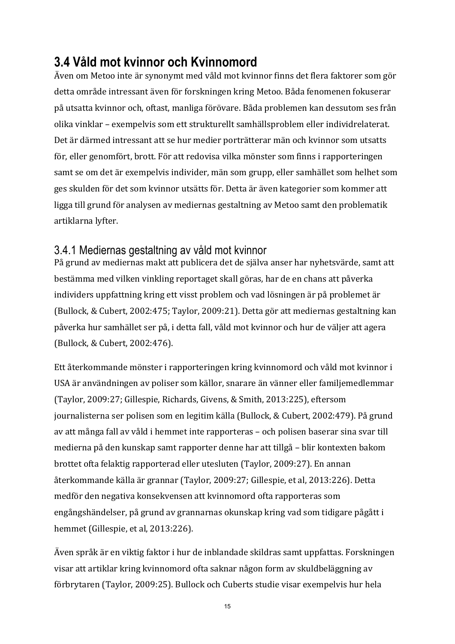## **3.4 Våld mot kvinnor och Kvinnomord**

Även om Metoo inte är synonymt med våld mot kvinnor finns det flera faktorer som gör detta område intressant även för forskningen kring Metoo. Båda fenomenen fokuserar på utsatta kvinnor och, oftast, manliga förövare. Båda problemen kan dessutom ses från olika vinklar – exempelvis som ett strukturellt samhällsproblem eller individrelaterat. Det är därmed intressant att se hur medier porträtterar män och kvinnor som utsatts för, eller genomfört, brott. För att redovisa vilka mönster som finns i rapporteringen samt se om det är exempelvis individer, män som grupp, eller samhället som helhet som ges skulden för det som kvinnor utsätts för. Detta är även kategorier som kommer att ligga till grund för analysen av mediernas gestaltning av Metoo samt den problematik artiklarna lyfter.

### 3.4.1 Mediernas gestaltning av våld mot kvinnor

På grund av mediernas makt att publicera det de själva anser har nyhetsvärde, samt att bestämma med vilken vinkling reportaget skall göras, har de en chans att påverka individers uppfattning kring ett visst problem och vad lösningen är på problemet är (Bullock, & Cubert, 2002:475; Taylor, 2009:21). Detta gör att mediernas gestaltning kan påverka hur samhället ser på, i detta fall, våld mot kvinnor och hur de väljer att agera (Bullock, & Cubert, 2002:476).

Ett återkommande mönster i rapporteringen kring kvinnomord och våld mot kvinnor i USA är användningen av poliser som källor, snarare än vänner eller familjemedlemmar (Taylor, 2009:27; Gillespie, Richards, Givens, & Smith, 2013:225), eftersom journalisterna ser polisen som en legitim källa (Bullock, & Cubert, 2002:479). På grund av att många fall av våld i hemmet inte rapporteras – och polisen baserar sina svar till medierna på den kunskap samt rapporter denne har att tillgå – blir kontexten bakom brottet ofta felaktig rapporterad eller utesluten (Taylor, 2009:27). En annan återkommande källa är grannar (Taylor, 2009:27; Gillespie, et al, 2013:226). Detta medför den negativa konsekvensen att kvinnomord ofta rapporteras som engångshändelser, på grund av grannarnas okunskap kring vad som tidigare pågått i hemmet (Gillespie, et al, 2013:226).

Även språk är en viktig faktor i hur de inblandade skildras samt uppfattas. Forskningen visar att artiklar kring kvinnomord ofta saknar någon form av skuldbeläggning av förbrytaren (Taylor, 2009:25). Bullock och Cuberts studie visar exempelvis hur hela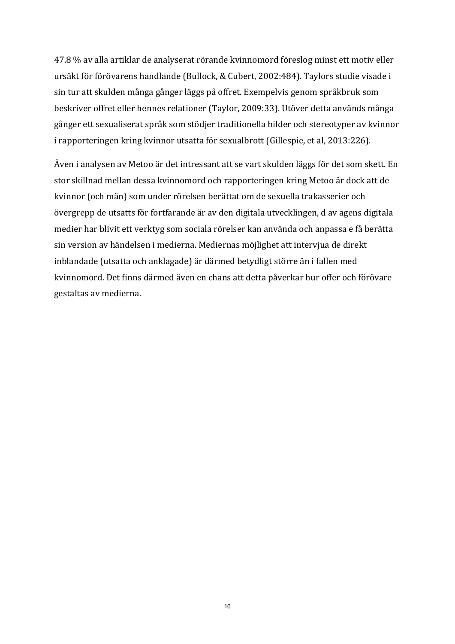47.8 % av alla artiklar de analyserat rörande kvinnomord föreslog minst ett motiv eller ursäkt för förövarens handlande (Bullock, & Cubert, 2002:484). Taylors studie visade i sin tur att skulden många gånger läggs på offret. Exempelvis genom språkbruk som beskriver offret eller hennes relationer (Taylor, 2009:33). Utöver detta används många gånger ett sexualiserat språk som stödjer traditionella bilder och stereotyper av kvinnor i rapporteringen kring kvinnor utsatta för sexualbrott (Gillespie, et al, 2013:226).

Även i analysen av Metoo är det intressant att se vart skulden läggs för det som skett. En stor skillnad mellan dessa kvinnomord och rapporteringen kring Metoo är dock att de kvinnor (och män) som under rörelsen berättat om de sexuella trakasserier och övergrepp de utsatts för fortfarande är av den digitala utvecklingen, d av agens digitala medier har blivit ett verktyg som sociala rörelser kan använda och anpassa e få berätta sin version av händelsen i medierna. Mediernas möjlighet att intervjua de direkt inblandade (utsatta och anklagade) är därmed betydligt större än i fallen med kvinnomord. Det finns därmed även en chans att detta påverkar hur offer och förövare gestaltas av medierna.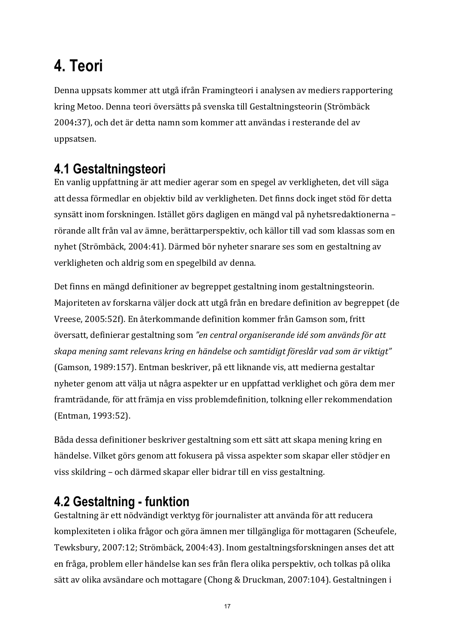# **4. Teori**

Denna uppsats kommer att utgå ifrån Framingteori i analysen av mediers rapportering kring Metoo. Denna teori översätts på svenska till Gestaltningsteorin (Strömbäck 2004:37), och det är detta namn som kommer att användas i resterande del av uppsatsen. 

## **4.1 Gestaltningsteori**

En vanlig uppfattning är att medier agerar som en spegel av verkligheten, det vill säga att dessa förmedlar en objektiv bild av verkligheten. Det finns dock inget stöd för detta synsätt inom forskningen. Istället görs dagligen en mängd val på nyhetsredaktionerna – rörande allt från val av ämne, berättarperspektiv, och källor till vad som klassas som en nyhet (Strömbäck, 2004:41). Därmed bör nyheter snarare ses som en gestaltning av verkligheten och aldrig som en spegelbild av denna.

Det finns en mängd definitioner av begreppet gestaltning inom gestaltningsteorin. Majoriteten av forskarna väljer dock att utgå från en bredare definition av begreppet (de Vreese, 2005:52f). En återkommande definition kommer från Gamson som, fritt översatt, definierar gestaltning som "en central organiserande idé som används för att skapa mening samt relevans kring en händelse och samtidigt föreslår vad som är viktigt" (Gamson, 1989:157). Entman beskriver, på ett liknande vis, att medierna gestaltar nyheter genom att välja ut några aspekter ur en uppfattad verklighet och göra dem mer framträdande, för att främja en viss problemdefinition, tolkning eller rekommendation (Entman, 1993:52).

Båda dessa definitioner beskriver gestaltning som ett sätt att skapa mening kring en händelse. Vilket görs genom att fokusera på vissa aspekter som skapar eller stödjer en viss skildring – och därmed skapar eller bidrar till en viss gestaltning.

# **4.2 Gestaltning - funktion**

Gestaltning är ett nödvändigt verktyg för journalister att använda för att reducera komplexiteten i olika frågor och göra ämnen mer tillgängliga för mottagaren (Scheufele, Tewksbury, 2007:12; Strömbäck, 2004:43). Inom gestaltningsforskningen anses det att en fråga, problem eller händelse kan ses från flera olika perspektiv, och tolkas på olika sätt av olika avsändare och mottagare (Chong & Druckman, 2007:104). Gestaltningen i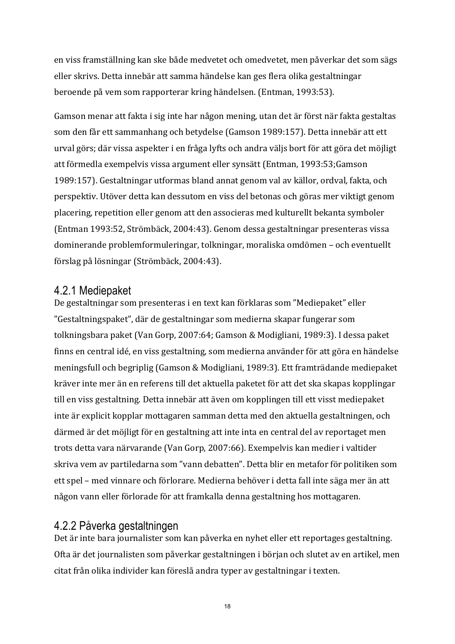en viss framställning kan ske både medvetet och omedvetet, men påverkar det som sägs eller skrivs. Detta innebär att samma händelse kan ges flera olika gestaltningar beroende på vem som rapporterar kring händelsen. (Entman, 1993:53).

Gamson menar att fakta i sig inte har någon mening, utan det är först när fakta gestaltas som den får ett sammanhang och betydelse (Gamson 1989:157). Detta innebär att ett urval görs; där vissa aspekter i en fråga lyfts och andra väljs bort för att göra det möjligt att förmedla exempelvis vissa argument eller synsätt (Entman, 1993:53;Gamson 1989:157). Gestaltningar utformas bland annat genom val av källor, ordval, fakta, och perspektiv. Utöver detta kan dessutom en viss del betonas och göras mer viktigt genom placering, repetition eller genom att den associeras med kulturellt bekanta symboler (Entman 1993:52, Strömbäck, 2004:43). Genom dessa gestaltningar presenteras vissa dominerande problemformuleringar, tolkningar, moraliska omdömen – och eventuellt förslag på lösningar (Strömbäck, 2004:43).

#### 4.2.1 Mediepaket

De gestaltningar som presenteras i en text kan förklaras som "Mediepaket" eller "Gestaltningspaket", där de gestaltningar som medierna skapar fungerar som tolkningsbara paket (Van Gorp, 2007:64; Gamson & Modigliani, 1989:3). I dessa paket finns en central idé, en viss gestaltning, som medierna använder för att göra en händelse meningsfull och begriplig (Gamson & Modigliani, 1989:3). Ett framträdande mediepaket kräver inte mer än en referens till det aktuella paketet för att det ska skapas kopplingar till en viss gestaltning. Detta innebär att även om kopplingen till ett visst mediepaket inte är explicit kopplar mottagaren samman detta med den aktuella gestaltningen, och därmed är det möjligt för en gestaltning att inte inta en central del av reportaget men trots detta vara närvarande (Van Gorp, 2007:66). Exempelvis kan medier i valtider skriva vem av partiledarna som "vann debatten". Detta blir en metafor för politiken som ett spel – med vinnare och förlorare. Medierna behöver i detta fall inte säga mer än att någon vann eller förlorade för att framkalla denna gestaltning hos mottagaren.

#### 4.2.2 Påverka gestaltningen

Det är inte bara journalister som kan påverka en nyhet eller ett reportages gestaltning. Ofta är det journalisten som påverkar gestaltningen i början och slutet av en artikel, men citat från olika individer kan föreslå andra typer av gestaltningar i texten.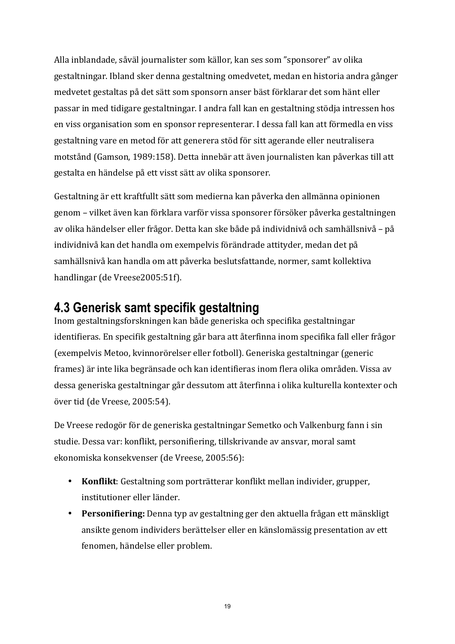Alla inblandade, såväl journalister som källor, kan ses som "sponsorer" av olika gestaltningar. Ibland sker denna gestaltning omedvetet, medan en historia andra gånger medvetet gestaltas på det sätt som sponsorn anser bäst förklarar det som hänt eller passar in med tidigare gestaltningar. I andra fall kan en gestaltning stödja intressen hos en viss organisation som en sponsor representerar. I dessa fall kan att förmedla en viss gestaltning vare en metod för att generera stöd för sitt agerande eller neutralisera motstånd (Gamson, 1989:158). Detta innebär att även journalisten kan påverkas till att gestalta en händelse på ett visst sätt av olika sponsorer.

Gestaltning är ett kraftfullt sätt som medierna kan påverka den allmänna opinionen genom – vilket även kan förklara varför vissa sponsorer försöker påverka gestaltningen av olika händelser eller frågor. Detta kan ske både på individnivå och samhällsnivå – på individnivå kan det handla om exempelvis förändrade attityder, medan det på samhällsnivå kan handla om att påverka beslutsfattande, normer, samt kollektiva handlingar (de Vreese2005:51f).

### **4.3 Generisk samt specifik gestaltning**

Inom gestaltningsforskningen kan både generiska och specifika gestaltningar identifieras. En specifik gestaltning går bara att återfinna inom specifika fall eller frågor (exempelvis Metoo, kvinnorörelser eller fotboll). Generiska gestaltningar (generic frames) är inte lika begränsade och kan identifieras inom flera olika områden. Vissa av dessa generiska gestaltningar går dessutom att återfinna i olika kulturella kontexter och över tid (de Vreese, 2005:54).

De Vreese redogör för de generiska gestaltningar Semetko och Valkenburg fann i sin studie. Dessa var: konflikt, personifiering, tillskrivande av ansvar, moral samt ekonomiska konsekvenser (de Vreese, 2005:56):

- Konflikt: Gestaltning som porträtterar konflikt mellan individer, grupper, institutioner eller länder.
- Personifiering: Denna typ av gestaltning ger den aktuella frågan ett mänskligt ansikte genom individers berättelser eller en känslomässig presentation av ett fenomen, händelse eller problem.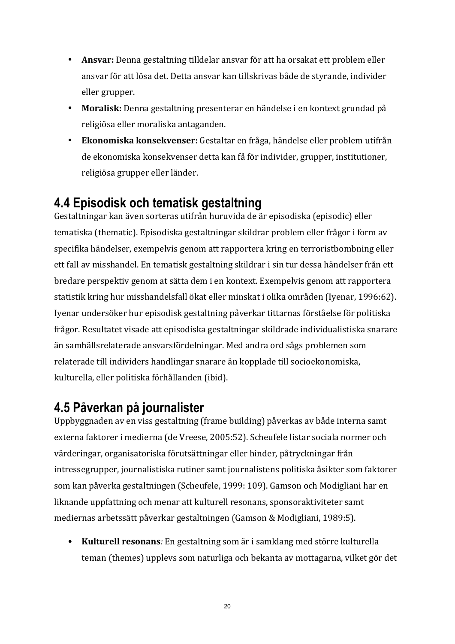- **Ansvar:** Denna gestaltning tilldelar ansvar för att ha orsakat ett problem eller ansvar för att lösa det. Detta ansvar kan tillskrivas både de styrande, individer eller grupper.
- Moralisk: Denna gestaltning presenterar en händelse i en kontext grundad på religiösa eller moraliska antaganden.
- **Ekonomiska konsekvenser:** Gestaltar en fråga, händelse eller problem utifrån de ekonomiska konsekvenser detta kan få för individer, grupper, institutioner, religiösa grupper eller länder.

### **4.4 Episodisk och tematisk gestaltning**

Gestaltningar kan även sorteras utifrån huruvida de är episodiska (episodic) eller tematiska (thematic). Episodiska gestaltningar skildrar problem eller frågor i form av specifika händelser, exempelvis genom att rapportera kring en terroristbombning eller ett fall av misshandel. En tematisk gestaltning skildrar i sin tur dessa händelser från ett bredare perspektiv genom at sätta dem i en kontext. Exempelvis genom att rapportera statistik kring hur misshandelsfall ökat eller minskat i olika områden (Iyenar, 1996:62). Iyenar undersöker hur episodisk gestaltning påverkar tittarnas förståelse för politiska frågor. Resultatet visade att episodiska gestaltningar skildrade individualistiska snarare än samhällsrelaterade ansvarsfördelningar. Med andra ord sågs problemen som relaterade till individers handlingar snarare än kopplade till socioekonomiska, kulturella, eller politiska förhållanden (ibid).

## **4.5 Påverkan på journalister**

Uppbyggnaden av en viss gestaltning (frame building) påverkas av både interna samt externa faktorer i medierna (de Vreese, 2005:52). Scheufele listar sociala normer och värderingar, organisatoriska förutsättningar eller hinder, påtryckningar från intressegrupper, journalistiska rutiner samt journalistens politiska åsikter som faktorer som kan påverka gestaltningen (Scheufele, 1999: 109). Gamson och Modigliani har en liknande uppfattning och menar att kulturell resonans, sponsoraktiviteter samt mediernas arbetssätt påverkar gestaltningen (Gamson & Modigliani, 1989:5).

• Kulturell resonans: En gestaltning som är i samklang med större kulturella teman (themes) uppleys som naturliga och bekanta av mottagarna, vilket gör det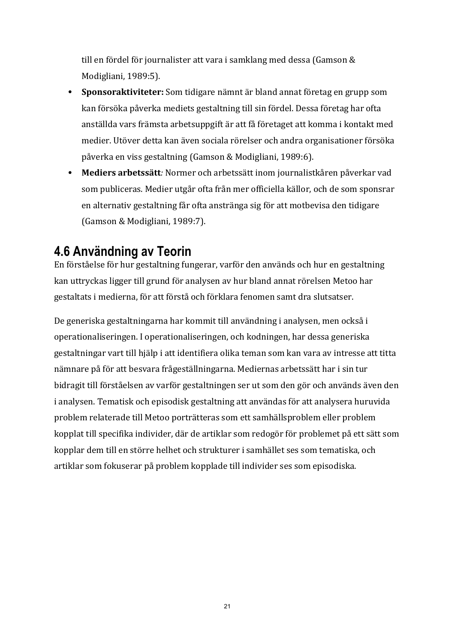till en fördel för journalister att vara i samklang med dessa (Gamson  $&$ Modigliani, 1989:5).

- **Sponsoraktiviteter:** Som tidigare nämnt är bland annat företag en grupp som kan försöka påverka mediets gestaltning till sin fördel. Dessa företag har ofta anställda vars främsta arbetsuppgift är att få företaget att komma i kontakt med medier. Utöver detta kan även sociala rörelser och andra organisationer försöka påverka en viss gestaltning (Gamson & Modigliani, 1989:6).
- Mediers arbetssätt: Normer och arbetssätt inom journalistkåren påverkar vad som publiceras. Medier utgår ofta från mer officiella källor, och de som sponsrar en alternativ gestaltning får ofta anstränga sig för att motbevisa den tidigare (Gamson & Modigliani, 1989:7).

### **4.6 Användning av Teorin**

En förståelse för hur gestaltning fungerar, varför den används och hur en gestaltning kan uttryckas ligger till grund för analysen av hur bland annat rörelsen Metoo har gestaltats i medierna, för att förstå och förklara fenomen samt dra slutsatser.

De generiska gestaltningarna har kommit till användning i analysen, men också i operationaliseringen. I operationaliseringen, och kodningen, har dessa generiska gestaltningar vart till hjälp i att identifiera olika teman som kan vara av intresse att titta nämnare på för att besvara frågeställningarna. Mediernas arbetssätt har i sin tur bidragit till förståelsen av varför gestaltningen ser ut som den gör och används även den i analysen. Tematisk och episodisk gestaltning att användas för att analysera huruvida problem relaterade till Metoo porträtteras som ett samhällsproblem eller problem kopplat till specifika individer, där de artiklar som redogör för problemet på ett sätt som kopplar dem till en större helhet och strukturer i samhället ses som tematiska, och artiklar som fokuserar på problem kopplade till individer ses som episodiska.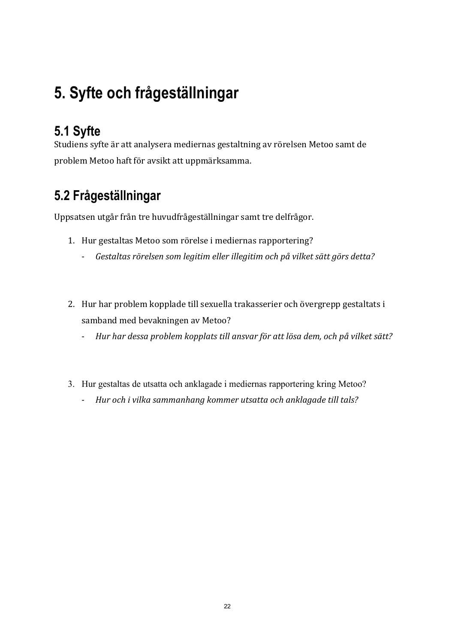# **5. Syfte och frågeställningar**

# **5.1 Syfte**

Studiens syfte är att analysera mediernas gestaltning av rörelsen Metoo samt de problem Metoo haft för avsikt att uppmärksamma.

# **5.2 Frågeställningar**

Uppsatsen utgår från tre huvudfrågeställningar samt tre delfrågor.

- 1. Hur gestaltas Metoo som rörelse i mediernas rapportering?
	- *Gestaltas rörelsen som legitim eller illegitim och på vilket sätt görs detta?*
- 2. Hur har problem kopplade till sexuella trakasserier och övergrepp gestaltats i samband med bevakningen av Metoo?
	- Hur har dessa problem kopplats till ansvar för att lösa dem, och på vilket sätt?
- 3. Hur gestaltas de utsatta och anklagade i mediernas rapportering kring Metoo?
	- *Hur* och *i* vilka sammanhang kommer utsatta och anklagade till tals?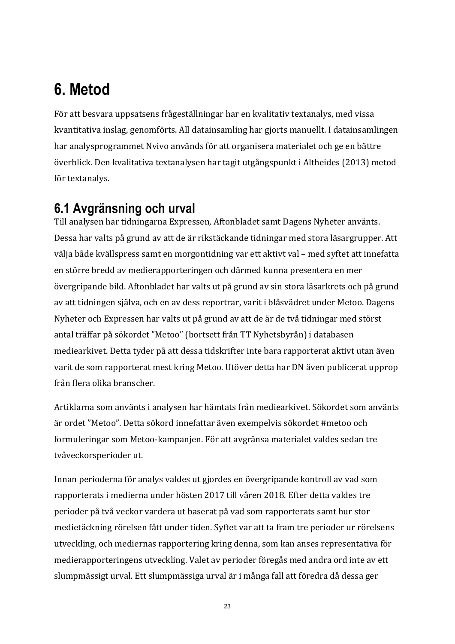# **6. Metod**

För att besvara uppsatsens frågeställningar har en kvalitativ textanalys, med vissa kvantitativa inslag, genomförts. All datainsamling har gjorts manuellt. I datainsamlingen har analysprogrammet Nvivo används för att organisera materialet och ge en bättre överblick. Den kvalitativa textanalysen har tagit utgångspunkt i Altheides (2013) metod för textanalys.

## **6.1 Avgränsning och urval**

Till analysen har tidningarna Expressen, Aftonbladet samt Dagens Nyheter använts. Dessa har valts på grund av att de är rikstäckande tidningar med stora läsargrupper. Att välja både kvällspress samt en morgontidning var ett aktivt val – med syftet att innefatta en större bredd av medierapporteringen och därmed kunna presentera en mer övergripande bild. Aftonbladet har valts ut på grund av sin stora läsarkrets och på grund av att tidningen själva, och en av dess reportrar, varit i blåsvädret under Metoo. Dagens Nyheter och Expressen har valts ut på grund av att de är de två tidningar med störst antal träffar på sökordet "Metoo" (bortsett från TT Nyhetsbyrån) i databasen mediearkivet. Detta tyder på att dessa tidskrifter inte bara rapporterat aktivt utan även varit de som rapporterat mest kring Metoo. Utöver detta har DN även publicerat upprop från flera olika branscher.

Artiklarna som använts i analysen har hämtats från mediearkivet. Sökordet som använts är ordet "Metoo". Detta sökord innefattar även exempelvis sökordet #metoo och formuleringar som Metoo-kampanjen. För att avgränsa materialet valdes sedan tre tvåveckorsperioder ut.

Innan perioderna för analys valdes ut gjordes en övergripande kontroll av vad som rapporterats i medierna under hösten 2017 till våren 2018. Efter detta valdes tre perioder på två veckor vardera ut baserat på vad som rapporterats samt hur stor medietäckning rörelsen fått under tiden. Syftet var att ta fram tre perioder ur rörelsens utveckling, och mediernas rapportering kring denna, som kan anses representativa för medierapporteringens utveckling. Valet av perioder föregås med andra ord inte av ett slumpmässigt urval. Ett slumpmässiga urval är i många fall att föredra då dessa ger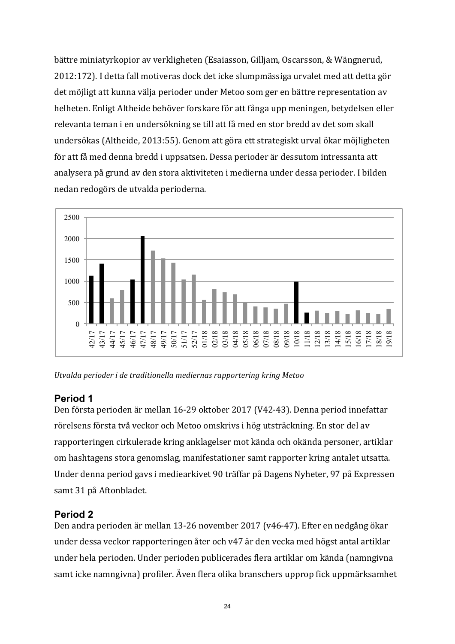bättre miniatyrkopior av verkligheten (Esaiasson, Gilljam, Oscarsson, & Wängnerud, 2012:172). I detta fall motiveras dock det icke slumpmässiga urvalet med att detta gör det möjligt att kunna välja perioder under Metoo som ger en bättre representation av helheten. Enligt Altheide behöver forskare för att fånga upp meningen, betydelsen eller relevanta teman i en undersökning se till att få med en stor bredd av det som skall undersökas (Altheide, 2013:55). Genom att göra ett strategiskt urval ökar möjligheten för att få med denna bredd i uppsatsen. Dessa perioder är dessutom intressanta att analysera på grund av den stora aktiviteten i medierna under dessa perioder. I bilden nedan redogörs de utvalda perioderna.



*Utvalda perioder i de traditionella mediernas rapportering kring Metoo*

#### **Period 1**

Den första perioden är mellan 16-29 oktober 2017 (V42-43). Denna period innefattar rörelsens första två veckor och Metoo omskrivs i hög utsträckning. En stor del av rapporteringen cirkulerade kring anklagelser mot kända och okända personer, artiklar om hashtagens stora genomslag, manifestationer samt rapporter kring antalet utsatta. Under denna period gavs i mediearkivet 90 träffar på Dagens Nyheter, 97 på Expressen samt 31 på Aftonbladet.

#### **Period 2**

Den andra perioden är mellan 13-26 november 2017 (v46-47). Efter en nedgång ökar under dessa veckor rapporteringen åter och v47 är den vecka med högst antal artiklar under hela perioden. Under perioden publicerades flera artiklar om kända (namngivna samt icke namngivna) profiler. Även flera olika branschers upprop fick uppmärksamhet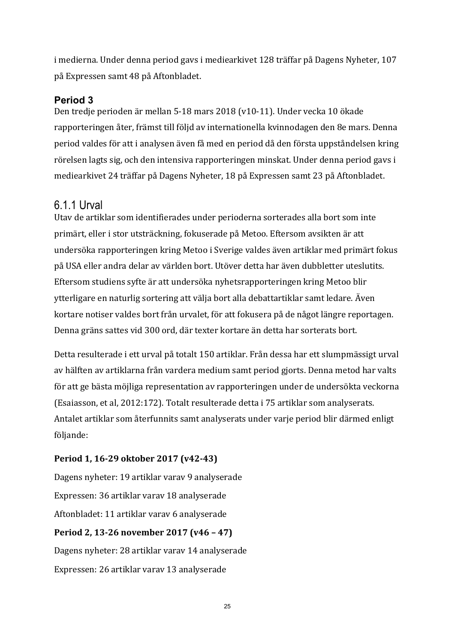i medierna. Under denna period gavs i mediearkivet 128 träffar på Dagens Nyheter, 107 på Expressen samt 48 på Aftonbladet. 

#### **Period 3**

Den tredje perioden är mellan 5-18 mars 2018 (v10-11). Under vecka 10 ökade rapporteringen åter, främst till följd av internationella kvinnodagen den 8e mars. Denna period valdes för att i analysen även få med en period då den första uppståndelsen kring rörelsen lagts sig, och den intensiva rapporteringen minskat. Under denna period gavs i mediearkivet 24 träffar på Dagens Nyheter, 18 på Expressen samt 23 på Aftonbladet.

### 6.1.1 Urval

Utav de artiklar som identifierades under perioderna sorterades alla bort som inte primärt, eller i stor utsträckning, fokuserade på Metoo. Eftersom avsikten är att undersöka rapporteringen kring Metoo i Sverige valdes även artiklar med primärt fokus på USA eller andra delar av världen bort. Utöver detta har även dubbletter uteslutits. Eftersom studiens syfte är att undersöka nyhetsrapporteringen kring Metoo blir ytterligare en naturlig sortering att välja bort alla debattartiklar samt ledare. Även kortare notiser valdes bort från urvalet, för att fokusera på de något längre reportagen. Denna gräns sattes vid 300 ord, där texter kortare än detta har sorterats bort.

Detta resulterade i ett urval på totalt 150 artiklar. Från dessa har ett slumpmässigt urval av hälften av artiklarna från vardera medium samt period gjorts. Denna metod har valts för att ge bästa möjliga representation av rapporteringen under de undersökta veckorna (Esaiasson, et al, 2012:172). Totalt resulterade detta i 75 artiklar som analyserats. Antalet artiklar som återfunnits samt analyserats under varje period blir därmed enligt följande:

#### **Period 1, 16-29 oktober 2017 (v42-43)**

Dagens nyheter: 19 artiklar varav 9 analyserade Expressen: 36 artiklar varav 18 analyserade Aftonbladet: 11 artiklar varav 6 analyserade

#### **Period 2, 13-26 november 2017 (v46 - 47)**

Dagens nyheter: 28 artiklar varav 14 analyserade Expressen: 26 artiklar varav 13 analyserade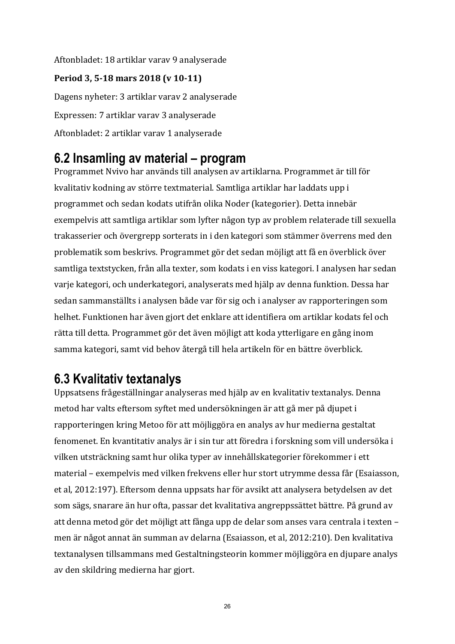Aftonbladet: 18 artiklar varav 9 analyserade Period 3, 5-18 mars 2018 (v 10-11) Dagens nyheter: 3 artiklar varav 2 analyserade Expressen: 7 artiklar varav 3 analyserade Aftonbladet: 2 artiklar varav 1 analyserade

### **6.2 Insamling av material – program**

Programmet Nvivo har används till analysen av artiklarna. Programmet är till för kvalitativ kodning av större textmaterial. Samtliga artiklar har laddats upp i programmet och sedan kodats utifrån olika Noder (kategorier). Detta innebär exempelvis att samtliga artiklar som lyfter någon typ av problem relaterade till sexuella trakasserier och övergrepp sorterats in i den kategori som stämmer överrens med den problematik som beskrivs. Programmet gör det sedan möjligt att få en överblick över samtliga textstycken, från alla texter, som kodats i en viss kategori. I analysen har sedan varje kategori, och underkategori, analyserats med hjälp av denna funktion. Dessa har sedan sammanställts i analysen både var för sig och i analyser av rapporteringen som helhet. Funktionen har även gjort det enklare att identifiera om artiklar kodats fel och rätta till detta. Programmet gör det även möjligt att koda ytterligare en gång inom samma kategori, samt vid behov återgå till hela artikeln för en bättre överblick.

## **6.3 Kvalitativ textanalys**

Uppsatsens frågeställningar analyseras med hjälp av en kvalitativ textanalys. Denna metod har valts eftersom syftet med undersökningen är att gå mer på djupet i rapporteringen kring Metoo för att möjliggöra en analys av hur medierna gestaltat fenomenet. En kvantitativ analys är i sin tur att föredra i forskning som vill undersöka i vilken utsträckning samt hur olika typer av innehållskategorier förekommer i ett material – exempelvis med vilken frekvens eller hur stort utrymme dessa får (Esaiasson, et al, 2012:197). Eftersom denna uppsats har för avsikt att analysera betydelsen av det som sägs, snarare än hur ofta, passar det kvalitativa angreppssättet bättre. På grund av att denna metod gör det möjligt att fånga upp de delar som anses vara centrala i texten – men är något annat än summan av delarna (Esaiasson, et al, 2012:210). Den kvalitativa textanalysen tillsammans med Gestaltningsteorin kommer möjliggöra en djupare analys av den skildring medierna har gjort.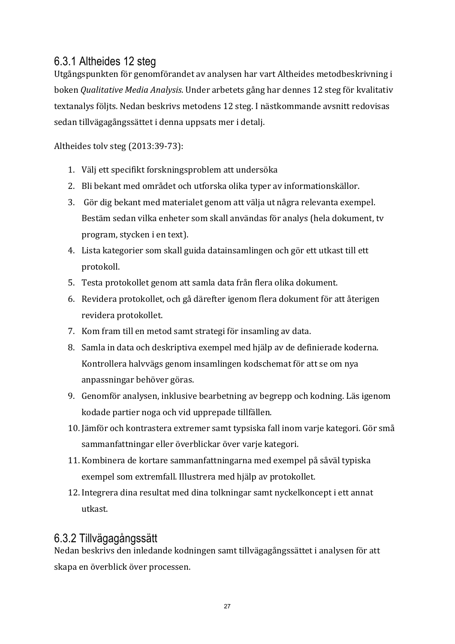### 6.3.1 Altheides 12 steg

Utgångspunkten för genomförandet av analysen har vart Altheides metodbeskrivning i boken *Qualitative Media Analysis*. Under arbetets gång har dennes 12 steg för kvalitativ textanalys följts. Nedan beskrivs metodens 12 steg. I nästkommande avsnitt redovisas sedan tillvägagångssättet i denna uppsats mer i detalj.

Altheides tolv steg (2013:39-73):

- 1. Välj ett specifikt forskningsproblem att undersöka
- 2. Bli bekant med området och utforska olika typer av informationskällor.
- 3. Gör dig bekant med materialet genom att välja ut några relevanta exempel. Bestäm sedan vilka enheter som skall användas för analys (hela dokument, tv program, stycken i en text).
- 4. Lista kategorier som skall guida datainsamlingen och gör ett utkast till ett protokoll.
- 5. Testa protokollet genom att samla data från flera olika dokument.
- 6. Revidera protokollet, och gå därefter igenom flera dokument för att återigen revidera protokollet.
- 7. Kom fram till en metod samt strategi för insamling av data.
- 8. Samla in data och deskriptiva exempel med hiälp av de definierade koderna. Kontrollera halvvägs genom insamlingen kodschemat för att se om nya anpassningar behöver göras.
- 9. Genomför analysen, inklusive bearbetning av begrepp och kodning. Läs igenom kodade partier noga och vid upprepade tillfällen.
- 10. Jämför och kontrastera extremer samt typsiska fall inom varje kategori. Gör små sammanfattningar eller överblickar över varje kategori.
- 11. Kombinera de kortare sammanfattningarna med exempel på såväl typiska exempel som extremfall. Illustrera med hjälp av protokollet.
- 12. Integrera dina resultat med dina tolkningar samt nyckelkoncept i ett annat utkast.

### 6.3.2 Tillvägagångssätt

Nedan beskrivs den inledande kodningen samt tillvägagångssättet i analysen för att skapa en överblick över processen.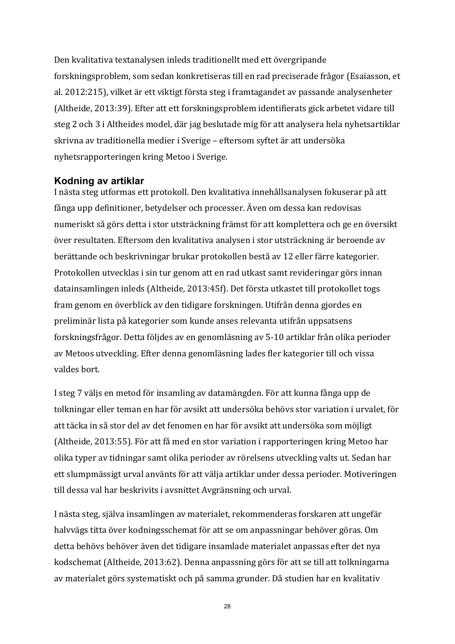Den kvalitativa textanalysen inleds traditionellt med ett övergripande forskningsproblem, som sedan konkretiseras till en rad preciserade frågor (Esaiasson, et al. 2012:215), vilket är ett viktigt första steg i framtagandet av passande analysenheter (Altheide, 2013:39). Efter att ett forskningsproblem identifierats gick arbetet vidare till steg 2 och 3 i Altheides model, där jag beslutade mig för att analysera hela nyhetsartiklar skrivna av traditionella medier i Sverige – eftersom syftet är att undersöka nyhetsrapporteringen kring Metoo i Sverige.

#### **Kodning av artiklar**

I nästa steg utformas ett protokoll. Den kvalitativa innehållsanalysen fokuserar på att fånga upp definitioner, betydelser och processer. Även om dessa kan redovisas numeriskt så görs detta i stor utsträckning främst för att komplettera och ge en översikt över resultaten. Eftersom den kvalitativa analysen i stor utsträckning är beroende av berättande och beskrivningar brukar protokollen bestå av 12 eller färre kategorier. Protokollen utvecklas i sin tur genom att en rad utkast samt revideringar görs innan datainsamlingen inleds (Altheide, 2013:45f). Det första utkastet till protokollet togs fram genom en överblick av den tidigare forskningen. Utifrån denna gjordes en preliminär lista på kategorier som kunde anses relevanta utifrån uppsatsens forskningsfrågor. Detta följdes av en genomläsning av 5-10 artiklar från olika perioder av Metoos utveckling. Efter denna genomläsning lades fler kategorier till och vissa valdes bort.

I steg 7 väljs en metod för insamling av datamängden. För att kunna fånga upp de tolkningar eller teman en har för avsikt att undersöka behövs stor variation i urvalet, för att täcka in så stor del av det fenomen en har för avsikt att undersöka som möjligt (Altheide, 2013:55). För att få med en stor variation i rapporteringen kring Metoo har olika typer av tidningar samt olika perioder av rörelsens utveckling valts ut. Sedan har ett slumpmässigt urval använts för att välja artiklar under dessa perioder. Motiveringen till dessa val har beskrivits i avsnittet Avgränsning och urval.

I nästa steg, själva insamlingen av materialet, rekommenderas forskaren att ungefär halvvägs titta över kodningsschemat för att se om anpassningar behöver göras. Om detta behövs behöver även det tidigare insamlade materialet anpassas efter det nya kodschemat (Altheide, 2013:62). Denna anpassning görs för att se till att tolkningarna av materialet görs systematiskt och på samma grunder. Då studien har en kvalitativ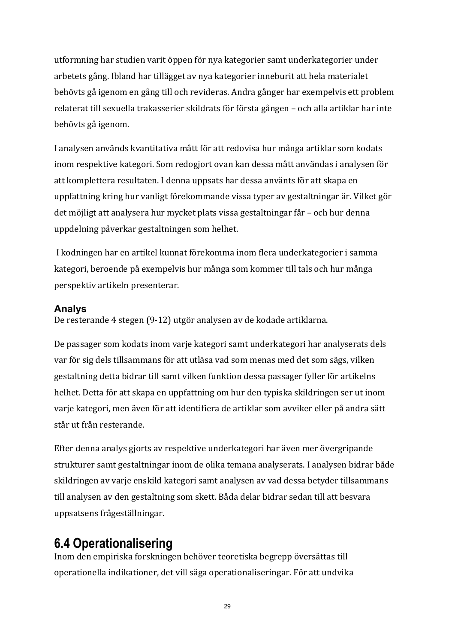utformning har studien varit öppen för nya kategorier samt underkategorier under arbetets gång. Ibland har tillägget av nya kategorier inneburit att hela materialet behövts gå igenom en gång till och revideras. Andra gånger har exempelvis ett problem relaterat till sexuella trakasserier skildrats för första gången - och alla artiklar har inte behövts gå igenom.

I analysen används kvantitativa mått för att redovisa hur många artiklar som kodats inom respektive kategori. Som redogjort ovan kan dessa mått användas i analysen för att komplettera resultaten. I denna uppsats har dessa använts för att skapa en uppfattning kring hur vanligt förekommande vissa typer av gestaltningar är. Vilket gör det möjligt att analysera hur mycket plats vissa gestaltningar får – och hur denna uppdelning påverkar gestaltningen som helhet.

I kodningen har en artikel kunnat förekomma inom flera underkategorier i samma kategori, beroende på exempelvis hur många som kommer till tals och hur många perspektiv artikeln presenterar. 

#### **Analys**

De resterande 4 stegen (9-12) utgör analysen av de kodade artiklarna.

De passager som kodats inom varje kategori samt underkategori har analyserats dels var för sig dels tillsammans för att utläsa vad som menas med det som sägs, vilken gestaltning detta bidrar till samt vilken funktion dessa passager fyller för artikelns helhet. Detta för att skapa en uppfattning om hur den typiska skildringen ser ut inom varje kategori, men även för att identifiera de artiklar som avviker eller på andra sätt står ut från resterande.

Efter denna analys gjorts av respektive underkategori har även mer övergripande strukturer samt gestaltningar inom de olika temana analyserats. I analysen bidrar både skildringen av varje enskild kategori samt analysen av vad dessa betyder tillsammans till analysen av den gestaltning som skett. Båda delar bidrar sedan till att besvara uppsatsens frågeställningar. 

## **6.4 Operationalisering**

Inom den empiriska forskningen behöver teoretiska begrepp översättas till operationella indikationer, det vill säga operationaliseringar. För att undvika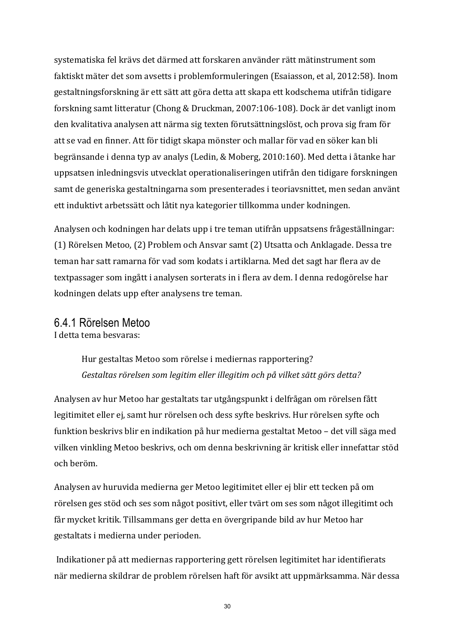systematiska fel krävs det därmed att forskaren använder rätt mätinstrument som faktiskt mäter det som avsetts i problemformuleringen (Esaiasson, et al, 2012:58). Inom gestaltningsforskning är ett sätt att göra detta att skapa ett kodschema utifrån tidigare forskning samt litteratur (Chong & Druckman, 2007:106-108). Dock är det vanligt inom den kvalitativa analysen att närma sig texten förutsättningslöst, och prova sig fram för att se vad en finner. Att för tidigt skapa mönster och mallar för vad en söker kan bli begränsande i denna typ av analys (Ledin, & Moberg, 2010:160). Med detta i åtanke har uppsatsen inledningsvis utvecklat operationaliseringen utifrån den tidigare forskningen samt de generiska gestaltningarna som presenterades i teoriavsnittet, men sedan använt ett induktivt arbetssätt och låtit nya kategorier tillkomma under kodningen.

Analysen och kodningen har delats upp i tre teman utifrån uppsatsens frågeställningar: (1) Rörelsen Metoo, (2) Problem och Ansvar samt (2) Utsatta och Anklagade. Dessa tre teman har satt ramarna för vad som kodats i artiklarna. Med det sagt har flera av de textpassager som ingått i analysen sorterats in i flera av dem. I denna redogörelse har kodningen delats upp efter analysens tre teman.

#### 6.4.1 Rörelsen Metoo

I detta tema besvaras:

Hur gestaltas Metoo som rörelse i mediernas rapportering? Gestaltas rörelsen som legitim eller illegitim och på vilket sätt görs detta?

Analysen av hur Metoo har gestaltats tar utgångspunkt i delfrågan om rörelsen fått legitimitet eller ej, samt hur rörelsen och dess syfte beskrivs. Hur rörelsen syfte och funktion beskrivs blir en indikation på hur medierna gestaltat Metoo – det vill säga med vilken vinkling Metoo beskrivs, och om denna beskrivning är kritisk eller innefattar stöd och beröm. 

Analysen av huruvida medierna ger Metoo legitimitet eller ej blir ett tecken på om rörelsen ges stöd och ses som något positivt, eller tvärt om ses som något illegitimt och får mycket kritik. Tillsammans ger detta en övergripande bild av hur Metoo har gestaltats i medierna under perioden.

Indikationer på att mediernas rapportering gett rörelsen legitimitet har identifierats när medierna skildrar de problem rörelsen haft för avsikt att uppmärksamma. När dessa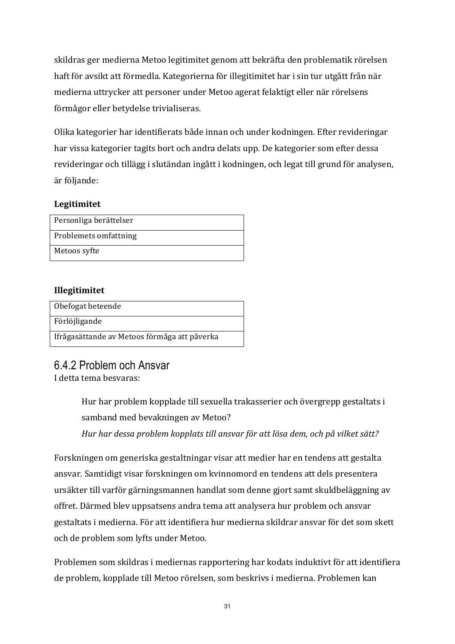skildras ger medierna Metoo legitimitet genom att bekräfta den problematik rörelsen haft för avsikt att förmedla. Kategorierna för illegitimitet har i sin tur utgått från när medierna uttrycker att personer under Metoo agerat felaktigt eller när rörelsens förmågor eller betydelse trivialiseras.

Olika kategorier har identifierats både innan och under kodningen. Efter revideringar har vissa kategorier tagits bort och andra delats upp. De kategorier som efter dessa revideringar och tillägg i slutändan ingått i kodningen, och legat till grund för analysen, är följande:

#### Legitimitet

| Personliga berättelser |
|------------------------|
| Problemets omfattning  |
| Metoos syfte           |

### **Illegitimitet**

| Obefogat beteende                            |
|----------------------------------------------|
| Förlöjligande                                |
| Ifrågasättande av Metoos förmåga att påverka |

## 6.4.2 Problem och Ansvar

I detta tema besvaras:

Hur har problem kopplade till sexuella trakasserier och övergrepp gestaltats i samband med bevakningen av Metoo?

Hur har dessa problem kopplats till ansvar för att lösa dem, och på vilket sätt?

Forskningen om generiska gestaltningar visar att medier har en tendens att gestalta ansvar. Samtidigt visar forskningen om kvinnomord en tendens att dels presentera ursäkter till varför gärningsmannen handlat som denne gjort samt skuldbeläggning av offret. Därmed blev uppsatsens andra tema att analysera hur problem och ansvar gestaltats i medierna. För att identifiera hur medierna skildrar ansvar för det som skett och de problem som lyfts under Metoo.

Problemen som skildras i mediernas rapportering har kodats induktivt för att identifiera de problem, kopplade till Metoo rörelsen, som beskrivs i medierna. Problemen kan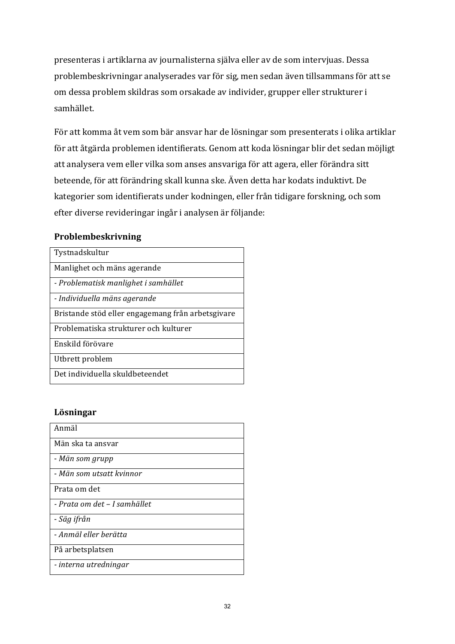presenteras i artiklarna av journalisterna själva eller av de som intervjuas. Dessa problembeskrivningar analyserades var för sig, men sedan även tillsammans för att se om dessa problem skildras som orsakade av individer, grupper eller strukturer i samhället. 

För att komma åt vem som bär ansvar har de lösningar som presenterats i olika artiklar för att åtgärda problemen identifierats. Genom att koda lösningar blir det sedan möjligt att analysera vem eller vilka som anses ansvariga för att agera, eller förändra sitt beteende, för att förändring skall kunna ske. Även detta har kodats induktivt. De kategorier som identifierats under kodningen, eller från tidigare forskning, och som efter diverse revideringar ingår i analysen är följande:

#### **Problembeskrivning**

| Tystnadskultur                                    |
|---------------------------------------------------|
| Manlighet och mäns agerande                       |
| - Problematisk manlighet i samhället              |
| - Individuella mäns agerande                      |
| Bristande stöd eller engagemang från arbetsgivare |
| Problematiska strukturer och kulturer             |
| Enskild förövare                                  |
| Utbrett problem                                   |
| Det individuella skuldbeteendet                   |

#### **Lösningar**

| Anmäl                        |
|------------------------------|
| Män ska ta ansvar            |
| - Män som grupp              |
| - Män som utsatt kvinnor     |
| Prata om det                 |
| - Prata om det - I samhället |
| - Säg ifrån                  |
| - Anmäl eller berätta        |
| På arbetsplatsen             |
| - interna utredningar        |
|                              |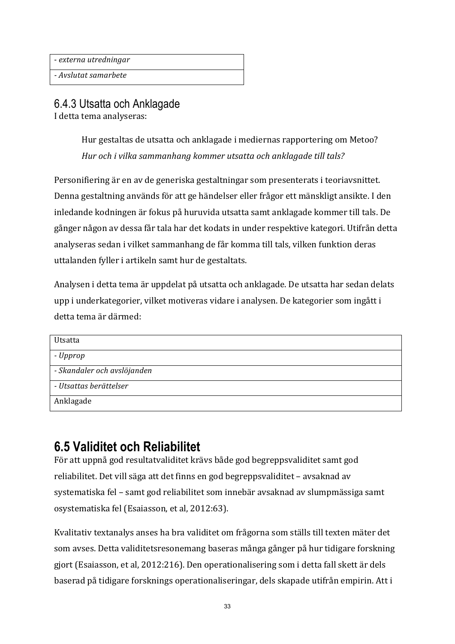- *externa utredningar* 

*- Avslutat samarbete* 

### 6.4.3 Utsatta och Anklagade

I detta tema analyseras:

Hur gestaltas de utsatta och anklagade i mediernas rapportering om Metoo? *Hur* och *i* vilka sammanhang kommer utsatta och anklagade till tals?

Personifiering är en av de generiska gestaltningar som presenterats i teoriavsnittet. Denna gestaltning används för att ge händelser eller frågor ett mänskligt ansikte. I den inledande kodningen är fokus på huruvida utsatta samt anklagade kommer till tals. De gånger någon av dessa får tala har det kodats in under respektive kategori. Utifrån detta analyseras sedan i vilket sammanhang de får komma till tals, vilken funktion deras uttalanden fyller i artikeln samt hur de gestaltats.

Analysen i detta tema är uppdelat på utsatta och anklagade. De utsatta har sedan delats upp i underkategorier, vilket motiveras vidare i analysen. De kategorier som ingått i detta tema är därmed: 

| Utsatta                     |  |
|-----------------------------|--|
| - Upprop                    |  |
| - Skandaler och avslöjanden |  |
| - Utsattas berättelser      |  |
| Anklagade                   |  |

## **6.5 Validitet och Reliabilitet**

För att uppnå god resultatvaliditet krävs både god begreppsvaliditet samt god reliabilitet. Det vill säga att det finns en god begreppsvaliditet - avsaknad av systematiska fel – samt god reliabilitet som innebär avsaknad av slumpmässiga samt osystematiska fel (Esaiasson, et al, 2012:63).

Kvalitativ textanalys anses ha bra validitet om frågorna som ställs till texten mäter det som avses. Detta validitetsresonemang baseras många gånger på hur tidigare forskning gjort (Esaiasson, et al, 2012:216). Den operationalisering som i detta fall skett är dels baserad på tidigare forsknings operationaliseringar, dels skapade utifrån empirin. Att i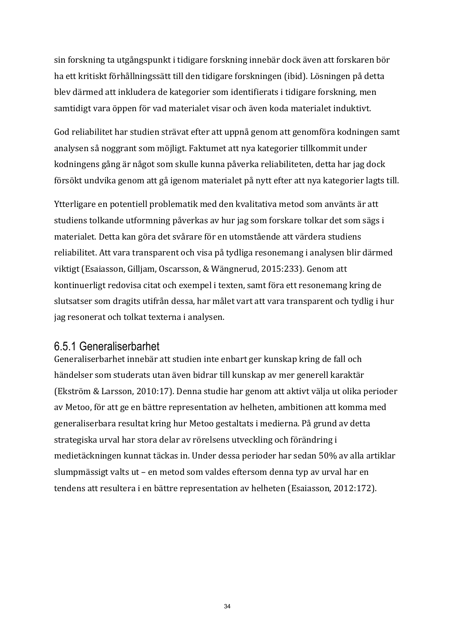sin forskning ta utgångspunkt i tidigare forskning innebär dock även att forskaren bör ha ett kritiskt förhållningssätt till den tidigare forskningen (ibid). Lösningen på detta blev därmed att inkludera de kategorier som identifierats i tidigare forskning, men samtidigt vara öppen för vad materialet visar och även koda materialet induktivt.

God reliabilitet har studien strävat efter att uppnå genom att genomföra kodningen samt analysen så noggrant som möjligt. Faktumet att nya kategorier tillkommit under kodningens gång är något som skulle kunna påverka reliabiliteten, detta har jag dock försökt undvika genom att gå igenom materialet på nytt efter att nya kategorier lagts till.

Ytterligare en potentiell problematik med den kvalitativa metod som använts är att studiens tolkande utformning påverkas av hur jag som forskare tolkar det som sägs i materialet. Detta kan göra det svårare för en utomstående att värdera studiens reliabilitet. Att vara transparent och visa på tydliga resonemang i analysen blir därmed viktigt (Esaiasson, Gilljam, Oscarsson, & Wängnerud, 2015:233). Genom att kontinuerligt redovisa citat och exempel i texten, samt föra ett resonemang kring de slutsatser som dragits utifrån dessa, har målet vart att vara transparent och tydlig i hur jag resonerat och tolkat texterna i analysen.

### 6.5.1 Generaliserbarhet

Generaliserbarhet innebär att studien inte enbart ger kunskap kring de fall och händelser som studerats utan även bidrar till kunskap av mer generell karaktär (Ekström & Larsson, 2010:17). Denna studie har genom att aktivt välja ut olika perioder av Metoo, för att ge en bättre representation av helheten, ambitionen att komma med generaliserbara resultat kring hur Metoo gestaltats i medierna. På grund av detta strategiska urval har stora delar av rörelsens utveckling och förändring i medietäckningen kunnat täckas in. Under dessa perioder har sedan 50% av alla artiklar slumpmässigt valts ut – en metod som valdes eftersom denna typ av urval har en tendens att resultera i en bättre representation av helheten (Esaiasson, 2012:172).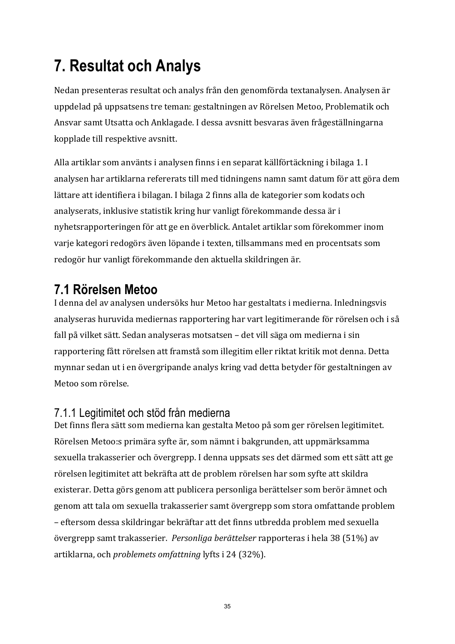# **7. Resultat och Analys**

Nedan presenteras resultat och analys från den genomförda textanalysen. Analysen är uppdelad på uppsatsens tre teman: gestaltningen av Rörelsen Metoo, Problematik och Ansvar samt Utsatta och Anklagade. I dessa avsnitt besvaras även frågeställningarna kopplade till respektive avsnitt.

Alla artiklar som använts i analysen finns i en separat källförtäckning i bilaga 1. I analysen har artiklarna refererats till med tidningens namn samt datum för att göra dem lättare att identifiera i bilagan. I bilaga 2 finns alla de kategorier som kodats och analyserats, inklusive statistik kring hur vanligt förekommande dessa är i nyhetsrapporteringen för att ge en överblick. Antalet artiklar som förekommer inom varje kategori redogörs även löpande i texten, tillsammans med en procentsats som redogör hur vanligt förekommande den aktuella skildringen är.

## **7.1 Rörelsen Metoo**

I denna del av analysen undersöks hur Metoo har gestaltats i medierna. Inledningsvis analyseras huruvida mediernas rapportering har vart legitimerande för rörelsen och i så fall på vilket sätt. Sedan analyseras motsatsen – det vill säga om medierna i sin rapportering fått rörelsen att framstå som illegitim eller riktat kritik mot denna. Detta mynnar sedan ut i en övergripande analys kring vad detta betyder för gestaltningen av Metoo som rörelse.

## 7.1.1 Legitimitet och stöd från medierna

Det finns flera sätt som medierna kan gestalta Metoo på som ger rörelsen legitimitet. Rörelsen Metoo:s primära syfte är, som nämnt i bakgrunden, att uppmärksamma sexuella trakasserier och övergrepp. I denna uppsats ses det därmed som ett sätt att ge rörelsen legitimitet att bekräfta att de problem rörelsen har som syfte att skildra existerar. Detta görs genom att publicera personliga berättelser som berör ämnet och genom att tala om sexuella trakasserier samt övergrepp som stora omfattande problem – eftersom dessa skildringar bekräftar att det finns utbredda problem med sexuella övergrepp samt trakasserier. *Personliga berättelser* rapporteras i hela 38 (51%) av artiklarna, och *problemets* omfattning lyfts i 24 (32%).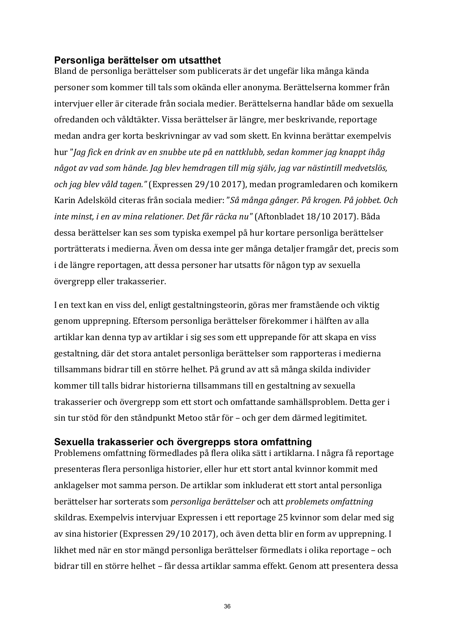#### **Personliga berättelser om utsatthet**

Bland de personliga berättelser som publicerats är det ungefär lika många kända personer som kommer till tals som okända eller anonyma. Berättelserna kommer från intervjuer eller är citerade från sociala medier. Berättelserna handlar både om sexuella ofredanden och våldtäkter. Vissa berättelser är längre, mer beskrivande, reportage medan andra ger korta beskrivningar av vad som skett. En kvinna berättar exempelvis hur "*Jag fick en drink av en snubbe ute på en nattklubb, sedan kommer jag knappt ihåg* något av vad som hände. Jag blev hemdragen till mig själv, jag var nästintill medvetslös, *och jag blev våld tagen."* (Expressen 29/10 2017), medan programledaren och komikern Karin Adelsköld citeras från sociala medier: "*Så många gånger. På krogen. På jobbet. Och inte minst, i en av mina relationer. Det får räcka nu* " (Aftonbladet 18/10 2017). Båda dessa berättelser kan ses som typiska exempel på hur kortare personliga berättelser porträtterats i medierna. Även om dessa inte ger många detaljer framgår det, precis som i de längre reportagen, att dessa personer har utsatts för någon typ av sexuella övergrepp eller trakasserier.

I en text kan en viss del, enligt gestaltningsteorin, göras mer framstående och viktig genom upprepning. Eftersom personliga berättelser förekommer i hälften av alla artiklar kan denna typ av artiklar i sig ses som ett upprepande för att skapa en viss gestaltning, där det stora antalet personliga berättelser som rapporteras i medierna tillsammans bidrar till en större helhet. På grund av att så många skilda individer kommer till talls bidrar historierna tillsammans till en gestaltning av sexuella trakasserier och övergrepp som ett stort och omfattande samhällsproblem. Detta ger i sin tur stöd för den ståndpunkt Metoo står för – och ger dem därmed legitimitet.

#### **Sexuella trakasserier och övergrepps stora omfattning**

Problemens omfattning förmedlades på flera olika sätt i artiklarna. I några få reportage presenteras flera personliga historier, eller hur ett stort antal kvinnor kommit med anklagelser mot samma person. De artiklar som inkluderat ett stort antal personliga berättelser har sorterats som *personliga berättelser* och att *problemets omfattning* skildras. Exempelvis intervjuar Expressen i ett reportage 25 kvinnor som delar med sig av sina historier (Expressen 29/10 2017), och även detta blir en form av upprepning. I likhet med när en stor mängd personliga berättelser förmedlats i olika reportage – och bidrar till en större helhet – får dessa artiklar samma effekt. Genom att presentera dessa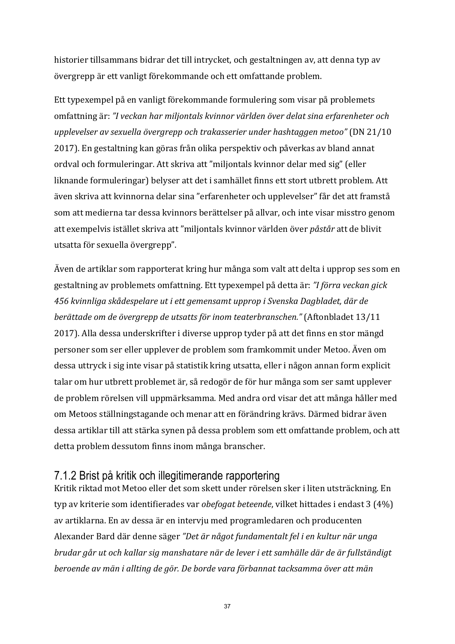historier tillsammans bidrar det till intrycket, och gestaltningen av, att denna typ av övergrepp är ett vanligt förekommande och ett omfattande problem.

Ett typexempel på en vanligt förekommande formulering som visar på problemets omfattning är: "I veckan har miljontals kvinnor världen över delat sina erfarenheter och upplevelser av sexuella övergrepp och trakasserier under hashtaggen metoo" (DN 21/10 2017). En gestaltning kan göras från olika perspektiv och påverkas av bland annat ordval och formuleringar. Att skriva att "miljontals kvinnor delar med sig" (eller liknande formuleringar) belyser att det i samhället finns ett stort utbrett problem. Att även skriva att kvinnorna delar sina "erfarenheter och upplevelser" får det att framstå som att medierna tar dessa kvinnors berättelser på allvar, och inte visar misstro genom att exempelvis istället skriva att "miljontals kvinnor världen över *påstår* att de blivit utsatta för sexuella övergrepp".

Även de artiklar som rapporterat kring hur många som valt att delta i upprop ses som en gestaltning av problemets omfattning. Ett typexempel på detta är: "I förra veckan gick *456 kvinnliga skådespelare ut i ett gemensamt upprop i Svenska Dagbladet, där de berättade om de övergrepp de utsatts för inom teaterbranschen."* (Aftonbladet 13/11 2017). Alla dessa underskrifter i diverse upprop tyder på att det finns en stor mängd personer som ser eller upplever de problem som framkommit under Metoo. Även om dessa uttryck i sig inte visar på statistik kring utsatta, eller i någon annan form explicit talar om hur utbrett problemet är, så redogör de för hur många som ser samt upplever de problem rörelsen vill uppmärksamma. Med andra ord visar det att många håller med om Metoos ställningstagande och menar att en förändring krävs. Därmed bidrar även dessa artiklar till att stärka synen på dessa problem som ett omfattande problem, och att detta problem dessutom finns inom många branscher.

### 7.1.2 Brist på kritik och illegitimerande rapportering

Kritik riktad mot Metoo eller det som skett under rörelsen sker i liten utsträckning. En typ av kriterie som identifierades var *obefogat beteende*, vilket hittades i endast 3 (4%) av artiklarna. En av dessa är en intervju med programledaren och producenten Alexander Bard där denne säger "Det är något fundamentalt fel *i en kultur när unga brudar går ut och kallar sig manshatare när de lever i ett samhälle där de är fullständigt beroende av män i allting de gör. De borde vara förbannat tacksamma över att män*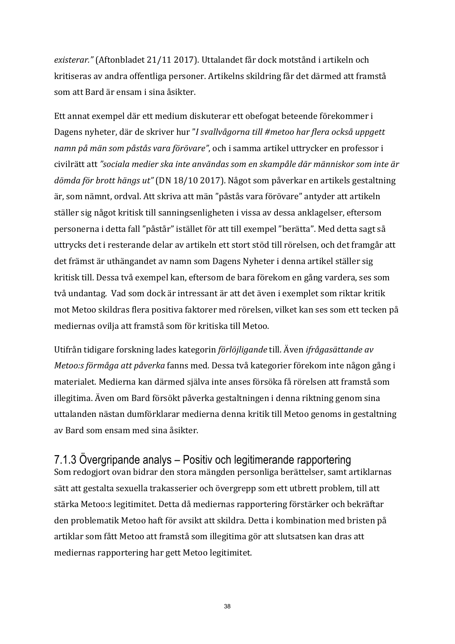*existerar."* (Aftonbladet 21/11 2017). Uttalandet får dock motstånd i artikeln och kritiseras av andra offentliga personer. Artikelns skildring får det därmed att framstå som att Bard är ensam i sina åsikter. 

Ett annat exempel där ett medium diskuterar ett obefogat beteende förekommer i Dagens nyheter, där de skriver hur "*I svallvågorna till #metoo har flera också uppgett* namn på män som påstås vara förövare", och i samma artikel uttrycker en professor i civilrätt att "sociala medier ska inte användas som en skampåle där människor som inte är dömda för brott hängs ut" (DN 18/10 2017). Något som påverkar en artikels gestaltning är, som nämnt, ordval. Att skriva att män "påstås vara förövare" antyder att artikeln ställer sig något kritisk till sanningsenligheten i vissa av dessa anklagelser, eftersom personerna i detta fall "påstår" istället för att till exempel "berätta". Med detta sagt så uttrycks det i resterande delar av artikeln ett stort stöd till rörelsen, och det framgår att det främst är uthängandet av namn som Dagens Nyheter i denna artikel ställer sig kritisk till. Dessa två exempel kan, eftersom de bara förekom en gång vardera, ses som två undantag. Vad som dock är intressant är att det även i exemplet som riktar kritik mot Metoo skildras flera positiva faktorer med rörelsen, vilket kan ses som ett tecken på mediernas ovilja att framstå som för kritiska till Metoo.

Utifrån tidigare forskning lades kategorin *förlöjligande* till. Även *ifrågasättande av Metoo:s förmåga att påverka fanns med. Dessa två kategorier förekom inte någon gång i* materialet. Medierna kan därmed själva inte anses försöka få rörelsen att framstå som illegitima. Även om Bard försökt påverka gestaltningen i denna riktning genom sina uttalanden nästan dumförklarar medierna denna kritik till Metoo genoms in gestaltning av Bard som ensam med sina åsikter. 

## 7.1.3 Övergripande analys – Positiv och legitimerande rapportering

Som redogjort ovan bidrar den stora mängden personliga berättelser, samt artiklarnas sätt att gestalta sexuella trakasserier och övergrepp som ett utbrett problem, till att stärka Metoo:s legitimitet. Detta då mediernas rapportering förstärker och bekräftar den problematik Metoo haft för avsikt att skildra. Detta i kombination med bristen på artiklar som fått Metoo att framstå som illegitima gör att slutsatsen kan dras att mediernas rapportering har gett Metoo legitimitet.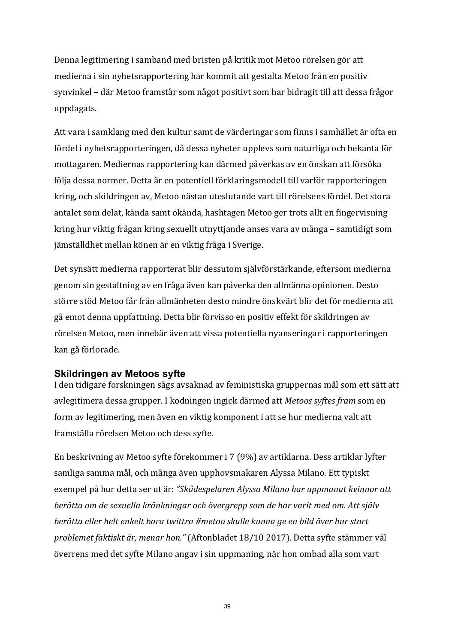Denna legitimering i samband med bristen på kritik mot Metoo rörelsen gör att medierna i sin nyhetsrapportering har kommit att gestalta Metoo från en positiv synvinkel – där Metoo framstår som något positivt som har bidragit till att dessa frågor uppdagats. 

Att vara i samklang med den kultur samt de värderingar som finns i samhället är ofta en fördel i nyhetsrapporteringen, då dessa nyheter upplevs som naturliga och bekanta för mottagaren. Mediernas rapportering kan därmed påverkas av en önskan att försöka följa dessa normer. Detta är en potentiell förklaringsmodell till varför rapporteringen kring, och skildringen av, Metoo nästan uteslutande vart till rörelsens fördel. Det stora antalet som delat, kända samt okända, hashtagen Metoo ger trots allt en fingervisning kring hur viktig frågan kring sexuellt utnyttjande anses vara av många – samtidigt som jämställdhet mellan könen är en viktig fråga i Sverige.

Det synsätt medierna rapporterat blir dessutom självförstärkande, eftersom medierna genom sin gestaltning av en fråga även kan påverka den allmänna opinionen. Desto större stöd Metoo får från allmänheten desto mindre önskvärt blir det för medierna att gå emot denna uppfattning. Detta blir förvisso en positiv effekt för skildringen av rörelsen Metoo, men innebär även att vissa potentiella nyanseringar i rapporteringen kan gå förlorade. 

#### **Skildringen av Metoos syfte**

I den tidigare forskningen sågs avsaknad av feministiska gruppernas mål som ett sätt att avlegitimera dessa grupper. I kodningen ingick därmed att *Metoos syftes fram* som en form av legitimering, men även en viktig komponent i att se hur medierna valt att framställa rörelsen Metoo och dess syfte.

En beskrivning av Metoo syfte förekommer i 7 (9%) av artiklarna. Dess artiklar lyfter samliga samma mål, och många även upphovsmakaren Alyssa Milano. Ett typiskt exempel på hur detta ser ut är: "Skådespelaren Alyssa Milano har uppmanat kvinnor att berätta om de sexuella kränkningar och övergrepp som de har varit med om. Att själv *berätta eller helt enkelt bara twittra #metoo skulle kunna ge en bild över hur stort problemet faktiskt är, menar hon."* (Aftonbladet 18/10 2017). Detta syfte stämmer väl överrens med det syfte Milano angav i sin uppmaning, när hon ombad alla som vart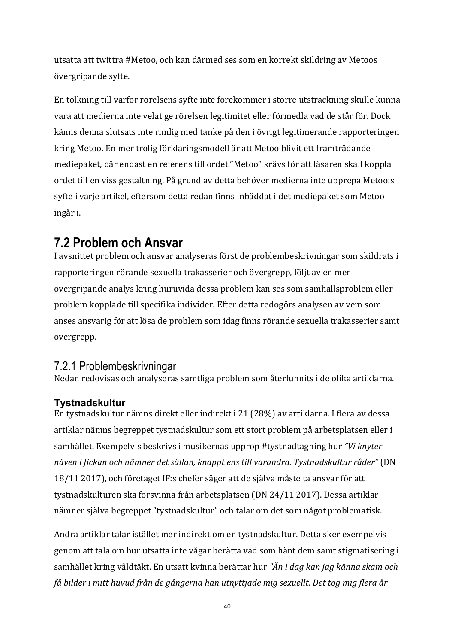utsatta att twittra #Metoo, och kan därmed ses som en korrekt skildring av Metoos övergripande syfte.

En tolkning till varför rörelsens syfte inte förekommer i större utsträckning skulle kunna vara att medierna inte velat ge rörelsen legitimitet eller förmedla vad de står för. Dock känns denna slutsats inte rimlig med tanke på den i övrigt legitimerande rapporteringen kring Metoo. En mer trolig förklaringsmodell är att Metoo blivit ett framträdande mediepaket, där endast en referens till ordet "Metoo" krävs för att läsaren skall koppla ordet till en viss gestaltning. På grund av detta behöver medierna inte upprepa Metoo:s syfte i varje artikel, eftersom detta redan finns inbäddat i det mediepaket som Metoo ingår i. 

## **7.2 Problem och Ansvar**

I avsnittet problem och ansvar analyseras först de problembeskrivningar som skildrats i rapporteringen rörande sexuella trakasserier och övergrepp, följt av en mer övergripande analys kring huruvida dessa problem kan ses som samhällsproblem eller problem kopplade till specifika individer. Efter detta redogörs analysen av vem som anses ansvarig för att lösa de problem som idag finns rörande sexuella trakasserier samt övergrepp. 

## 7.2.1 Problembeskrivningar

Nedan redovisas och analyseras samtliga problem som återfunnits i de olika artiklarna.

### **Tystnadskultur**

En tystnadskultur nämns direkt eller indirekt i 21 (28%) av artiklarna. I flera av dessa artiklar nämns begreppet tystnadskultur som ett stort problem på arbetsplatsen eller i samhället. Exempelvis beskrivs i musikernas upprop #tystnadtagning hur "Vi knyter *näven i fickan och nämner det sällan, knappt ens till varandra. Tystnadskultur råder"* (DN 18/11 2017), och företaget IF:s chefer säger att de själva måste ta ansvar för att tystnadskulturen ska försvinna från arbetsplatsen (DN 24/11 2017). Dessa artiklar nämner själva begreppet "tystnadskultur" och talar om det som något problematisk.

Andra artiklar talar istället mer indirekt om en tystnadskultur. Detta sker exempelvis genom att tala om hur utsatta inte vågar berätta vad som hänt dem samt stigmatisering i samhället kring våldtäkt. En utsatt kvinna berättar hur "Än *i dag kan jag känna skam och* få bilder i mitt huvud från de gångerna han utnyttjade mig sexuellt. Det tog mig flera år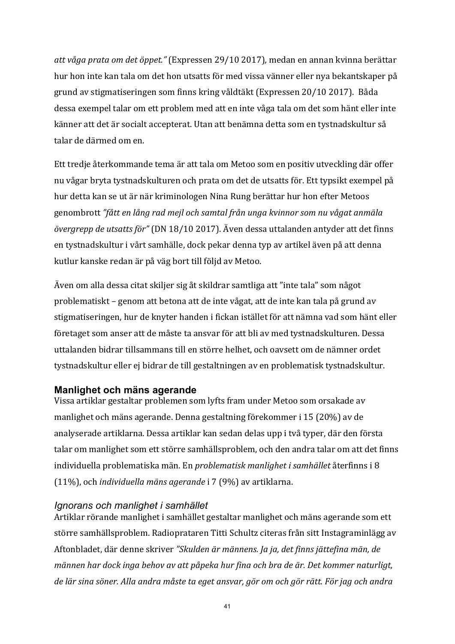*att våga prata om det öppet."* (Expressen 29/10 2017)*,* medan en annan kvinna berättar hur hon inte kan tala om det hon utsatts för med vissa vänner eller nya bekantskaper på grund av stigmatiseringen som finns kring våldtäkt (Expressen 20/10 2017). Båda dessa exempel talar om ett problem med att en inte våga tala om det som hänt eller inte känner att det är socialt accepterat. Utan att benämna detta som en tystnadskultur så talar de därmed om en

Ett tredje återkommande tema är att tala om Metoo som en positiv utveckling där offer nu vågar bryta tystnadskulturen och prata om det de utsatts för. Ett typsikt exempel på hur detta kan se ut är när kriminologen Nina Rung berättar hur hon efter Metoos genombrott "fått en lång rad mejl och samtal från unga kvinnor som nu vågat anmäla övergrepp de utsatts för" (DN 18/10 2017). Även dessa uttalanden antyder att det finns en tystnadskultur i vårt samhälle, dock pekar denna typ av artikel även på att denna kutlur kanske redan är på väg bort till följd av Metoo.

Även om alla dessa citat skiljer sig åt skildrar samtliga att "inte tala" som något problematiskt – genom att betona att de inte vågat, att de inte kan tala på grund av stigmatiseringen, hur de knyter handen i fickan istället för att nämna vad som hänt eller företaget som anser att de måste ta ansvar för att bli av med tystnadskulturen. Dessa uttalanden bidrar tillsammans till en större helhet, och oavsett om de nämner ordet tystnadskultur eller ej bidrar de till gestaltningen av en problematisk tystnadskultur.

#### **Manlighet och mäns agerande**

Vissa artiklar gestaltar problemen som lyfts fram under Metoo som orsakade av manlighet och mäns agerande. Denna gestaltning förekommer i 15 (20%) av de analyserade artiklarna. Dessa artiklar kan sedan delas upp i två typer, där den första talar om manlighet som ett större samhällsproblem, och den andra talar om att det finns individuella problematiska män. En *problematisk manlighet i samhället* återfinns i 8 (11%), och *individuella mäns agerande* i 7 (9%) av artiklarna.

#### *Ignorans och manlighet i samhället*

Artiklar rörande manlighet i samhället gestaltar manlighet och mäns agerande som ett större samhällsproblem. Radioprataren Titti Schultz citeras från sitt Instagraminlägg av Aftonbladet, där denne skriver "Skulden är männens. Ja ja, det finns jättefina män, de *männen har dock inga behov av att påpeka hur fina och bra de är. Det kommer naturligt,* de lär sina söner. Alla andra måste ta eget ansvar, gör om och gör rätt. För jag och andra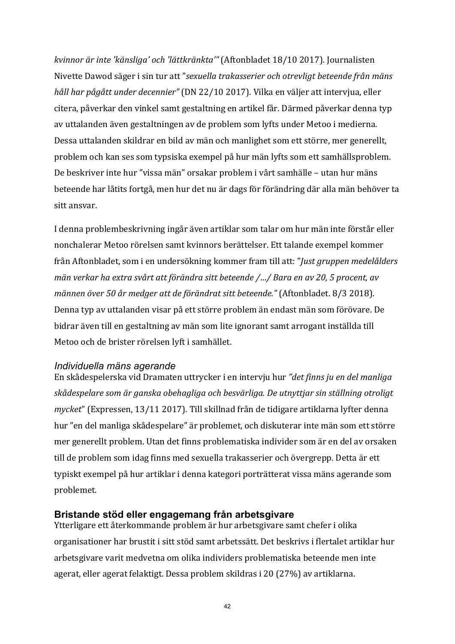*kvinnor är inte 'känsliga' och 'lättkränkta'"* (Aftonbladet 18/10 2017)*.* Journalisten Nivette Dawod säger i sin tur att "sexuella trakasserier och otrevligt beteende från mäns *håll har pågått under decennier"* (DN 22/10 2017). Vilka en väljer att intervjua, eller citera, påverkar den vinkel samt gestaltning en artikel får. Därmed påverkar denna typ av uttalanden även gestaltningen av de problem som lyfts under Metoo i medierna. Dessa uttalanden skildrar en bild av män och manlighet som ett större, mer generellt, problem och kan ses som typsiska exempel på hur män lyfts som ett samhällsproblem. De beskriver inte hur "vissa män" orsakar problem i vårt samhälle – utan hur mäns beteende har låtits fortgå, men hur det nu är dags för förändring där alla män behöver ta sitt ansvar.

I denna problembeskrivning ingår även artiklar som talar om hur män inte förstår eller nonchalerar Metoo rörelsen samt kvinnors berättelser. Ett talande exempel kommer från Aftonbladet, som i en undersökning kommer fram till att: "*Just gruppen medelålders män verkar ha extra svårt att förändra sitt beteende /.../ Bara en av 20, 5 procent, av männen över 50 år medger att de förändrat sitt beteende."* (Aftonbladet. 8/3 2018). Denna typ av uttalanden visar på ett större problem än endast män som förövare. De bidrar även till en gestaltning av män som lite ignorant samt arrogant inställda till Metoo och de brister rörelsen lyft i samhället.

#### *Individuella mäns agerande*

En skådespelerska vid Dramaten uttrycker i en intervju hur "det finns ju en del manliga skådespelare som är ganska obehagliga och besvärliga. De utnyttjar sin ställning otroligt *mycket*" (Expressen, 13/11 2017). Till skillnad från de tidigare artiklarna lyfter denna hur "en del manliga skådespelare" är problemet, och diskuterar inte män som ett större mer generellt problem. Utan det finns problematiska individer som är en del av orsaken till de problem som idag finns med sexuella trakasserier och övergrepp. Detta är ett typiskt exempel på hur artiklar i denna kategori porträtterat vissa mäns agerande som problemet. 

#### **Bristande stöd eller engagemang från arbetsgivare**

Ytterligare ett återkommande problem är hur arbetsgivare samt chefer i olika organisationer har brustit i sitt stöd samt arbetssätt. Det beskrivs i flertalet artiklar hur arbetsgivare varit medvetna om olika individers problematiska beteende men inte agerat, eller agerat felaktigt. Dessa problem skildras i 20 (27%) av artiklarna.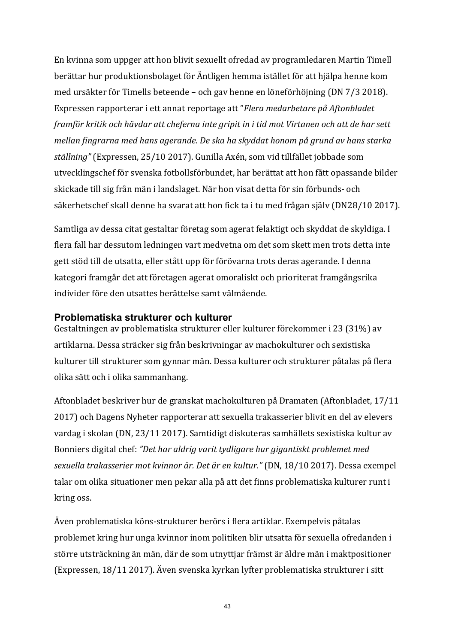En kvinna som uppger att hon blivit sexuellt ofredad av programledaren Martin Timell berättar hur produktionsbolaget för Äntligen hemma istället för att hjälpa henne kom med ursäkter för Timells beteende – och gav henne en löneförhöjning (DN 7/3 2018). Expressen rapporterar i ett annat reportage att "*Flera medarbetare på Aftonbladet framför kritik och hävdar att cheferna inte gripit in i tid mot Virtanen och att de har sett mellan fingrarna med hans agerande. De ska ha skyddat honom på grund av hans starka ställning"* (Expressen, 25/10 2017). Gunilla Axén, som vid tillfället jobbade som utvecklingschef för svenska fotbollsförbundet, har berättat att hon fått opassande bilder skickade till sig från män i landslaget. När hon visat detta för sin förbunds- och säkerhetschef skall denne ha svarat att hon fick ta i tu med frågan själv (DN28/10 2017).

Samtliga av dessa citat gestaltar företag som agerat felaktigt och skyddat de skyldiga. I flera fall har dessutom ledningen vart medvetna om det som skett men trots detta inte gett stöd till de utsatta, eller stått upp för förövarna trots deras agerande. I denna kategori framgår det att företagen agerat omoraliskt och prioriterat framgångsrika individer före den utsattes berättelse samt välmående.

#### **Problematiska strukturer och kulturer**

Gestaltningen av problematiska strukturer eller kulturer förekommer i 23 (31%) av artiklarna. Dessa sträcker sig från beskrivningar av machokulturer och sexistiska kulturer till strukturer som gynnar män. Dessa kulturer och strukturer påtalas på flera olika sätt och i olika sammanhang.

Aftonbladet beskriver hur de granskat machokulturen på Dramaten (Aftonbladet, 17/11 2017) och Dagens Nyheter rapporterar att sexuella trakasserier blivit en del av elevers vardag i skolan (DN, 23/11 2017). Samtidigt diskuteras samhällets sexistiska kultur av Bonniers digital chef: "Det har aldrig varit tydligare hur gigantiskt problemet med *sexuella trakasserier mot kvinnor är. Det är en kultur."* (DN, 18/10 2017). Dessa exempel talar om olika situationer men pekar alla på att det finns problematiska kulturer runt i kring oss.

Även problematiska köns-strukturer berörs i flera artiklar. Exempelvis påtalas problemet kring hur unga kvinnor inom politiken blir utsatta för sexuella ofredanden i större utsträckning än män, där de som utnyttjar främst är äldre män i maktpositioner (Expressen,  $18/11$  2017). Även svenska kyrkan lyfter problematiska strukturer i sitt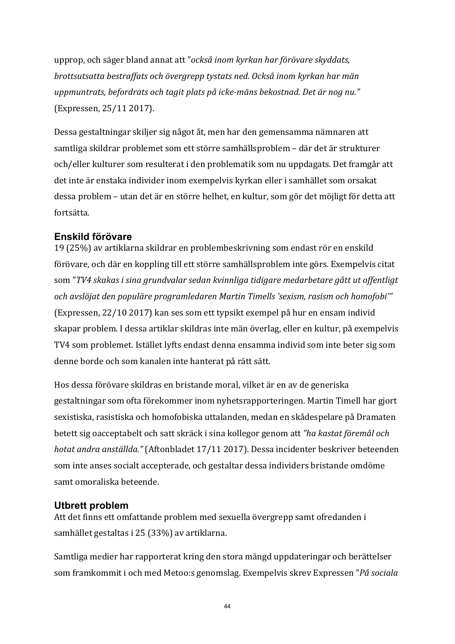upprop, och säger bland annat att "också inom kyrkan har förövare skyddats, *brottsutsatta bestraffats och övergrepp tystats ned. Också inom kyrkan har män* uppmuntrats, befordrats och tagit plats på icke-mäns bekostnad. Det är nog nu." (Expressen, 25/11 2017).

Dessa gestaltningar skiljer sig något åt, men har den gemensamma nämnaren att samtliga skildrar problemet som ett större samhällsproblem – där det är strukturer och/eller kulturer som resulterat i den problematik som nu uppdagats. Det framgår att det inte är enstaka individer inom exempelvis kyrkan eller i samhället som orsakat dessa problem – utan det är en större helhet, en kultur, som gör det möjligt för detta att fortsätta. 

#### **Enskild förövare**

19 (25%) av artiklarna skildrar en problembeskrivning som endast rör en enskild förövare, och där en koppling till ett större samhällsproblem inte görs. Exempelvis citat som "TV4 skakas *i sina grundvalar sedan kvinnliga tidigare medarbetare gått ut offentligt* och avslöjat den populäre programledaren Martin Timells 'sexism, rasism och homofobi'" (Expressen, 22/10 2017) kan ses som ett typsikt exempel på hur en ensam individ skapar problem. I dessa artiklar skildras inte män överlag, eller en kultur, på exempelvis TV4 som problemet. Istället lyfts endast denna ensamma individ som inte beter sig som denne borde och som kanalen inte hanterat på rätt sätt.

Hos dessa förövare skildras en bristande moral, vilket är en av de generiska gestaltningar som ofta förekommer inom nyhetsrapporteringen. Martin Timell har gjort sexistiska, rasistiska och homofobiska uttalanden, medan en skådespelare på Dramaten betett sig oacceptabelt och satt skräck i sina kollegor genom att "ha kastat föremål och *hotat andra anställda."* (Aftonbladet 17/11 2017). Dessa incidenter beskriver beteenden som inte anses socialt accepterade, och gestaltar dessa individers bristande omdöme samt omoraliska beteende.

#### **Utbrett problem**

Att det finns ett omfattande problem med sexuella övergrepp samt ofredanden i samhället gestaltas i 25 (33%) av artiklarna.

Samtliga medier har rapporterat kring den stora mängd uppdateringar och berättelser som framkommit i och med Metoo:s genomslag. Exempelvis skrev Expressen "*På sociala*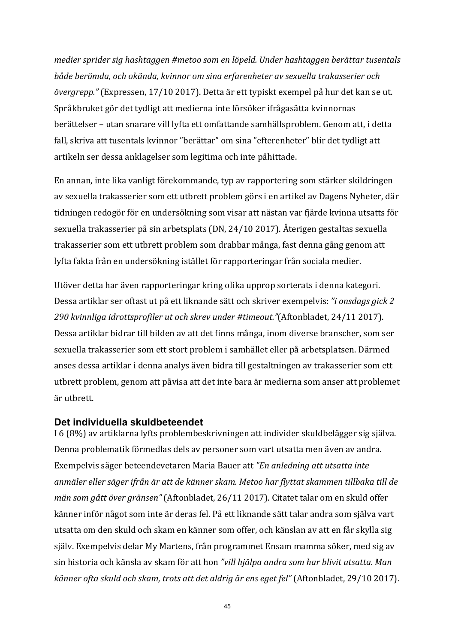medier sprider sig hashtaggen #metoo som en löpeld. Under hashtaggen berättar tusentals både berömda, och okända, kvinnor om sina erfarenheter av sexuella trakasserier och övergrepp." (Expressen, 17/10 2017). Detta är ett typiskt exempel på hur det kan se ut. Språkbruket gör det tydligt att medierna inte försöker ifrågasätta kvinnornas berättelser – utan snarare vill lyfta ett omfattande samhällsproblem. Genom att, i detta fall, skriva att tusentals kvinnor "berättar" om sina "efterenheter" blir det tydligt att artikeln ser dessa anklagelser som legitima och inte påhittade.

En annan, inte lika vanligt förekommande, typ av rapportering som stärker skildringen av sexuella trakasserier som ett utbrett problem görs i en artikel av Dagens Nyheter, där tidningen redogör för en undersökning som visar att nästan var fjärde kvinna utsatts för sexuella trakasserier på sin arbetsplats (DN, 24/10 2017). Återigen gestaltas sexuella trakasserier som ett utbrett problem som drabbar många, fast denna gång genom att lyfta fakta från en undersökning istället för rapporteringar från sociala medier.

Utöver detta har även rapporteringar kring olika upprop sorterats i denna kategori. Dessa artiklar ser oftast ut på ett liknande sätt och skriver exempelvis: "*i* onsdags gick 2 *290 kvinnliga idrottsprofiler ut och skrev under #timeout."*(Aftonbladet, 24/11 2017). Dessa artiklar bidrar till bilden av att det finns många, inom diverse branscher, som ser sexuella trakasserier som ett stort problem i samhället eller på arbetsplatsen. Därmed anses dessa artiklar i denna analys även bidra till gestaltningen av trakasserier som ett utbrett problem, genom att påvisa att det inte bara är medierna som anser att problemet är utbrett. 

#### **Det individuella skuldbeteendet**

I 6 (8%) av artiklarna lyfts problembeskrivningen att individer skuldbelägger sig själva. Denna problematik förmedlas dels av personer som vart utsatta men även av andra. Exempelvis säger beteendevetaren Maria Bauer att *"En anledning att utsatta inte* anmäler eller säger ifrån är att de känner skam. Metoo har flyttat skammen tillbaka till de *män som gått över gränsen"* (Aftonbladet, 26/11 2017). Citatet talar om en skuld offer känner inför något som inte är deras fel. På ett liknande sätt talar andra som själva vart utsatta om den skuld och skam en känner som offer, och känslan av att en får skylla sig själv. Exempelvis delar My Martens, från programmet Ensam mamma söker, med sig av sin historia och känsla av skam för att hon "vill hjälpa andra som har blivit utsatta. Man känner ofta skuld och skam, trots att det aldrig är ens eget fel" (Aftonbladet, 29/10 2017).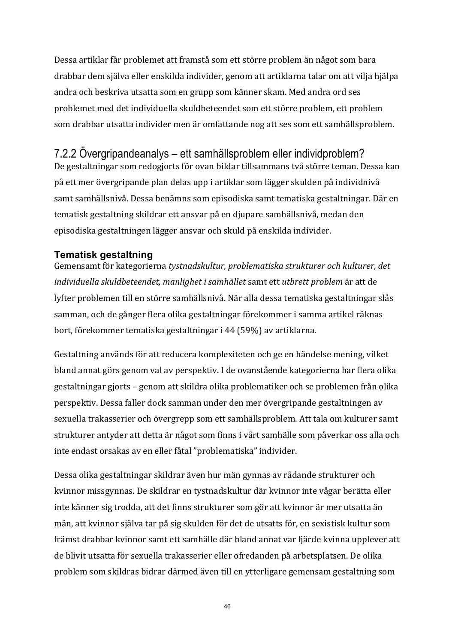Dessa artiklar får problemet att framstå som ett större problem än något som bara drabbar dem själva eller enskilda individer, genom att artiklarna talar om att vilja hjälpa andra och beskriva utsatta som en grupp som känner skam. Med andra ord ses problemet med det individuella skuldbeteendet som ett större problem, ett problem som drabbar utsatta individer men är omfattande nog att ses som ett samhällsproblem.

## 7.2.2 Övergripandeanalys – ett samhällsproblem eller individproblem?

De gestaltningar som redogjorts för ovan bildar tillsammans två större teman. Dessa kan på ett mer övergripande plan delas upp i artiklar som lägger skulden på individnivå samt samhällsnivå. Dessa benämns som episodiska samt tematiska gestaltningar. Där en tematisk gestaltning skildrar ett ansvar på en djupare samhällsnivå, medan den episodiska gestaltningen lägger ansvar och skuld på enskilda individer.

#### **Tematisk gestaltning**

Gemensamt för kategorierna tystnadskultur, problematiska strukturer och kulturer, det *individuella skuldbeteendet, manlighet i samhället* samt ett *utbrett problem* är att de lyfter problemen till en större samhällsnivå. När alla dessa tematiska gestaltningar slås samman, och de gånger flera olika gestaltningar förekommer i samma artikel räknas bort, förekommer tematiska gestaltningar i 44 (59%) av artiklarna.

Gestaltning används för att reducera komplexiteten och ge en händelse mening, vilket bland annat görs genom val av perspektiv. I de ovanstående kategorierna har flera olika gestaltningar gjorts – genom att skildra olika problematiker och se problemen från olika perspektiv. Dessa faller dock samman under den mer övergripande gestaltningen av sexuella trakasserier och övergrepp som ett samhällsproblem. Att tala om kulturer samt strukturer antyder att detta är något som finns i vårt samhälle som påverkar oss alla och inte endast orsakas av en eller fåtal "problematiska" individer.

Dessa olika gestaltningar skildrar även hur män gynnas av rådande strukturer och kvinnor missgynnas. De skildrar en tystnadskultur där kvinnor inte vågar berätta eller inte känner sig trodda, att det finns strukturer som gör att kvinnor är mer utsatta än män, att kvinnor själva tar på sig skulden för det de utsatts för, en sexistisk kultur som främst drabbar kvinnor samt ett samhälle där bland annat var fjärde kvinna upplever att de blivit utsatta för sexuella trakasserier eller ofredanden på arbetsplatsen. De olika problem som skildras bidrar därmed även till en ytterligare gemensam gestaltning som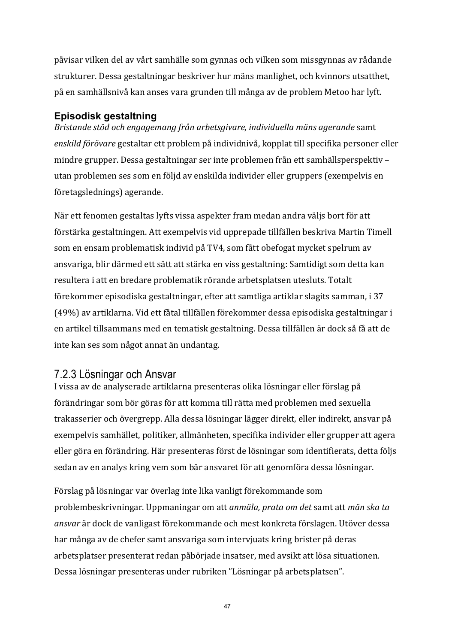påvisar vilken del av vårt samhälle som gynnas och vilken som missgynnas av rådande strukturer. Dessa gestaltningar beskriver hur mäns manlighet, och kvinnors utsatthet, på en samhällsnivå kan anses vara grunden till många av de problem Metoo har lyft.

### **Episodisk gestaltning**

*Bristande stöd och engagemang från arbetsgivare, individuella mäns agerande* samt enskild förövare gestaltar ett problem på individnivå, kopplat till specifika personer eller mindre grupper. Dessa gestaltningar ser inte problemen från ett samhällsperspektiv utan problemen ses som en följd av enskilda individer eller gruppers (exempelvis en företagslednings) agerande.

När ett fenomen gestaltas lyfts vissa aspekter fram medan andra väljs bort för att förstärka gestaltningen. Att exempelvis vid upprepade tillfällen beskriva Martin Timell som en ensam problematisk individ på TV4, som fått obefogat mycket spelrum av ansvariga, blir därmed ett sätt att stärka en viss gestaltning: Samtidigt som detta kan resultera i att en bredare problematik rörande arbetsplatsen utesluts. Totalt förekommer episodiska gestaltningar, efter att samtliga artiklar slagits samman, i 37 (49%) av artiklarna. Vid ett fåtal tillfällen förekommer dessa episodiska gestaltningar i en artikel tillsammans med en tematisk gestaltning. Dessa tillfällen är dock så få att de inte kan ses som något annat än undantag.

## 7.2.3 Lösningar och Ansvar

I vissa av de analyserade artiklarna presenteras olika lösningar eller förslag på förändringar som bör göras för att komma till rätta med problemen med sexuella trakasserier och övergrepp. Alla dessa lösningar lägger direkt, eller indirekt, ansvar på exempelvis samhället, politiker, allmänheten, specifika individer eller grupper att agera eller göra en förändring. Här presenteras först de lösningar som identifierats, detta följs sedan av en analys kring vem som bär ansvaret för att genomföra dessa lösningar.

Förslag på lösningar var överlag inte lika vanligt förekommande som problembeskrivningar. Uppmaningar om att *anmäla, prata om det* samt att *män ska ta ansvar* är dock de vanligast förekommande och mest konkreta förslagen. Utöver dessa har många av de chefer samt ansvariga som intervjuats kring brister på deras arbetsplatser presenterat redan påbörjade insatser, med avsikt att lösa situationen. Dessa lösningar presenteras under rubriken "Lösningar på arbetsplatsen".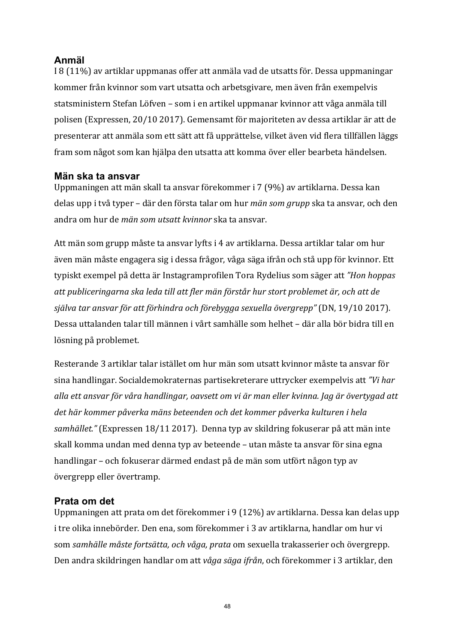### **Anmäl**

I 8 (11%) av artiklar uppmanas offer att anmäla vad de utsatts för. Dessa uppmaningar kommer från kvinnor som vart utsatta och arbetsgivare, men även från exempelvis statsministern Stefan Löfven – som i en artikel uppmanar kvinnor att våga anmäla till polisen (Expressen, 20/10 2017). Gemensamt för majoriteten av dessa artiklar är att de presenterar att anmäla som ett sätt att få upprättelse, vilket även vid flera tillfällen läggs fram som något som kan hjälpa den utsatta att komma över eller bearbeta händelsen.

#### **Män ska ta ansvar**

Uppmaningen att män skall ta ansvar förekommer i 7 (9%) av artiklarna. Dessa kan delas upp i två typer – där den första talar om hur *män som grupp* ska ta ansvar, och den andra om hur de *män som utsatt kvinnor* ska ta ansvar.

Att män som grupp måste ta ansvar lyfts i 4 av artiklarna. Dessa artiklar talar om hur även män måste engagera sig i dessa frågor, våga säga ifrån och stå upp för kvinnor. Ett typiskt exempel på detta är Instagramprofilen Tora Rydelius som säger att "Hon hoppas att publiceringarna ska leda till att fler män förstår hur stort problemet är, och att de själva tar ansvar för att förhindra och förebygga sexuella övergrepp" (DN, 19/10 2017). Dessa uttalanden talar till männen i vårt samhälle som helhet – där alla bör bidra till en lösning på problemet.

Resterande 3 artiklar talar istället om hur män som utsatt kvinnor måste ta ansvar för sina handlingar. Socialdemokraternas partisekreterare uttrycker exempelvis att "Vi har alla ett ansvar för våra handlingar, oavsett om vi är man eller kvinna. Jag är övertygad att det här kommer påverka mäns beteenden och det kommer påverka kulturen i hela samhället." (Expressen 18/11 2017). Denna typ av skildring fokuserar på att män inte skall komma undan med denna typ av beteende – utan måste ta ansvar för sina egna handlingar – och fokuserar därmed endast på de män som utfört någon typ av övergrepp eller övertramp.

#### **Prata om det**

Uppmaningen att prata om det förekommer i 9 (12%) av artiklarna. Dessa kan delas upp i tre olika innebörder. Den ena, som förekommer i 3 av artiklarna, handlar om hur vi som *samhälle måste fortsätta, och våga, prata* om sexuella trakasserier och övergrepp. Den andra skildringen handlar om att *våga säga ifrån*, och förekommer i 3 artiklar, den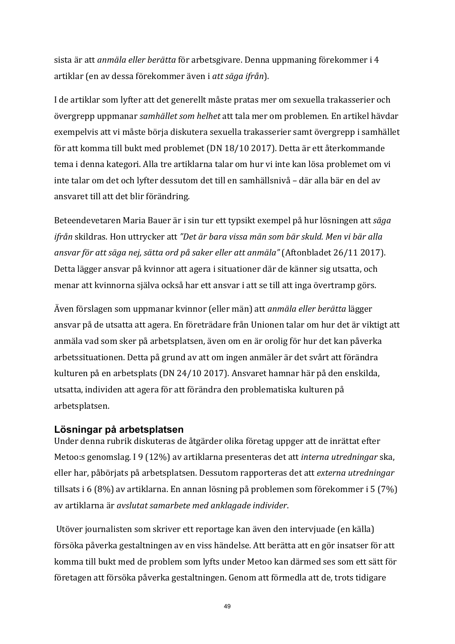sista är att *anmäla eller berätta* för arbetsgivare. Denna uppmaning förekommer i 4 artiklar (en av dessa förekommer även i *att säga ifrån*). 

I de artiklar som lyfter att det generellt måste pratas mer om sexuella trakasserier och övergrepp uppmanar *samhället som helhet* att tala mer om problemen. En artikel hävdar exempelvis att vi måste börja diskutera sexuella trakasserier samt övergrepp i samhället för att komma till bukt med problemet (DN 18/10 2017). Detta är ett återkommande tema i denna kategori. Alla tre artiklarna talar om hur vi inte kan lösa problemet om vi inte talar om det och lyfter dessutom det till en samhällsnivå – där alla bär en del av ansvaret till att det blir förändring.

Beteendevetaren Maria Bauer är i sin tur ett typsikt exempel på hur lösningen att säga *ifrån* skildras. Hon uttrycker att "Det är bara vissa män som bär skuld. Men vi bär alla ansvar för att säga nej, sätta ord på saker eller att anmäla" (Aftonbladet 26/11 2017). Detta lägger ansvar på kvinnor att agera i situationer där de känner sig utsatta, och menar att kvinnorna själva också har ett ansvar i att se till att inga övertramp görs.

Även förslagen som uppmanar kvinnor (eller män) att *anmäla eller berätta* lägger ansvar på de utsatta att agera. En företrädare från Unionen talar om hur det är viktigt att anmäla vad som sker på arbetsplatsen, även om en är orolig för hur det kan påverka arbetssituationen. Detta på grund av att om ingen anmäler är det svårt att förändra kulturen på en arbetsplats (DN 24/10 2017). Ansvaret hamnar här på den enskilda, utsatta, individen att agera för att förändra den problematiska kulturen på arbetsplatsen. 

#### **Lösningar på arbetsplatsen**

Under denna rubrik diskuteras de åtgärder olika företag uppger att de inrättat efter Metoo:s genomslag. I 9 (12%) av artiklarna presenteras det att *interna utredningar* ska. eller har, påbörjats på arbetsplatsen. Dessutom rapporteras det att *externa utredningar* tillsats i 6 $(8\%)$  av artiklarna. En annan lösning på problemen som förekommer i 5 $(7\%)$ av artiklarna är *avslutat samarbete med anklagade individer*.

Utöver journalisten som skriver ett reportage kan även den intervjuade (en källa) försöka påverka gestaltningen av en viss händelse. Att berätta att en gör insatser för att komma till bukt med de problem som lyfts under Metoo kan därmed ses som ett sätt för företagen att försöka påverka gestaltningen. Genom att förmedla att de, trots tidigare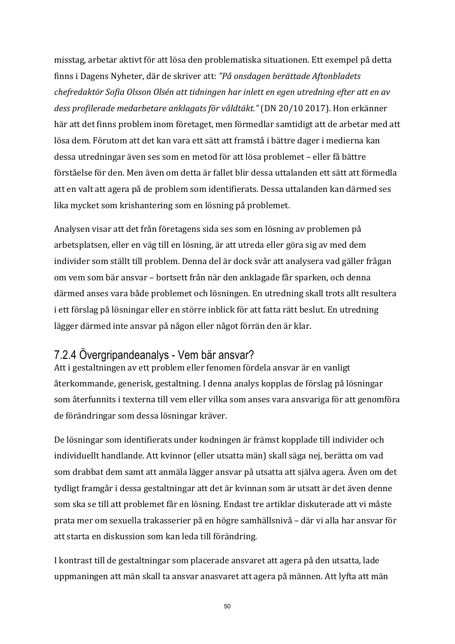misstag, arbetar aktivt för att lösa den problematiska situationen. Ett exempel på detta finns i Dagens Nyheter, där de skriver att: "På onsdagen berättade Aftonbladets chefredaktör Sofia Olsson Olsén att tidningen har inlett en egen utredning efter att en av dess profilerade medarbetare anklagats för våldtäkt." (DN 20/10 2017). Hon erkänner här att det finns problem inom företaget, men förmedlar samtidigt att de arbetar med att lösa dem. Förutom att det kan vara ett sätt att framstå i bättre dager i medierna kan dessa utredningar även ses som en metod för att lösa problemet – eller få bättre förståelse för den. Men även om detta är fallet blir dessa uttalanden ett sätt att förmedla att en valt att agera på de problem som identifierats. Dessa uttalanden kan därmed ses lika mycket som krishantering som en lösning på problemet.

Analysen visar att det från företagens sida ses som en lösning av problemen på arbetsplatsen, eller en väg till en lösning, är att utreda eller göra sig av med dem individer som ställt till problem. Denna del är dock svår att analysera vad gäller frågan om vem som bär ansvar – bortsett från när den anklagade får sparken, och denna därmed anses vara både problemet och lösningen. En utredning skall trots allt resultera i ett förslag på lösningar eller en större inblick för att fatta rätt beslut. En utredning lägger därmed inte ansvar på någon eller något förrän den är klar.

### 7.2.4 Övergripandeanalys - Vem bär ansvar?

Att i gestaltningen av ett problem eller fenomen fördela ansvar är en vanligt återkommande, generisk, gestaltning. I denna analys kopplas de förslag på lösningar som återfunnits i texterna till vem eller vilka som anses vara ansvariga för att genomföra de förändringar som dessa lösningar kräver.

De lösningar som identifierats under kodningen är främst kopplade till individer och individuellt handlande. Att kvinnor (eller utsatta män) skall säga nej, berätta om vad som drabbat dem samt att anmäla lägger ansvar på utsatta att själva agera. Även om det tydligt framgår i dessa gestaltningar att det är kvinnan som är utsatt är det även denne som ska se till att problemet får en lösning. Endast tre artiklar diskuterade att vi måste prata mer om sexuella trakasserier på en högre samhällsnivå – där vi alla har ansvar för att starta en diskussion som kan leda till förändring.

I kontrast till de gestaltningar som placerade ansvaret att agera på den utsatta, lade uppmaningen att män skall ta ansvar anasvaret att agera på männen. Att lyfta att män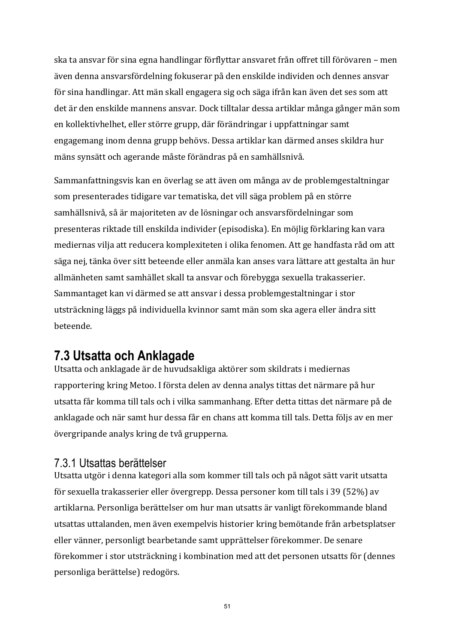ska ta ansvar för sina egna handlingar förflyttar ansvaret från offret till förövaren – men även denna ansvarsfördelning fokuserar på den enskilde individen och dennes ansvar för sina handlingar. Att män skall engagera sig och säga ifrån kan även det ses som att det är den enskilde mannens ansvar. Dock tilltalar dessa artiklar många gånger män som en kollektivhelhet, eller större grupp, där förändringar i uppfattningar samt engagemang inom denna grupp behövs. Dessa artiklar kan därmed anses skildra hur mäns synsätt och agerande måste förändras på en samhällsnivå.

Sammanfattningsvis kan en överlag se att även om många av de problemgestaltningar som presenterades tidigare var tematiska, det vill säga problem på en större samhällsnivå, så är majoriteten av de lösningar och ansvarsfördelningar som presenteras riktade till enskilda individer (episodiska). En möjlig förklaring kan vara mediernas vilja att reducera komplexiteten i olika fenomen. Att ge handfasta råd om att säga nej, tänka över sitt beteende eller anmäla kan anses vara lättare att gestalta än hur allmänheten samt samhället skall ta ansvar och förebygga sexuella trakasserier. Sammantaget kan vi därmed se att ansvar i dessa problemgestaltningar i stor utsträckning läggs på individuella kvinnor samt män som ska agera eller ändra sitt beteende. 

## **7.3 Utsatta och Anklagade**

Utsatta och anklagade är de huvudsakliga aktörer som skildrats i mediernas rapportering kring Metoo. I första delen av denna analys tittas det närmare på hur utsatta får komma till tals och i vilka sammanhang. Efter detta tittas det närmare på de anklagade och när samt hur dessa får en chans att komma till tals. Detta följs av en mer övergripande analys kring de två grupperna.

### 7.3.1 Utsattas berättelser

Utsatta utgör i denna kategori alla som kommer till tals och på något sätt varit utsatta för sexuella trakasserier eller övergrepp. Dessa personer kom till tals i 39 (52%) av artiklarna. Personliga berättelser om hur man utsatts är vanligt förekommande bland utsattas uttalanden, men även exempelvis historier kring bemötande från arbetsplatser eller vänner, personligt bearbetande samt upprättelser förekommer. De senare förekommer i stor utsträckning i kombination med att det personen utsatts för (dennes personliga berättelse) redogörs.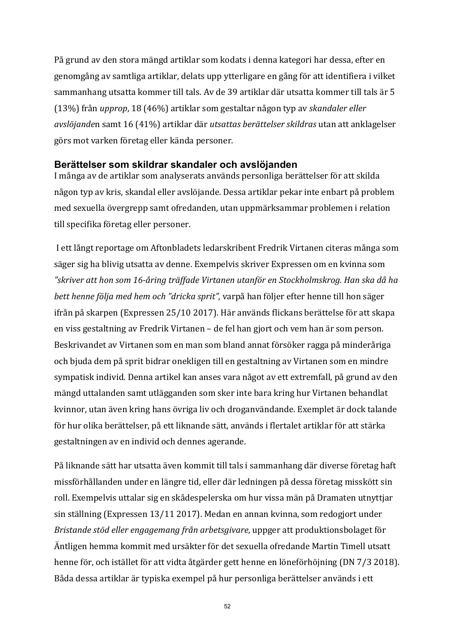På grund av den stora mängd artiklar som kodats i denna kategori har dessa, efter en genomgång av samtliga artiklar, delats upp ytterligare en gång för att identifiera i vilket sammanhang utsatta kommer till tals. Av de 39 artiklar där utsatta kommer till tals är 5 (13%) från *upprop*, 18 (46%) artiklar som gestaltar någon typ av *skandaler eller avslöjande*n samt 16 (41%) artiklar där *utsattas berättelser skildras* utan att anklagelser görs mot varken företag eller kända personer.

#### **Berättelser som skildrar skandaler och avslöjanden**

I många av de artiklar som analyserats används personliga berättelser för att skilda någon typ av kris, skandal eller avslöjande. Dessa artiklar pekar inte enbart på problem med sexuella övergrepp samt ofredanden, utan uppmärksammar problemen i relation till specifika företag eller personer.

I ett långt reportage om Aftonbladets ledarskribent Fredrik Virtanen citeras många som säger sig ha blivig utsatta av denne. Exempelvis skriver Expressen om en kvinna som *"skriver att hon som 16-åring träffade Virtanen utanför en Stockholmskrog. Han ska då ha bett henne följa med hem och "dricka sprit"*, varpå han följer efter henne till hon säger ifrån på skarpen (Expressen 25/10 2017). Här används flickans berättelse för att skapa en viss gestaltning av Fredrik Virtanen – de fel han gjort och vem han är som person. Beskrivandet av Virtanen som en man som bland annat försöker ragga på minderåriga och bjuda dem på sprit bidrar onekligen till en gestaltning av Virtanen som en mindre sympatisk individ. Denna artikel kan anses vara något av ett extremfall, på grund av den mängd uttalanden samt utlägganden som sker inte bara kring hur Virtanen behandlat kvinnor, utan även kring hans övriga liv och droganvändande. Exemplet är dock talande för hur olika berättelser, på ett liknande sätt, används i flertalet artiklar för att stärka gestaltningen av en individ och dennes agerande.

På liknande sätt har utsatta även kommit till tals i sammanhang där diverse företag haft missförhållanden under en längre tid, eller där ledningen på dessa företag misskött sin roll. Exempelvis uttalar sig en skådespelerska om hur vissa män på Dramaten utnyttjar sin ställning (Expressen 13/11 2017). Medan en annan kvinna, som redogjort under *Bristande stöd eller engagemang från arbetsgivare*, uppger att produktionsbolaget för Äntligen hemma kommit med ursäkter för det sexuella ofredande Martin Timell utsatt henne för, och istället för att vidta åtgärder gett henne en löneförhöjning (DN 7/3 2018). Båda dessa artiklar är typiska exempel på hur personliga berättelser används i ett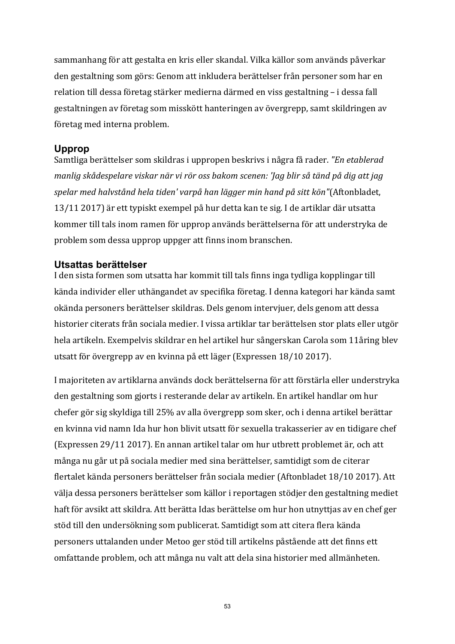sammanhang för att gestalta en kris eller skandal. Vilka källor som används påverkar den gestaltning som görs: Genom att inkludera berättelser från personer som har en relation till dessa företag stärker medierna därmed en viss gestaltning – i dessa fall gestaltningen av företag som misskött hanteringen av övergrepp, samt skildringen av företag med interna problem.

#### **Upprop**

Samtliga berättelser som skildras i uppropen beskrivs i några få rader. *"En etablerad manlig* skådespelare viskar när vi rör oss bakom scenen: 'Jag blir så tänd på dig att jag *spelar med halvstånd hela tiden' varpå han lägger min hand på sitt kön"*(Aftonbladet, 13/11 2017) är ett typiskt exempel på hur detta kan te sig. I de artiklar där utsatta kommer till tals inom ramen för upprop används berättelserna för att understryka de problem som dessa upprop uppger att finns inom branschen.

#### **Utsattas berättelser**

I den sista formen som utsatta har kommit till tals finns inga tydliga kopplingar till kända individer eller uthängandet av specifika företag. I denna kategori har kända samt okända personers berättelser skildras. Dels genom intervjuer, dels genom att dessa historier citerats från sociala medier. I vissa artiklar tar berättelsen stor plats eller utgör hela artikeln. Exempelvis skildrar en hel artikel hur sångerskan Carola som 11åring blev utsatt för övergrepp av en kvinna på ett läger (Expressen 18/10 2017).

I majoriteten av artiklarna används dock berättelserna för att förstärla eller understryka den gestaltning som gjorts i resterande delar av artikeln. En artikel handlar om hur chefer gör sig skyldiga till 25% av alla övergrepp som sker, och i denna artikel berättar en kvinna vid namn Ida hur hon blivit utsatt för sexuella trakasserier av en tidigare chef (Expressen 29/11 2017). En annan artikel talar om hur utbrett problemet är, och att många nu går ut på sociala medier med sina berättelser, samtidigt som de citerar flertalet kända personers berättelser från sociala medier (Aftonbladet 18/10 2017). Att välja dessa personers berättelser som källor i reportagen stödjer den gestaltning mediet haft för avsikt att skildra. Att berätta Idas berättelse om hur hon utnyttjas av en chef ger stöd till den undersökning som publicerat. Samtidigt som att citera flera kända personers uttalanden under Metoo ger stöd till artikelns påstående att det finns ett omfattande problem, och att många nu valt att dela sina historier med allmänheten.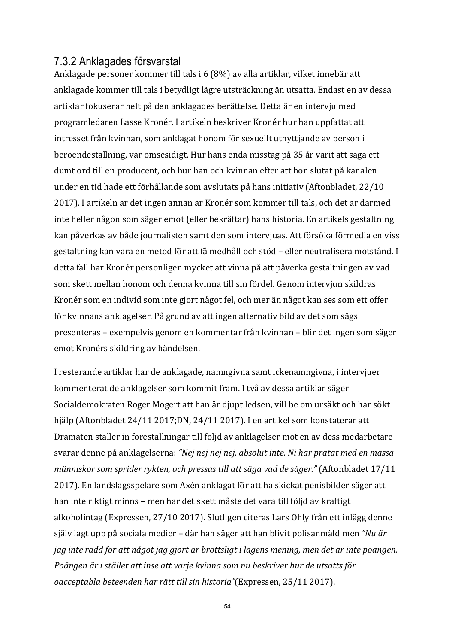### 7.3.2 Anklagades försvarstal

Anklagade personer kommer till tals i 6 (8%) av alla artiklar, vilket innebär att anklagade kommer till tals i betydligt lägre utsträckning än utsatta. Endast en av dessa artiklar fokuserar helt på den anklagades berättelse. Detta är en intervju med programledaren Lasse Kronér. I artikeln beskriver Kronér hur han uppfattat att intresset från kvinnan, som anklagat honom för sexuellt utnyttjande av person i beroendeställning, var ömsesidigt. Hur hans enda misstag på 35 år varit att säga ett dumt ord till en producent, och hur han och kvinnan efter att hon slutat på kanalen under en tid hade ett förhållande som avslutats på hans initiativ (Aftonbladet, 22/10 2017). I artikeln är det ingen annan är Kronér som kommer till tals, och det är därmed inte heller någon som säger emot (eller bekräftar) hans historia. En artikels gestaltning kan påverkas av både journalisten samt den som intervjuas. Att försöka förmedla en viss gestaltning kan vara en metod för att få medhåll och stöd – eller neutralisera motstånd. I detta fall har Kronér personligen mycket att vinna på att påverka gestaltningen av vad som skett mellan honom och denna kvinna till sin fördel. Genom intervjun skildras Kronér som en individ som inte gjort något fel, och mer än något kan ses som ett offer för kvinnans anklagelser. På grund av att ingen alternativ bild av det som sägs presenteras – exempelvis genom en kommentar från kvinnan – blir det ingen som säger emot Kronérs skildring av händelsen.

I resterande artiklar har de anklagade, namngivna samt ickenamngivna, i intervjuer kommenterat de anklagelser som kommit fram. I två av dessa artiklar säger Socialdemokraten Roger Mogert att han är djupt ledsen, vill be om ursäkt och har sökt hjälp (Aftonbladet 24/11 2017;DN, 24/11 2017). I en artikel som konstaterar att Dramaten ställer in föreställningar till följd av anklagelser mot en av dess medarbetare svarar denne på anklagelserna: "Nej nej nej nej, absolut inte. Ni har pratat med en massa människor som sprider rykten, och pressas till att säga vad de säger." (Aftonbladet 17/11 2017). En landslagsspelare som Axén anklagat för att ha skickat penisbilder säger att han inte riktigt minns – men har det skett måste det vara till följd av kraftigt alkoholintag (Expressen, 27/10 2017). Slutligen citeras Lars Ohly från ett inlägg denne själv lagt upp på sociala medier – där han säger att han blivit polisanmäld men "Nu är *jag* inte rädd för att något jag gjort är brottsligt i lagens mening, men det är inte poängen. *Poängen är i stället att inse att varje kvinna som nu beskriver hur de utsatts för oacceptabla beteenden har rätt till sin historia"*(Expressen, 25/11 2017).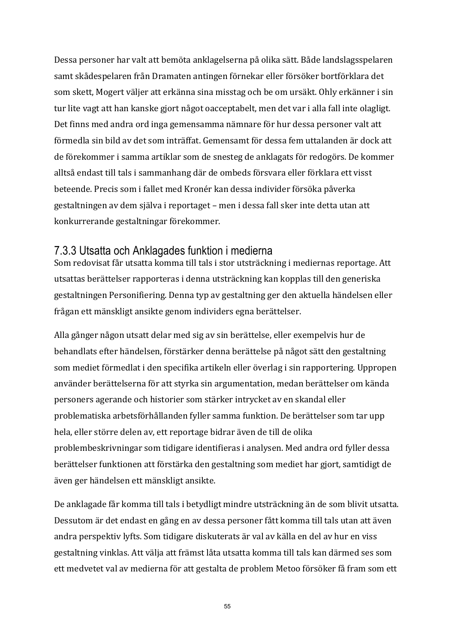Dessa personer har valt att bemöta anklagelserna på olika sätt. Både landslagsspelaren samt skådespelaren från Dramaten antingen förnekar eller försöker bortförklara det som skett, Mogert väljer att erkänna sina misstag och be om ursäkt. Ohly erkänner i sin tur lite vagt att han kanske gjort något oacceptabelt, men det var i alla fall inte olagligt. Det finns med andra ord inga gemensamma nämnare för hur dessa personer valt att förmedla sin bild av det som inträffat. Gemensamt för dessa fem uttalanden är dock att de förekommer i samma artiklar som de snesteg de anklagats för redogörs. De kommer alltså endast till tals i sammanhang där de ombeds försvara eller förklara ett visst beteende. Precis som i fallet med Kronér kan dessa individer försöka påverka gestaltningen av dem själva i reportaget – men i dessa fall sker inte detta utan att konkurrerande gestaltningar förekommer.

### 7.3.3 Utsatta och Anklagades funktion i medierna

Som redovisat får utsatta komma till tals i stor utsträckning i mediernas reportage. Att utsattas berättelser rapporteras i denna utsträckning kan kopplas till den generiska gestaltningen Personifiering. Denna typ av gestaltning ger den aktuella händelsen eller frågan ett mänskligt ansikte genom individers egna berättelser.

Alla gånger någon utsatt delar med sig av sin berättelse, eller exempelvis hur de behandlats efter händelsen, förstärker denna berättelse på något sätt den gestaltning som mediet förmedlat i den specifika artikeln eller överlag i sin rapportering. Uppropen använder berättelserna för att styrka sin argumentation, medan berättelser om kända personers agerande och historier som stärker intrycket av en skandal eller problematiska arbetsförhållanden fyller samma funktion. De berättelser som tar upp hela, eller större delen av, ett reportage bidrar även de till de olika problembeskrivningar som tidigare identifieras i analysen. Med andra ord fyller dessa berättelser funktionen att förstärka den gestaltning som mediet har gjort, samtidigt de även ger händelsen ett mänskligt ansikte.

De anklagade får komma till tals i betydligt mindre utsträckning än de som blivit utsatta. Dessutom är det endast en gång en av dessa personer fått komma till tals utan att även andra perspektiv lyfts. Som tidigare diskuterats är val av källa en del av hur en viss gestaltning vinklas. Att välja att främst låta utsatta komma till tals kan därmed ses som ett medvetet val av medierna för att gestalta de problem Metoo försöker få fram som ett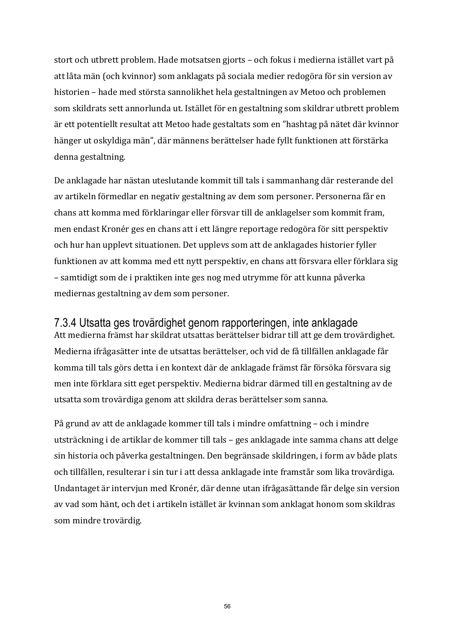stort och utbrett problem. Hade motsatsen gjorts – och fokus i medierna istället vart på att låta män (och kvinnor) som anklagats på sociala medier redogöra för sin version av historien – hade med största sannolikhet hela gestaltningen av Metoo och problemen som skildrats sett annorlunda ut. Istället för en gestaltning som skildrar utbrett problem är ett potentiellt resultat att Metoo hade gestaltats som en "hashtag på nätet där kvinnor hänger ut oskyldiga män", där männens berättelser hade fyllt funktionen att förstärka denna gestaltning.

De anklagade har nästan uteslutande kommit till tals i sammanhang där resterande del av artikeln förmedlar en negativ gestaltning av dem som personer. Personerna får en chans att komma med förklaringar eller försvar till de anklagelser som kommit fram, men endast Kronér ges en chans att i ett längre reportage redogöra för sitt perspektiv och hur han upplevt situationen. Det upplevs som att de anklagades historier fyller funktionen av att komma med ett nytt perspektiv, en chans att försvara eller förklara sig – samtidigt som de i praktiken inte ges nog med utrymme för att kunna påverka mediernas gestaltning av dem som personer.

#### 7.3.4 Utsatta ges trovärdighet genom rapporteringen, inte anklagade

Att medierna främst har skildrat utsattas berättelser bidrar till att ge dem trovärdighet. Medierna ifrågasätter inte de utsattas berättelser, och vid de få tillfällen anklagade får komma till tals görs detta i en kontext där de anklagade främst får försöka försvara sig men inte förklara sitt eget perspektiv. Medierna bidrar därmed till en gestaltning av de utsatta som trovärdiga genom att skildra deras berättelser som sanna.

På grund av att de anklagade kommer till tals i mindre omfattning – och i mindre utsträckning i de artiklar de kommer till tals – ges anklagade inte samma chans att delge sin historia och påverka gestaltningen. Den begränsade skildringen, i form av både plats och tillfällen, resulterar i sin tur i att dessa anklagade inte framstår som lika trovärdiga. Undantaget är intervjun med Kronér, där denne utan ifrågasättande får delge sin version av vad som hänt, och det i artikeln istället är kvinnan som anklagat honom som skildras som mindre trovärdig.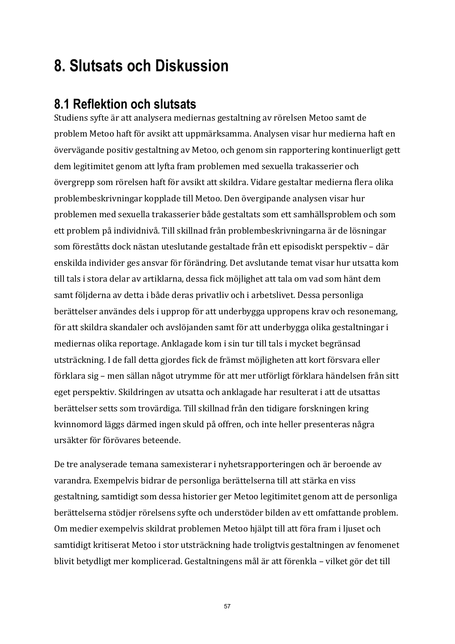# **8. Slutsats och Diskussion**

## **8.1 Reflektion och slutsats**

Studiens syfte är att analysera mediernas gestaltning av rörelsen Metoo samt de problem Metoo haft för avsikt att uppmärksamma. Analysen visar hur medierna haft en övervägande positiv gestaltning av Metoo, och genom sin rapportering kontinuerligt gett dem legitimitet genom att lyfta fram problemen med sexuella trakasserier och övergrepp som rörelsen haft för avsikt att skildra. Vidare gestaltar medierna flera olika problembeskrivningar kopplade till Metoo. Den övergipande analysen visar hur problemen med sexuella trakasserier både gestaltats som ett samhällsproblem och som ett problem på individnivå. Till skillnad från problembeskrivningarna är de lösningar som föreståtts dock nästan uteslutande gestaltade från ett episodiskt perspektiv – där enskilda individer ges ansvar för förändring. Det avslutande temat visar hur utsatta kom till tals i stora delar av artiklarna, dessa fick möjlighet att tala om vad som hänt dem samt följderna av detta i både deras privatliv och i arbetslivet. Dessa personliga berättelser användes dels i upprop för att underbygga uppropens krav och resonemang, för att skildra skandaler och avslöjanden samt för att underbygga olika gestaltningar i mediernas olika reportage. Anklagade kom i sin tur till tals i mycket begränsad utsträckning. I de fall detta gjordes fick de främst möjligheten att kort försvara eller förklara sig – men sällan något utrymme för att mer utförligt förklara händelsen från sitt eget perspektiv. Skildringen av utsatta och anklagade har resulterat i att de utsattas berättelser setts som trovärdiga. Till skillnad från den tidigare forskningen kring kvinnomord läggs därmed ingen skuld på offren, och inte heller presenteras några ursäkter för förövares beteende. 

De tre analyserade temana samexisterar i nyhetsrapporteringen och är beroende av varandra. Exempelvis bidrar de personliga berättelserna till att stärka en viss gestaltning, samtidigt som dessa historier ger Metoo legitimitet genom att de personliga berättelserna stödjer rörelsens syfte och understöder bilden av ett omfattande problem. Om medier exempelvis skildrat problemen Metoo hjälpt till att föra fram i ljuset och samtidigt kritiserat Metoo i stor utsträckning hade troligtvis gestaltningen av fenomenet blivit betydligt mer komplicerad. Gestaltningens mål är att förenkla – vilket gör det till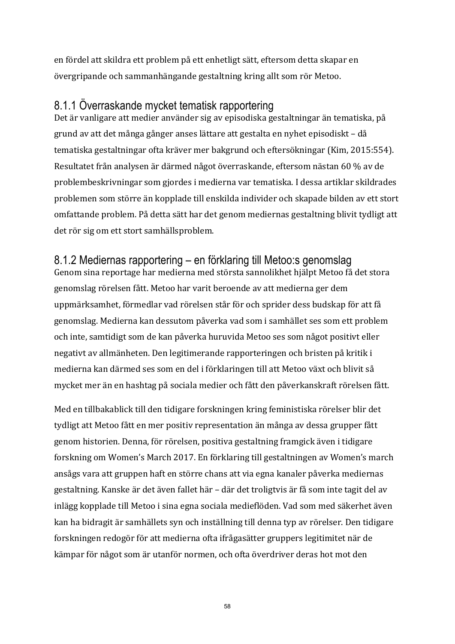en fördel att skildra ett problem på ett enhetligt sätt, eftersom detta skapar en övergripande och sammanhängande gestaltning kring allt som rör Metoo.

### 8.1.1 Överraskande mycket tematisk rapportering

Det är vanligare att medier använder sig av episodiska gestaltningar än tematiska, på grund av att det många gånger anses lättare att gestalta en nyhet episodiskt – då tematiska gestaltningar ofta kräver mer bakgrund och eftersökningar (Kim, 2015:554). Resultatet från analysen är därmed något överraskande, eftersom nästan 60 % av de problembeskrivningar som gjordes i medierna var tematiska. I dessa artiklar skildrades problemen som större än kopplade till enskilda individer och skapade bilden av ett stort omfattande problem. På detta sätt har det genom mediernas gestaltning blivit tydligt att det rör sig om ett stort samhällsproblem.

## 8.1.2 Mediernas rapportering – en förklaring till Metoo:s genomslag

Genom sina reportage har medierna med största sannolikhet hjälpt Metoo få det stora genomslag rörelsen fått. Metoo har varit beroende av att medierna ger dem uppmärksamhet, förmedlar vad rörelsen står för och sprider dess budskap för att få genomslag. Medierna kan dessutom påverka vad som i samhället ses som ett problem och inte, samtidigt som de kan påverka huruvida Metoo ses som något positivt eller negativt av allmänheten. Den legitimerande rapporteringen och bristen på kritik i medierna kan därmed ses som en del i förklaringen till att Metoo växt och blivit så mycket mer än en hashtag på sociala medier och fått den påverkanskraft rörelsen fått.

Med en tillbakablick till den tidigare forskningen kring feministiska rörelser blir det tydligt att Metoo fått en mer positiv representation än många av dessa grupper fått genom historien. Denna, för rörelsen, positiva gestaltning framgick även i tidigare forskning om Women's March 2017. En förklaring till gestaltningen av Women's march ansågs vara att gruppen haft en större chans att via egna kanaler påverka mediernas gestaltning. Kanske är det även fallet här – där det troligtvis är få som inte tagit del av inlägg kopplade till Metoo i sina egna sociala medieflöden. Vad som med säkerhet även kan ha bidragit är samhällets syn och inställning till denna typ av rörelser. Den tidigare forskningen redogör för att medierna ofta ifrågasätter gruppers legitimitet när de kämpar för något som är utanför normen, och ofta överdriver deras hot mot den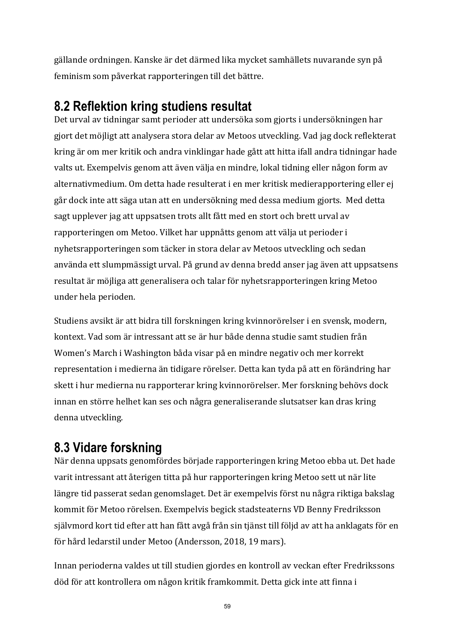gällande ordningen. Kanske är det därmed lika mycket samhällets nuvarande syn på feminism som påverkat rapporteringen till det bättre.

## **8.2 Reflektion kring studiens resultat**

Det urval av tidningar samt perioder att undersöka som gjorts i undersökningen har gjort det möjligt att analysera stora delar av Metoos utveckling. Vad jag dock reflekterat kring är om mer kritik och andra vinklingar hade gått att hitta ifall andra tidningar hade valts ut. Exempelvis genom att även välja en mindre, lokal tidning eller någon form av alternativmedium. Om detta hade resulterat i en mer kritisk medierapportering eller ej går dock inte att säga utan att en undersökning med dessa medium gjorts. Med detta sagt upplever jag att uppsatsen trots allt fått med en stort och brett urval av rapporteringen om Metoo. Vilket har uppnåtts genom att välja ut perioder i nyhetsrapporteringen som täcker in stora delar av Metoos utveckling och sedan använda ett slumpmässigt urval. På grund av denna bredd anser jag även att uppsatsens resultat är möjliga att generalisera och talar för nyhetsrapporteringen kring Metoo under hela perioden.

Studiens avsikt är att bidra till forskningen kring kvinnorörelser i en svensk, modern, kontext. Vad som är intressant att se är hur både denna studie samt studien från Women's March i Washington båda visar på en mindre negativ och mer korrekt representation i medierna än tidigare rörelser. Detta kan tyda på att en förändring har skett i hur medierna nu rapporterar kring kvinnorörelser. Mer forskning behövs dock innan en större helhet kan ses och några generaliserande slutsatser kan dras kring denna utveckling. 

## **8.3 Vidare forskning**

När denna uppsats genomfördes började rapporteringen kring Metoo ebba ut. Det hade varit intressant att återigen titta på hur rapporteringen kring Metoo sett ut när lite längre tid passerat sedan genomslaget. Det är exempelvis först nu några riktiga bakslag kommit för Metoo rörelsen. Exempelvis begick stadsteaterns VD Benny Fredriksson själymord kort tid efter att han fått avgå från sin tjänst till följd av att ha anklagats för en för hård ledarstil under Metoo (Andersson, 2018, 19 mars).

Innan perioderna valdes ut till studien gjordes en kontroll av veckan efter Fredrikssons död för att kontrollera om någon kritik framkommit. Detta gick inte att finna i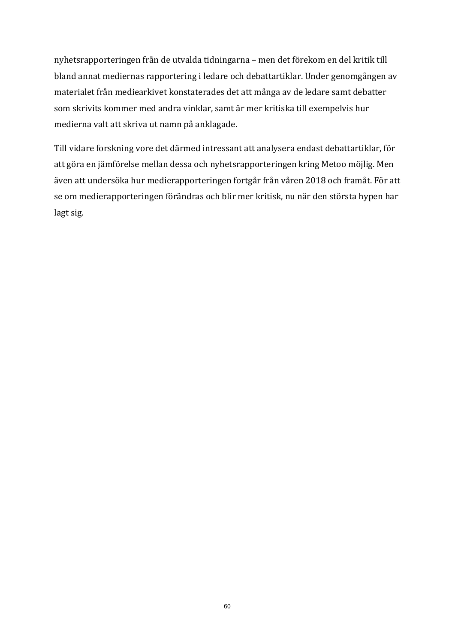nyhetsrapporteringen från de utvalda tidningarna - men det förekom en del kritik till bland annat mediernas rapportering i ledare och debattartiklar. Under genomgången av materialet från mediearkivet konstaterades det att många av de ledare samt debatter som skrivits kommer med andra vinklar, samt är mer kritiska till exempelvis hur medierna valt att skriva ut namn på anklagade.

Till vidare forskning vore det därmed intressant att analysera endast debattartiklar, för att göra en jämförelse mellan dessa och nyhetsrapporteringen kring Metoo möjlig. Men även att undersöka hur medierapporteringen fortgår från våren 2018 och framåt. För att se om medierapporteringen förändras och blir mer kritisk, nu när den största hypen har lagt sig.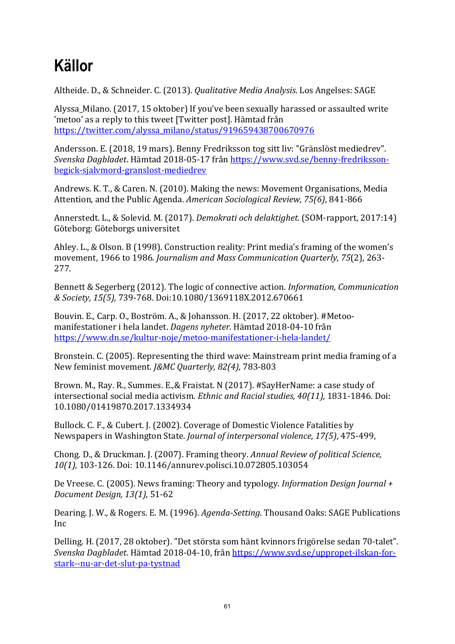# **Källor**

Altheide. D., & Schneider. C. (2013). *Qualitative Media Analysis*. Los Angelses: SAGE

Alyssa Milano. (2017, 15 oktober) If you've been sexually harassed or assaulted write 'metoo' as a reply to this tweet [Twitter post]. Hämtad från https://twitter.com/alyssa\_milano/status/919659438700670976 

Andersson. E. (2018, 19 mars). Benny Fredriksson tog sitt liv: "Gränslöst mediedrev". *Svenska Dagbladet*. Hämtad 2018-05-17 från https://www.svd.se/benny-fredrikssonbegick-sjalvmord-granslost-mediedrev

Andrews. K. T., & Caren. N. (2010). Making the news: Movement Organisations, Media Attention, and the Public Agenda. *American Sociological Review, 75(6)*, 841-866

Annerstedt. L., & Solevid. M. (2017). *Demokrati och delaktighet.* (SOM-rapport, 2017:14) Göteborg: Göteborgs universitet

Ahley. L., & Olson. B (1998). Construction reality: Print media's framing of the women's movement, 1966 to 1986. *Journalism and Mass Communication Quarterly, 75*(2), 263-277. 

Bennett & Segerberg (2012). The logic of connective action. *Information, Communication & Society, 15(5),* 739-768. Doi:10.1080/1369118X.2012.670661

Bouvin. E., Carp. O., Boström. A., & Johansson. H. (2017, 22 oktober). #Metoomanifestationer i hela landet. *Dagens nyheter*. Hämtad 2018-04-10 från https://www.dn.se/kultur-noje/metoo-manifestationer-i-hela-landet/

Bronstein. C. (2005). Representing the third wave: Mainstream print media framing of a New feminist movement. *J&MC Ouarterly, 82(4)*, 783-803

Brown. M., Ray. R., Summes. E., & Fraistat. N (2017). #SayHerName: a case study of intersectional social media activism. *Ethnic and Racial studies, 40(11)*, 1831-1846. Doi: 10.1080/01419870.2017.1334934

Bullock. C. F., & Cubert. J. (2002). Coverage of Domestic Violence Fatalities by Newspapers in Washington State. *Journal of interpersonal violence*, 17(5), 475-499,

Chong. D., & Druckman. J. (2007). Framing theory. *Annual Review of political Science*, *10(1),* 103-126. Doi: 10.1146/annurev.polisci.10.072805.103054

De Vreese. C. (2005). News framing: Theory and typology. *Information Design Journal* + *Document Design, 13(1)*, 51-62

Dearing. J. W., & Rogers. E. M. (1996). *Agenda-Setting*. Thousand Oaks: SAGE Publications Inc

Delling. H. (2017, 28 oktober). "Det största som hänt kvinnors frigörelse sedan 70-talet". *Svenska Dagbladet*. Hämtad 2018-04-10, från https://www.svd.se/uppropet-ilskan-forstark--nu-ar-det-slut-pa-tystnad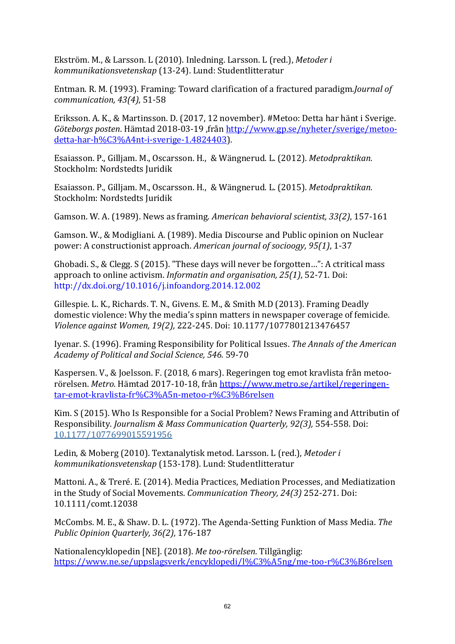Ekström. M., & Larsson. L (2010). Inledning. Larsson. L (red.), *Metoder i kommunikationsvetenskap* (13-24). Lund: Studentlitteratur

Entman. R. M. (1993). Framing: Toward clarification of a fractured paradigm.*Journal of communication, 43(4), 51-58* 

Eriksson. A. K., & Martinsson. D. (2017, 12 november). #Metoo: Detta har hänt i Sverige. *Göteborgs posten*. Hämtad 2018-03-19 ,från http://www.gp.se/nyheter/sverige/metoodetta-har-h%C3%A4nt-i-sverige-1.4824403). 

Esaiasson. P., Gilljam. M., Oscarsson. H., & Wängnerud. L. (2012). *Metodpraktikan.* Stockholm: Nordstedts Juridik

Esaiasson. P., Gilljam. M., Oscarsson. H., & Wängnerud. L. (2015). Metodpraktikan. Stockholm: Nordstedts Juridik

Gamson. W. A. (1989). News as framing. *American behavioral scientist, 33(2)*, 157-161

Gamson. W., & Modigliani. A. (1989). Media Discourse and Public opinion on Nuclear power: A constructionist approach. American journal of socioogy, 95(1), 1-37

Ghobadi. S., & Clegg. S (2015). "These days will never be forgotten...": A ctritical mass approach to online activism. *Informatin and organisation, 25(1)*, 52-71. Doi: http://dx.doi.org/10.1016/j.infoandorg.2014.12.002

Gillespie. L. K., Richards. T. N., Givens. E. M., & Smith M.D (2013). Framing Deadly domestic violence: Why the media's spinn matters in newspaper coverage of femicide. *Violence against Women, 19(2),* 222-245. Doi: 10.1177/1077801213476457

Iyenar. S. (1996). Framing Responsibility for Political Issues. The Annals of the American *Academy of Political and Social Science, 546*. 59-70

Kaspersen. V., & Joelsson. F. (2018, 6 mars). Regeringen tog emot kravlista från metoorörelsen. Metro. Hämtad 2017-10-18, från https://www.metro.se/artikel/regeringentar-emot-kravlista-fr%C3%A5n-metoo-r%C3%B6relsen

Kim. S (2015). Who Is Responsible for a Social Problem? News Framing and Attributin of Responsibility. *Journalism & Mass Communication Quarterly, 92(3),* 554-558. Doi: 10.1177/1077699015591956

Ledin, & Moberg (2010). Textanalytisk metod. Larsson. L (red.), Metoder i *kommunikationsvetenskap* (153-178). Lund: Studentlitteratur

Mattoni. A., & Treré. E. (2014). Media Practices, Mediation Processes, and Mediatization in the Study of Social Movements. *Communication Theory, 24(3)* 252-271. Doi: 10.1111/comt.12038

McCombs. M. E., & Shaw. D. L. (1972). The Agenda-Setting Funktion of Mass Media. The *Public Opinion Quarterly, 36(2)*, 176-187

Nationalencyklopedin [NE]. (2018). Me too-rörelsen. Tillgänglig: https://www.ne.se/uppslagsverk/encyklopedi/l%C3%A5ng/me-too-r%C3%B6relsen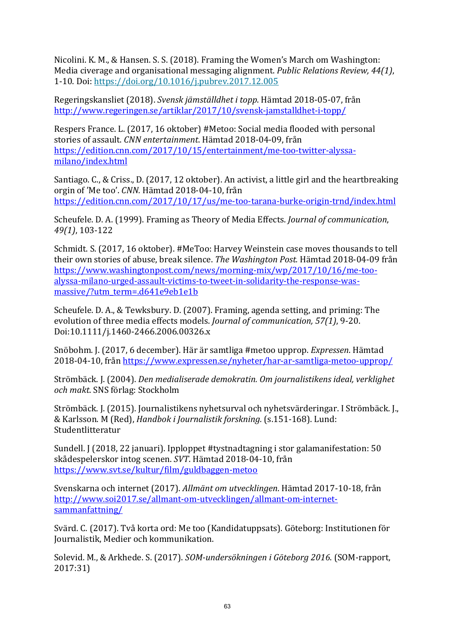Nicolini. K. M., & Hansen. S. S. (2018). Framing the Women's March om Washington: Media civerage and organisational messaging alignment. *Public Relations Review, 44(1)*, 1-10. Doi: https://doi.org/10.1016/j.pubrev.2017.12.005

Regeringskansliet (2018). Svensk jämställdhet i topp. Hämtad 2018-05-07, från http://www.regeringen.se/artiklar/2017/10/svensk-jamstalldhet-i-topp/

Respers France. L. (2017, 16 oktober) #Metoo: Social media flooded with personal stories of assault. *CNN entertainment*. Hämtad 2018-04-09, från https://edition.cnn.com/2017/10/15/entertainment/me-too-twitter-alyssamilano/index.html

Santiago. C., & Criss., D. (2017, 12 oktober). An activist, a little girl and the heartbreaking orgin of 'Me too'. *CNN*. Hämtad 2018-04-10, från https://edition.cnn.com/2017/10/17/us/me-too-tarana-burke-origin-trnd/index.html

Scheufele. D. A. (1999). Framing as Theory of Media Effects. *Journal of communication*, *49(1)*, 103-122

Schmidt. S. (2017, 16 oktober). #MeToo: Harvey Weinstein case moves thousands to tell their own stories of abuse, break silence. *The Washington Post*. Hämtad 2018-04-09 från https://www.washingtonpost.com/news/morning-mix/wp/2017/10/16/me-tooalyssa-milano-urged-assault-victims-to-tweet-in-solidarity-the-response-wasmassive/?utm\_term=.d641e9eb1e1b

Scheufele. D. A., & Tewksbury. D. (2007). Framing, agenda setting, and priming: The evolution of three media effects models. *Journal of communication*, 57(1), 9-20. Doi:10.1111/j.1460-2466.2006.00326.x 

Snöbohm. J. (2017, 6 december). Här är samtliga #metoo upprop. *Expressen*. Hämtad 2018-04-10, från https://www.expressen.se/nyheter/har-ar-samtliga-metoo-upprop/

Strömbäck. J. (2004). *Den medialiserade demokratin. Om journalistikens ideal, verklighet och makt*. SNS förlag: Stockholm

Strömbäck. J. (2015). Journalistikens nyhetsurval och nyhetsvärderingar. I Strömbäck. J., & Karlsson. M (Red), *Handbok i Journalistik forskning.* (s.151-168). Lund: Studentlitteratur 

Sundell. J (2018, 22 januari). Ipploppet #tystnadtagning i stor galamanifestation: 50 skådespelerskor intog scenen. *SVT*. Hämtad 2018-04-10, från https://www.svt.se/kultur/film/guldbaggen-metoo

Svenskarna och internet (2017). Allmänt om utvecklingen. Hämtad 2017-10-18, från http://www.soi2017.se/allmant-om-utvecklingen/allmant-om-internetsammanfattning/

Svärd. C. (2017). Två korta ord: Me too (Kandidatuppsats). Göteborg: Institutionen för Journalistik, Medier och kommunikation.

Solevid. M., & Arkhede. S. (2017). *SOM-undersökningen i Göteborg 2016*. (SOM-rapport, 2017:31)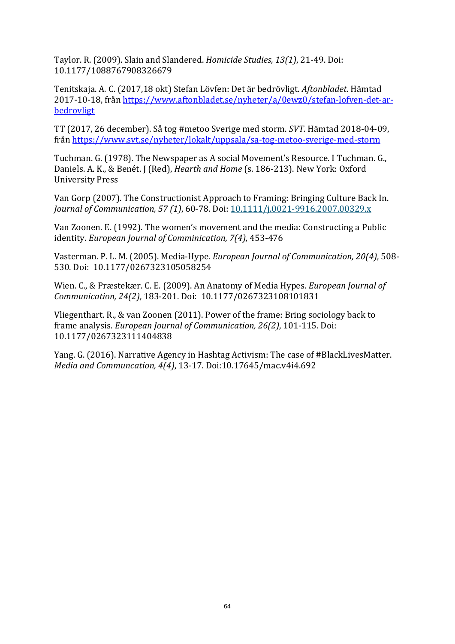Taylor. R. (2009). Slain and Slandered. *Homicide Studies, 13(1)*, 21-49. Doi: 10.1177/1088767908326679

Tenitskaja. A. C. (2017,18 okt) Stefan Lövfen: Det är bedrövligt. *Aftonbladet*. Hämtad 2017-10-18, från https://www.aftonbladet.se/nyheter/a/0ewz0/stefan-lofven-det-arbedrovligt

TT (2017, 26 december). Så tog #metoo Sverige med storm. *SVT*. Hämtad 2018-04-09, från https://www.svt.se/nyheter/lokalt/uppsala/sa-tog-metoo-sverige-med-storm

Tuchman. G. (1978). The Newspaper as A social Movement's Resource. I Tuchman. G., Daniels. A. K., & Benét. J (Red), *Hearth and Home* (s. 186-213). New York: Oxford University Press

Van Gorp (2007). The Constructionist Approach to Framing: Bringing Culture Back In. *Journal of Communication, 57 (1), 60-78. Doi:* 10.1111/*j.0021-9916.2007.00329.x* 

Van Zoonen. E. (1992). The women's movement and the media: Constructing a Public identity. *European Journal of Comminication, 7(4)*, 453-476

Vasterman, P. L. M. (2005). Media-Hype. *European Journal of Communication, 20(4)*, 508-530. Doi: 10.1177/0267323105058254

Wien. C., & Præstekær. C. E. (2009). An Anatomy of Media Hypes. *European Journal of Communication, 24(2)*, 183-201. Doi: 10.1177/0267323108101831

Vliegenthart. R., & van Zoonen (2011). Power of the frame: Bring sociology back to frame analysis. *European Journal of Communication, 26(2)*, 101-115. Doi: 10.1177/0267323111404838

Yang. G. (2016). Narrative Agency in Hashtag Activism: The case of #BlackLivesMatter. *Media and Communcation, 4(4), 13-17. Doi:10.17645/mac.v4i4.692*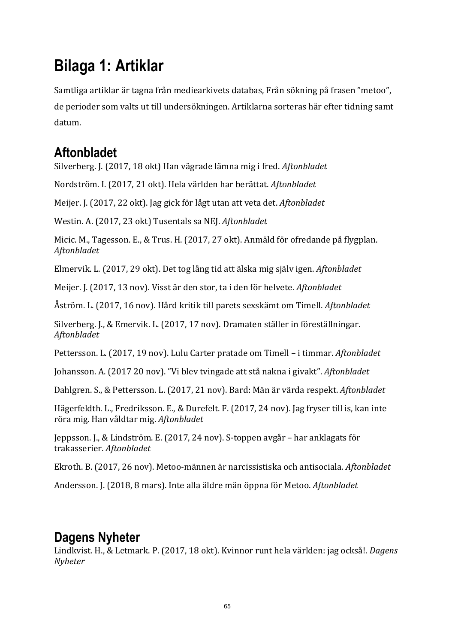# **Bilaga 1: Artiklar**

Samtliga artiklar är tagna från mediearkivets databas, Från sökning på frasen "metoo", de perioder som valts ut till undersökningen. Artiklarna sorteras här efter tidning samt datum. 

## **Aftonbladet**

Silverberg. J. (2017, 18 okt) Han vägrade lämna mig i fred. *Aftonbladet* 

Nordström. I. (2017, 21 okt). Hela världen har berättat. *Aftonbladet* 

Meijer. J. (2017, 22 okt). Jag gick för lågt utan att veta det. Aftonbladet

Westin. A. (2017, 23 okt) Tusentals sa NEJ. *Aftonbladet* 

Micic. M., Tagesson, E., & Trus. H. (2017, 27 okt). Anmäld för ofredande på flygplan. *Aftonbladet* 

Elmervik. L. (2017, 29 okt). Det tog lång tid att älska mig själv igen. *Aftonbladet* 

Meijer. J. (2017, 13 nov). Visst är den stor, ta i den för helvete. Aftonbladet

Åström. L. (2017, 16 nov). Hård kritik till parets sexskämt om Timell. *Aftonbladet* 

Silverberg. J., & Emervik. L. (2017, 17 nov). Dramaten ställer in föreställningar. *Aftonbladet* 

Pettersson. L. (2017, 19 nov). Lulu Carter pratade om Timell – i timmar. Aftonbladet

Johansson. A. (2017 20 nov). "Vi blev tvingade att stå nakna i givakt". Aftonbladet

Dahlgren. S., & Pettersson. L. (2017, 21 nov). Bard: Män är värda respekt. Aftonbladet

Hägerfeldth. L., Fredriksson. E., & Durefelt. F. (2017, 24 nov). Jag fryser till is, kan inte röra mig. Han våldtar mig. *Aftonbladet* 

Jeppsson. J., & Lindström. E. (2017, 24 nov). S-toppen avgår – har anklagats för trakasserier. *Aftonbladet* 

Ekroth. B. (2017, 26 nov). Metoo-männen är narcissistiska och antisociala. *Aftonbladet* 

Andersson. I. (2018, 8 mars). Inte alla äldre män öppna för Metoo. *Aftonbladet* 

## **Dagens Nyheter**

Lindkvist. H., & Letmark. P. (2017, 18 okt). Kvinnor runt hela världen: jag också!. *Dagens Nyheter*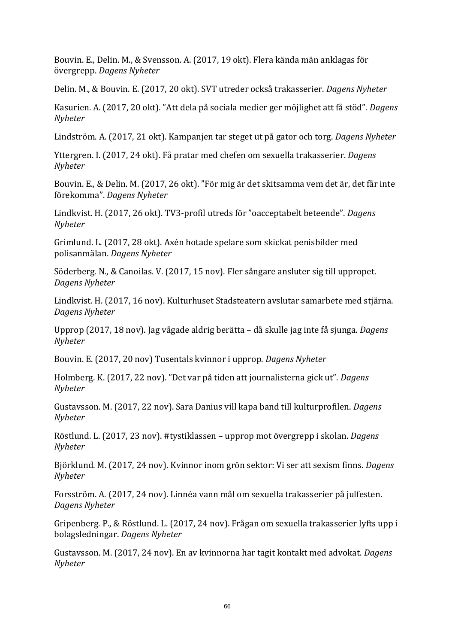Bouvin. E., Delin. M., & Svensson. A. (2017, 19 okt). Flera kända män anklagas för övergrepp. *Dagens Nyheter*

Delin. M., & Bouvin. E. (2017, 20 okt). SVT utreder också trakasserier. *Dagens Nyheter* 

Kasurien. A. (2017, 20 okt). "Att dela på sociala medier ger möjlighet att få stöd". *Dagens Nyheter*

Lindström. A. (2017, 21 okt). Kampanjen tar steget ut på gator och torg. *Dagens Nyheter* 

Yttergren. I. (2017, 24 okt). Få pratar med chefen om sexuella trakasserier. *Dagens Nyheter*

Bouvin. E., & Delin. M. (2017, 26 okt). "För mig är det skitsamma vem det är, det får inte förekomma". *Dagens Nyheter*

Lindkvist. H. (2017, 26 okt). TV3-profil utreds för "oacceptabelt beteende". *Dagens Nyheter*

Grimlund. L. (2017, 28 okt). Axén hotade spelare som skickat penisbilder med polisanmälan. *Dagens Nyheter*

Söderberg. N., & Canoilas. V. (2017, 15 nov). Fler sångare ansluter sig till uppropet. *Dagens Nyheter*

Lindkvist. H. (2017, 16 nov). Kulturhuset Stadsteatern avslutar samarbete med stjärna. *Dagens Nyheter*

Upprop (2017, 18 nov). Jag vågade aldrig berätta – då skulle jag inte få sjunga. *Dagens Nyheter*

Bouvin. E. (2017, 20 nov) Tusentals kvinnor i upprop. *Dagens Nyheter* 

Holmberg. K. (2017, 22 nov). "Det var på tiden att journalisterna gick ut". *Dagens Nyheter*

Gustavsson. M. (2017, 22 nov). Sara Danius vill kapa band till kulturprofilen. *Dagens Nyheter*

Röstlund. L. (2017, 23 nov). #tystiklassen – upprop mot övergrepp i skolan. *Dagens Nyheter*

Björklund. M. (2017, 24 nov). Kvinnor inom grön sektor: Vi ser att sexism finns. *Dagens Nyheter*

Forsström. A. (2017, 24 nov). Linnéa vann mål om sexuella trakasserier på julfesten. *Dagens Nyheter*

Gripenberg. P., & Röstlund. L. (2017, 24 nov). Frågan om sexuella trakasserier lyfts upp i bolagsledningar. *Dagens Nyheter*

Gustavsson. M. (2017, 24 nov). En av kvinnorna har tagit kontakt med advokat. *Dagens Nyheter*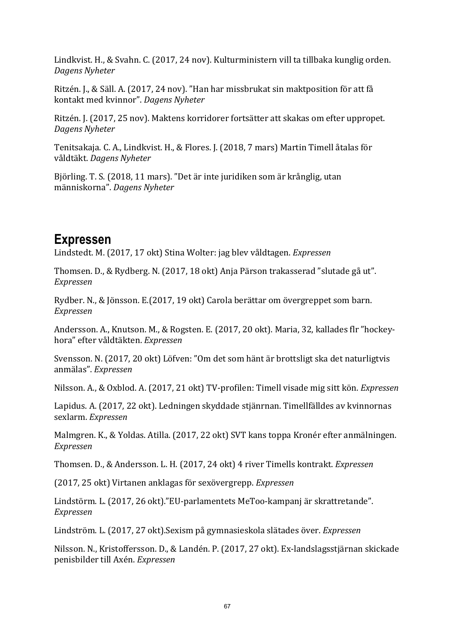Lindkvist. H., & Svahn. C. (2017, 24 nov). Kulturministern vill ta tillbaka kunglig orden. *Dagens Nyheter*

Ritzén. J., & Säll. A. (2017, 24 nov). "Han har missbrukat sin maktposition för att få kontakt med kvinnor". *Dagens Nyheter*

Ritzén. J. (2017, 25 nov). Maktens korridorer fortsätter att skakas om efter uppropet. *Dagens Nyheter*

Tenitsakaja. C. A., Lindkvist. H., & Flores. J. (2018, 7 mars) Martin Timell åtalas för våldtäkt. *Dagens Nyheter*

Björling. T. S. (2018, 11 mars). "Det är inte juridiken som är krånglig, utan människorna". *Dagens Nyheter*

### **Expressen**

Lindstedt. M. (2017, 17 okt) Stina Wolter: jag blev våldtagen. *Expressen* 

Thomsen. D., & Rydberg. N. (2017, 18 okt) Anja Pärson trakasserad "slutade gå ut". *Expressen* 

Rydber. N., & Jönsson. E.(2017, 19 okt) Carola berättar om övergreppet som barn. *Expressen*

Andersson. A., Knutson. M., & Rogsten. E. (2017, 20 okt). Maria, 32, kallades flr "hockeyhora" efter våldtäkten. *Expressen* 

Svensson. N. (2017, 20 okt) Löfven: "Om det som hänt är brottsligt ska det naturligtvis anmälas". *Expressen* 

Nilsson. A., & Oxblod. A. (2017, 21 okt) TV-profilen: Timell visade mig sitt kön. *Expressen* 

Lapidus. A. (2017, 22 okt). Ledningen skyddade stiänrnan. Timellfälldes av kvinnornas sexlarm. *Expressen* 

Malmgren. K., & Yoldas. Atilla. (2017, 22 okt) SVT kans toppa Kronér efter anmälningen. *Expressen* 

Thomsen. D., & Andersson. L. H. (2017, 24 okt) 4 river Timells kontrakt. *Expressen* 

(2017, 25 okt) Virtanen anklagas för sexövergrepp. *Expressen* 

Lindstörm. L. (2017, 26 okt)."EU-parlamentets MeToo-kampanj är skrattretande". *Expressen* 

Lindström. L. (2017, 27 okt).Sexism på gymnasieskola slätades över. *Expressen* 

Nilsson. N., Kristoffersson. D., & Landén. P. (2017, 27 okt). Ex-landslagsstjärnan skickade penisbilder till Axén. *Expressen*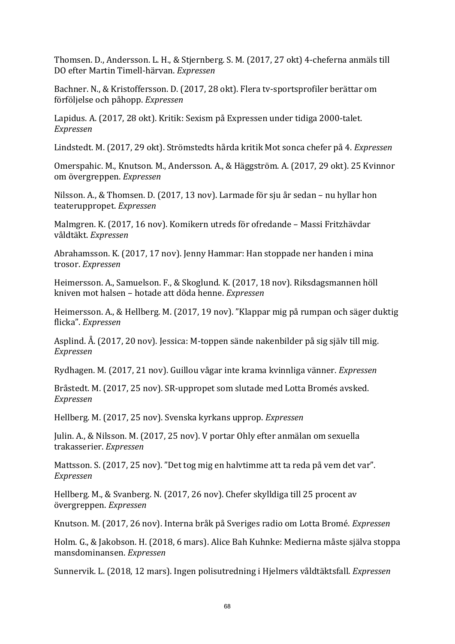Thomsen. D., Andersson. L. H., & Stjernberg. S. M. (2017, 27 okt) 4-cheferna anmäls till DO efter Martin Timell-härvan. *Expressen* 

Bachner. N., & Kristoffersson. D. (2017, 28 okt). Flera tv-sportsprofiler berättar om förföljelse och påhopp. Expressen

Lapidus. A. (2017, 28 okt). Kritik: Sexism på Expressen under tidiga 2000-talet. *Expressen* 

Lindstedt. M. (2017, 29 okt). Strömstedts hårda kritik Mot sonca chefer på 4. *Expressen* 

Omerspahic. M., Knutson. M., Andersson. A., & Häggström. A. (2017, 29 okt). 25 Kvinnor om övergreppen. *Expressen* 

Nilsson. A., & Thomsen. D. (2017, 13 nov). Larmade för sju år sedan – nu hyllar hon teateruppropet. *Expressen* 

Malmgren. K. (2017, 16 nov). Komikern utreds för ofredande – Massi Fritzhävdar våldtäkt. *Expressen*

Abrahamsson. K. (2017, 17 nov). Jenny Hammar: Han stoppade ner handen i mina trosor. *Expressen*

Heimersson. A., Samuelson. F., & Skoglund. K. (2017, 18 nov). Riksdagsmannen höll kniven mot halsen – hotade att döda henne. *Expressen*

Heimersson. A., & Hellberg. M. (2017, 19 nov). "Klappar mig på rumpan och säger duktig flicka". *Expressen* 

Asplind. Å. (2017, 20 nov). Jessica: M-toppen sände nakenbilder på sig själv till mig. *Expressen* 

Rydhagen. M. (2017, 21 nov). Guillou vågar inte krama kvinnliga vänner. *Expressen* 

Bråstedt. M. (2017, 25 nov). SR-uppropet som slutade med Lotta Bromés avsked. *Expressen* 

Hellberg. M. (2017, 25 nov). Svenska kyrkans upprop. *Expressen* 

Julin. A., & Nilsson. M. (2017, 25 nov). V portar Ohly efter anmälan om sexuella trakasserier. *Expressen* 

Mattsson, S. (2017, 25 nov). "Det tog mig en halvtimme att ta reda på vem det var". *Expressen* 

Hellberg. M., & Svanberg. N. (2017, 26 nov). Chefer skylldiga till 25 procent av övergreppen. *Expressen* 

Knutson. M. (2017, 26 nov). Interna bråk på Sveriges radio om Lotta Bromé. *Expressen* 

Holm. G., & Jakobson. H. (2018, 6 mars). Alice Bah Kuhnke: Medierna måste själva stoppa mansdominansen. *Expressen*

Sunnervik. L. (2018, 12 mars). Ingen polisutredning i Hjelmers våldtäktsfall. *Expressen*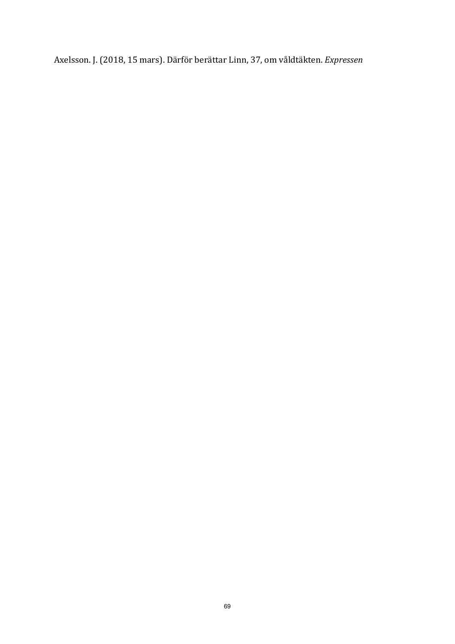Axelsson. J. (2018, 15 mars). Därför berättar Linn, 37, om våldtäkten. *Expressen*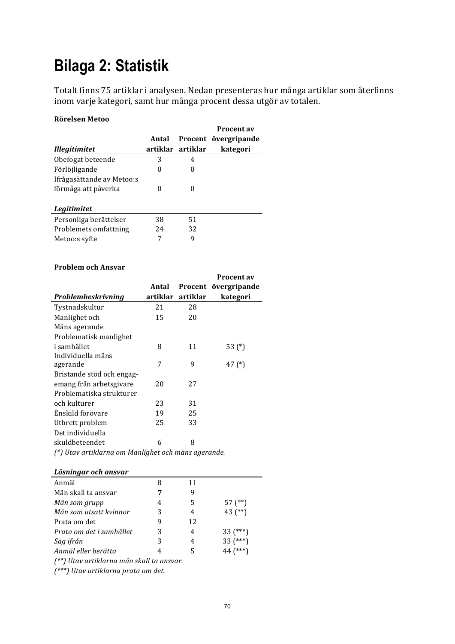# **Bilaga 2: Statistik**

Totalt finns 75 artiklar i analysen. Nedan presenteras hur många artiklar som återfinns inom varje kategori, samt hur många procent dessa utgör av totalen.

**Procent av** 

#### **Rörelsen Metoo**

|    |       | Procent övergripande |
|----|-------|----------------------|
|    |       | kategori             |
| 3  | 4     |                      |
| 0  | 0     |                      |
|    |       |                      |
| 0  | 0     |                      |
|    |       |                      |
|    |       |                      |
| 38 | 51    |                      |
| 24 | 32    |                      |
| 7  | 9     |                      |
|    | Antal | artiklar artiklar    |

#### **Problem och Ansvar**

|                                                     | Antal    |          | Procent av<br>Procent övergripande |
|-----------------------------------------------------|----------|----------|------------------------------------|
| Problembeskrivning                                  | artiklar | artiklar | kategori                           |
| Tystnadskultur                                      | 21       | 28       |                                    |
| Manlighet och                                       | 15       | 20       |                                    |
| Mäns agerande                                       |          |          |                                    |
| Problematisk manlighet                              |          |          |                                    |
| i samhället                                         | 8        | 11       | 53 (*)                             |
| Individuella mäns                                   |          |          |                                    |
| agerande                                            | 7        | 9        | 47 $(*)$                           |
| Bristande stöd och engag-                           |          |          |                                    |
| emang från arbetsgivare                             | 20       | 27       |                                    |
| Problematiska strukturer                            |          |          |                                    |
| och kulturer                                        | 23       | 31       |                                    |
| Enskild förövare                                    | 19       | 25       |                                    |
| Utbrett problem                                     | 25       | 33       |                                    |
| Det individuella                                    |          |          |                                    |
| skuldbeteendet                                      | 6        | 8        |                                    |
| (*) Utav artiklarna om Manlighet och mäns agerande. |          |          |                                    |

#### *Lösningar och ansvar*

| Anmäl                                     | 8 | 11 |             |
|-------------------------------------------|---|----|-------------|
| Män skall ta ansvar                       |   | 9  |             |
| Män som grupp                             | 4 | 5  | $57$ $(**)$ |
| Män som utsatt kvinnor                    | 3 | 4  | 43 $(**)$   |
| Prata om det                              | 9 | 12 |             |
| Prata om det i samhället                  | 3 | 4  | $33$ (***)  |
| Säg ifrån                                 | 3 | 4  | $33$ (***)  |
| Anmäl eller berätta                       |   | 5  | $44$ (***)  |
| (**) Utav artiklarna män skall ta ansvar. |   |    |             |
|                                           |   |    |             |

*(\*\*\*) Utav artiklarna prata om det.*